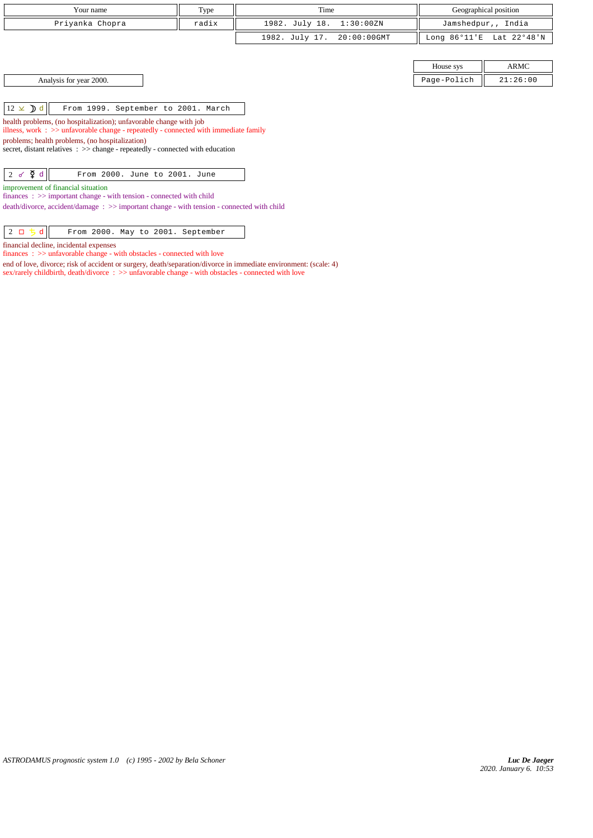| Your name                                                                                                                                                  | Type  | Time           |                |                        | Geographical position |
|------------------------------------------------------------------------------------------------------------------------------------------------------------|-------|----------------|----------------|------------------------|-----------------------|
| Priyanka Chopra                                                                                                                                            | radix | 1982. July 18. | 1:30:00ZN      |                        | Jamshedpur,, India    |
|                                                                                                                                                            |       | 1982. July 17. | $20:00:00$ GMT | Long $86^{\circ}11$ 'E | Lat 22°48'N           |
|                                                                                                                                                            |       |                |                |                        |                       |
|                                                                                                                                                            |       |                |                | House sys              | ARMC                  |
| Analysis for year 2000.                                                                                                                                    |       |                |                | Page-Polich            | 21:26:00              |
|                                                                                                                                                            |       |                |                |                        |                       |
| $12 \times$ d<br>From 1999. September to 2001. March                                                                                                       |       |                |                |                        |                       |
| health problems, (no hospitalization); unfavorable change with job<br>illness, work : >> unfavorable change - repeatedly - connected with immediate family |       |                |                |                        |                       |
| problems; health problems, (no hospitalization)<br>secret, distant relatives : >> change - repeatedly - connected with education                           |       |                |                |                        |                       |
|                                                                                                                                                            |       |                |                |                        |                       |
| $2 \times \nabla d$<br>From 2000. June to 2001. June                                                                                                       |       |                |                |                        |                       |
| improvement of financial situation<br>finances $\Rightarrow$ important change - with tension - connected with child                                        |       |                |                |                        |                       |
| $death/divorce, accident/damage : \gg important change - with tension - connected with child$                                                              |       |                |                |                        |                       |

| $\overline{2}$ n |  |  | From 2000. May to 2001. September |
|------------------|--|--|-----------------------------------|
|                  |  |  |                                   |

financial decline, incidental expenses

finances :  $\gg$  unfavorable change - with obstacles - connected with love

end of love, divorce; risk of accident or surgery, death/separation/divorce in immediate environment: (scale: 4) sex/rarely childbirth, death/divorce :  $\gg$  unfavorable change - with obstacles - connected with love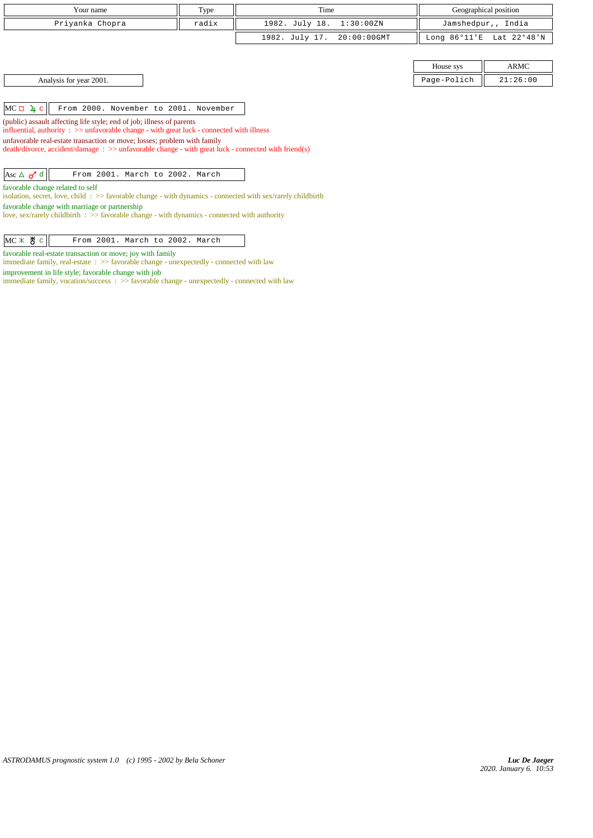| Your name                                                                                                                                                                         | Type  | Time                             |                        | Geographical position |
|-----------------------------------------------------------------------------------------------------------------------------------------------------------------------------------|-------|----------------------------------|------------------------|-----------------------|
| Priyanka Chopra                                                                                                                                                                   | radix | 1982. July 18.<br>1:30:00ZN      |                        | Jamshedpur,, India    |
|                                                                                                                                                                                   |       | 1982. July 17.<br>$20:00:00$ GMT | Long $86^{\circ}11$ 'E | Lat 22°48'N           |
|                                                                                                                                                                                   |       |                                  |                        |                       |
|                                                                                                                                                                                   |       |                                  | House sys              | ARMC                  |
| Analysis for year 2001.                                                                                                                                                           |       |                                  | Page-Polich            | 21:26:00              |
|                                                                                                                                                                                   |       |                                  |                        |                       |
| $MC \Box 4 c$<br>From 2000. November to 2001. November                                                                                                                            |       |                                  |                        |                       |
| (public) assault affecting life style; end of job; illness of parents                                                                                                             |       |                                  |                        |                       |
| influential, authority $\therefore$ $\Rightarrow$ unfavorable change - with great luck - connected with illness                                                                   |       |                                  |                        |                       |
| unfavorable real-estate transaction or move; losses; problem with family<br>$death/divorce, accident/damage : >> unfavorable change - with great luck - connected with friend(s)$ |       |                                  |                        |                       |
|                                                                                                                                                                                   |       |                                  |                        |                       |
| Asc $\Delta$ $\sigma$ <sup>d</sup><br>From 2001. March to 2002. March                                                                                                             |       |                                  |                        |                       |
| favorable change related to self                                                                                                                                                  |       |                                  |                        |                       |
| isolation, secret, love, child: $\gg$ favorable change - with dynamics - connected with sex/rarely childbirth                                                                     |       |                                  |                        |                       |
| favorable change with marriage or partnership<br>love, sex/rarely childbirth $\Rightarrow$ favorable change - with dynamics - connected with authority                            |       |                                  |                        |                       |
|                                                                                                                                                                                   |       |                                  |                        |                       |
| $MC \times$ $*$<br>From 2001. March to 2002. March<br>$\mathbf{C}$                                                                                                                |       |                                  |                        |                       |

favorable real-estate transaction or move; joy with family

immediate family, real-estate : >> favorable change - unexpectedly - connected with law improvement in life style; favorable change with job

immediate family, vocation/success : >> favorable change - unexpectedly - connected with law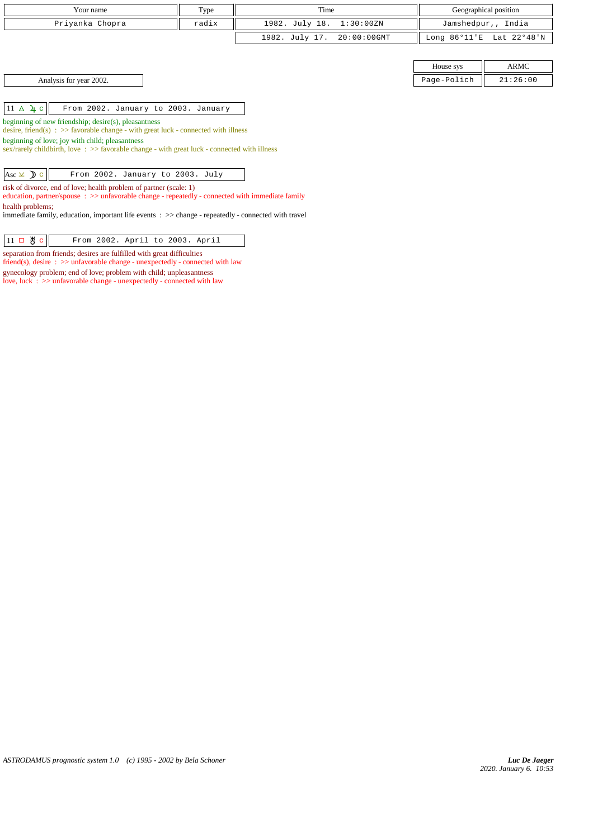| Your name                                                                                                                                     | Type  | Time                       |             | Geographical position    |
|-----------------------------------------------------------------------------------------------------------------------------------------------|-------|----------------------------|-------------|--------------------------|
| Priyanka Chopra                                                                                                                               | radix | 1982. July 18. 1:30:00ZN   |             | Jamshedpur,, India       |
|                                                                                                                                               |       | 1982. July 17. 20:00:00GMT |             | Long 86°11'E Lat 22°48'N |
|                                                                                                                                               |       |                            |             |                          |
|                                                                                                                                               |       |                            | House sys   | ARMC                     |
| Analysis for year 2002.                                                                                                                       |       |                            | Page-Polich | 21:26:00                 |
|                                                                                                                                               |       |                            |             |                          |
| $11 \triangle 4 c$<br>From 2002. January to 2003. January                                                                                     |       |                            |             |                          |
| beginning of new friendship; desire(s), pleasantness<br>desire, friend(s) : $\gg$ favorable change - with great luck - connected with illness |       |                            |             |                          |

beginning of love; joy with child; pleasantness

sex/rarely childbirth, love :  $\gg$  favorable change - with great luck - connected with illness

| Asc $\times$ $\times$ $\circ$ $\circ$ From 2002. January to 2003. July |  |  |  |  |
|------------------------------------------------------------------------|--|--|--|--|
|                                                                        |  |  |  |  |

risk of divorce, end of love; health problem of partner (scale: 1)

education, partner/spouse : >> unfavorable change - repeatedly - connected with immediate family health problems;

immediate family, education, important life events : >> change - repeatedly - connected with travel

| $ 11 \square \text{ } \mathcal{B} \text{ } c $<br>From 2002. April to 2003. April |  |
|-----------------------------------------------------------------------------------|--|
|-----------------------------------------------------------------------------------|--|

separation from friends; desires are fulfilled with great difficulties

friend(s), desire : >> unfavorable change - unexpectedly - connected with law

gynecology problem; end of love; problem with child; unpleasantness love, luck : >> unfavorable change - unexpectedly - connected with law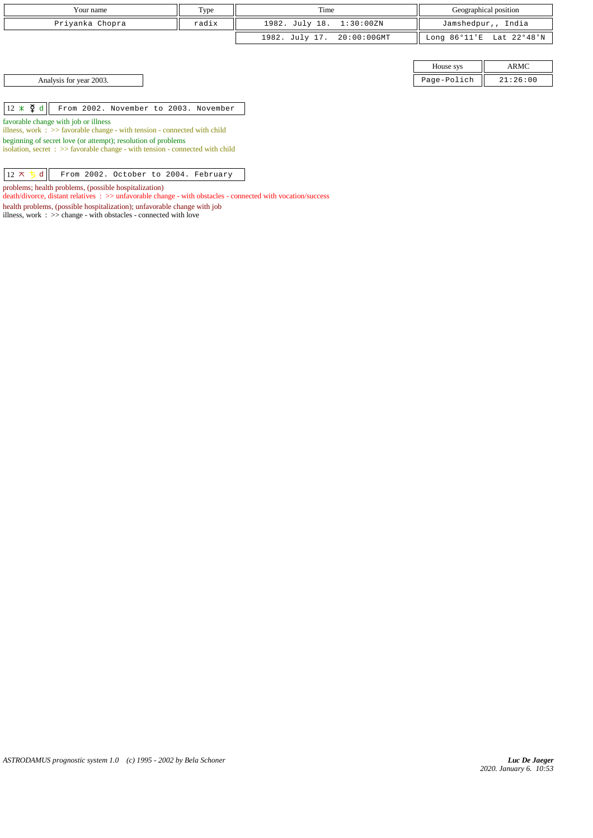| Your name                                                                                                                                                                                                                                                                             | Type  | Time                          |             | Geographical position    |
|---------------------------------------------------------------------------------------------------------------------------------------------------------------------------------------------------------------------------------------------------------------------------------------|-------|-------------------------------|-------------|--------------------------|
| Priyanka Chopra                                                                                                                                                                                                                                                                       | radix | 1982. July 18.<br>1:30:00ZN   |             | Jamshedpur,, India       |
|                                                                                                                                                                                                                                                                                       |       | 1982. July 17.<br>20:00:00GMT |             | Long 86°11'E Lat 22°48'N |
|                                                                                                                                                                                                                                                                                       |       |                               |             |                          |
|                                                                                                                                                                                                                                                                                       |       |                               | House sys   | ARMC                     |
| Analysis for year 2003.                                                                                                                                                                                                                                                               |       |                               | Page-Polich | 21:26:00                 |
|                                                                                                                                                                                                                                                                                       |       |                               |             |                          |
| $12 \times \xi$ d<br>From 2002. November to 2003. November                                                                                                                                                                                                                            |       |                               |             |                          |
| favorable change with job or illness<br>illness, work $\Rightarrow$ Savorable change - with tension - connected with child<br>beginning of secret love (or attempt); resolution of problems<br>isolation, secret $\Rightarrow$ Savorable change - with tension - connected with child |       |                               |             |                          |

 $\boxed{12 \times 5 \text{ d}}$  From 2002. October to 2004. February

problems; health problems, (possible hospitalization)

death/divorce, distant relatives : >> unfavorable change - with obstacles - connected with vocation/success

health problems, (possible hospitalization); unfavorable change with job

illness, work :  $>$  change - with obstacles - connected with love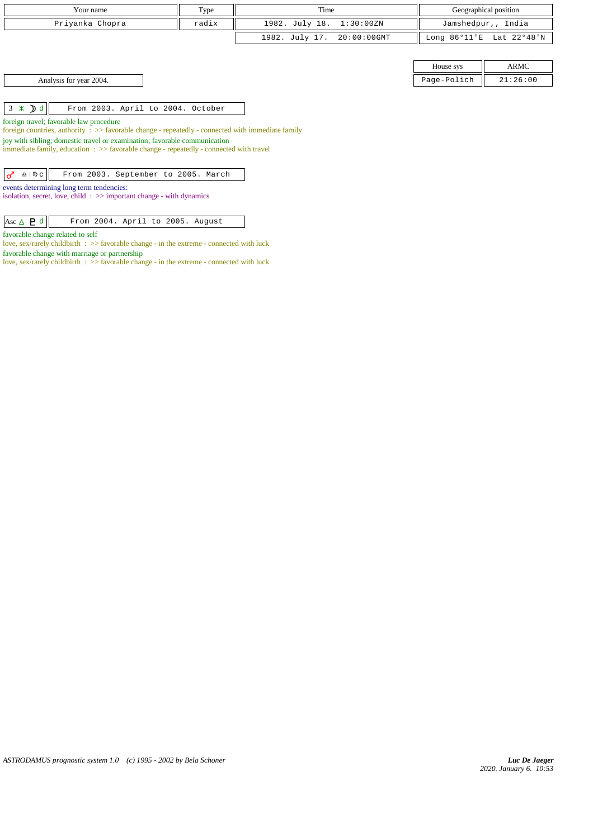| Your name                                                                                                                                                                      | Type  | Time           |                |                        | Geographical position |
|--------------------------------------------------------------------------------------------------------------------------------------------------------------------------------|-------|----------------|----------------|------------------------|-----------------------|
| Priyanka Chopra                                                                                                                                                                | radix | 1982. July 18. | 1:30:00ZN      |                        | Jamshedpur,, India    |
|                                                                                                                                                                                |       | 1982. July 17. | $20:00:00$ GMT | Long $86^{\circ}11$ 'E | Lat 22°48'N           |
|                                                                                                                                                                                |       |                |                |                        |                       |
|                                                                                                                                                                                |       |                |                | House sys              | ARMC                  |
| Analysis for year 2004.                                                                                                                                                        |       |                |                | Page-Polich            | 21:26:00              |
|                                                                                                                                                                                |       |                |                |                        |                       |
| $3 \times D d$<br>From 2003. April to 2004. October                                                                                                                            |       |                |                |                        |                       |
| foreign travel; favorable law procedure                                                                                                                                        |       |                |                |                        |                       |
| foreign countries, authority $\Rightarrow$ 5 > 5 avorable change - repeatedly - connected with immediate family                                                                |       |                |                |                        |                       |
| joy with sibling; domestic travel or examination; favorable communication<br>immediate family, education $\Rightarrow$ > favorable change - repeatedly - connected with travel |       |                |                |                        |                       |
|                                                                                                                                                                                |       |                |                |                        |                       |
| From 2003. September to 2005. March<br>♂<br>$\underline{\Omega}$   $\mathbb{D}$ $\mathbb{C}$                                                                                   |       |                |                |                        |                       |
| events determining long term tendencies:                                                                                                                                       |       |                |                |                        |                       |
| isolation, secret, love, child: $\gg$ important change - with dynamics                                                                                                         |       |                |                |                        |                       |
|                                                                                                                                                                                |       |                |                |                        |                       |
| Asc $\triangle$ <b>P</b> d<br>From 2004. April to 2005. August                                                                                                                 |       |                |                |                        |                       |

*ASTRODAMUS prognostic system 1.0 (c) 1995 - 2002 by Bela Schoner*

favorable change related to self

favorable change with marriage or partnership

love, sex/rarely childbirth :  $\gg$  favorable change - in the extreme - connected with luck

love, sex/rarely childbirth : >> favorable change - in the extreme - connected with luck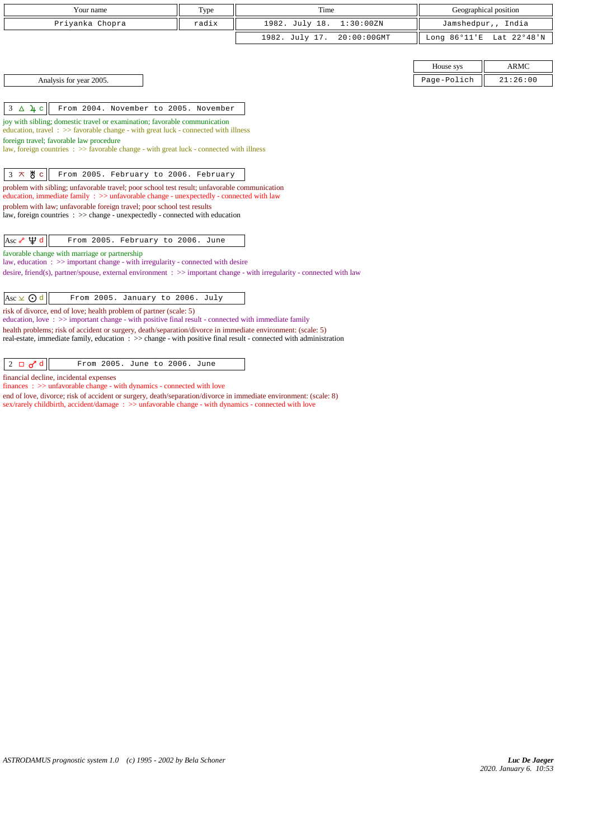| Your name                                                                                                                                                                    | Type  | Time                          |                        | Geographical position |
|------------------------------------------------------------------------------------------------------------------------------------------------------------------------------|-------|-------------------------------|------------------------|-----------------------|
| Priyanka Chopra                                                                                                                                                              | radix | 1982. July 18.<br>1:30:00ZN   |                        | Jamshedpur,, India    |
|                                                                                                                                                                              |       | 1982. July 17.<br>20:00:00GMT | Long $86^{\circ}11$ 'E | Lat 22°48'N           |
|                                                                                                                                                                              |       |                               |                        |                       |
|                                                                                                                                                                              |       |                               | House sys              | <b>ARMC</b>           |
| Analysis for year 2005.                                                                                                                                                      |       |                               | Page-Polich            | 21:26:00              |
|                                                                                                                                                                              |       |                               |                        |                       |
| $3\Delta$ 4 c<br>From 2004. November to 2005. November                                                                                                                       |       |                               |                        |                       |
| joy with sibling; domestic travel or examination; favorable communication                                                                                                    |       |                               |                        |                       |
| education, travel $\Rightarrow$ Savorable change - with great luck - connected with illness<br>foreign travel; favorable law procedure                                       |       |                               |                        |                       |
| law, foreign countries $\Rightarrow$ > favorable change - with great luck - connected with illness                                                                           |       |                               |                        |                       |
|                                                                                                                                                                              |       |                               |                        |                       |
| $3 \times 8$ c<br>From 2005. February to 2006. February                                                                                                                      |       |                               |                        |                       |
| problem with sibling; unfavorable travel; poor school test result; unfavorable communication                                                                                 |       |                               |                        |                       |
| education, immediate family $\Rightarrow$ > $\Rightarrow$ unfavorable change - unexpectedly - connected with law                                                             |       |                               |                        |                       |
| problem with law; unfavorable foreign travel; poor school test results<br>law, foreign countries : >> change - unexpectedly - connected with education                       |       |                               |                        |                       |
|                                                                                                                                                                              |       |                               |                        |                       |
| Asc $\sqrt{4}$ d<br>From 2005. February to 2006. June                                                                                                                        |       |                               |                        |                       |
| favorable change with marriage or partnership                                                                                                                                |       |                               |                        |                       |
| law, education $\Rightarrow$ >> important change - with irregularity - connected with desire                                                                                 |       |                               |                        |                       |
| desire, friend(s), partner/spouse, external environment $\Rightarrow$ important change - with irregularity - connected with law                                              |       |                               |                        |                       |
|                                                                                                                                                                              |       |                               |                        |                       |
| $\text{Asc} \times \text{O}$ d<br>From 2005. January to 2006. July                                                                                                           |       |                               |                        |                       |
| risk of divorce, end of love; health problem of partner (scale: 5)<br>education, love: $\gg$ important change - with positive final result - connected with immediate family |       |                               |                        |                       |
| health problems; risk of accident or surgery, death/separation/divorce in immediate environment: (scale: 5)                                                                  |       |                               |                        |                       |
| real-estate, immediate family, education : >> change - with positive final result - connected with administration                                                            |       |                               |                        |                       |
|                                                                                                                                                                              |       |                               |                        |                       |
| $\sigma$ <sup>d</sup><br>$2$ $\Box$<br>From 2005. June to 2006. June                                                                                                         |       |                               |                        |                       |
| financial decline, incidental expenses<br>$finances : \gg$ unfavorable change - with dynamics - connected with love                                                          |       |                               |                        |                       |

end of love, divorce; risk of accident or surgery, death/separation/divorce in immediate environment: (scale: 8) sex/rarely childbirth, accident/damage :  $>$  unfavorable change - with dynamics - connected with love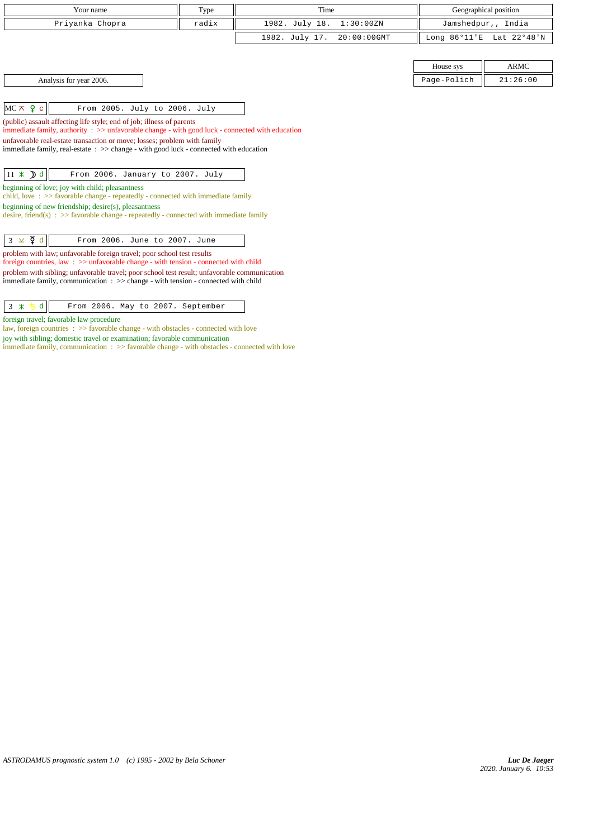| Your name                                                                                                                                                                                                                                                                                                                                                                                                                                                  | Type  | Time                          |                        | Geographical position |
|------------------------------------------------------------------------------------------------------------------------------------------------------------------------------------------------------------------------------------------------------------------------------------------------------------------------------------------------------------------------------------------------------------------------------------------------------------|-------|-------------------------------|------------------------|-----------------------|
| Priyanka Chopra                                                                                                                                                                                                                                                                                                                                                                                                                                            | radix | 1982. July 18.<br>1:30:00ZN   |                        | Jamshedpur,, India    |
|                                                                                                                                                                                                                                                                                                                                                                                                                                                            |       | 20:00:00GMT<br>1982. July 17. | Long $86^{\circ}11$ 'E | Lat 22°48'N           |
|                                                                                                                                                                                                                                                                                                                                                                                                                                                            |       |                               |                        |                       |
|                                                                                                                                                                                                                                                                                                                                                                                                                                                            |       |                               | House sys              | <b>ARMC</b>           |
| Analysis for year 2006.                                                                                                                                                                                                                                                                                                                                                                                                                                    |       |                               | Page-Polich            | 21:26:00              |
|                                                                                                                                                                                                                                                                                                                                                                                                                                                            |       |                               |                        |                       |
| $MC \times 9$ c<br>From 2005. July to 2006. July                                                                                                                                                                                                                                                                                                                                                                                                           |       |                               |                        |                       |
| (public) assault affecting life style; end of job; illness of parents<br>immediate family, authority $\Rightarrow$ > $\Rightarrow$ unfavorable change - with good luck - connected with education                                                                                                                                                                                                                                                          |       |                               |                        |                       |
| unfavorable real-estate transaction or move; losses; problem with family                                                                                                                                                                                                                                                                                                                                                                                   |       |                               |                        |                       |
| immediate family, real-estate : >> change - with good luck - connected with education                                                                                                                                                                                                                                                                                                                                                                      |       |                               |                        |                       |
|                                                                                                                                                                                                                                                                                                                                                                                                                                                            |       |                               |                        |                       |
| $11 \times$ <b>D</b> d<br>From 2006. January to 2007. July                                                                                                                                                                                                                                                                                                                                                                                                 |       |                               |                        |                       |
| beginning of love; joy with child; pleasantness<br>child, love $\Rightarrow$ Solid $\Rightarrow$ Solid $\Rightarrow$ Solid $\Rightarrow$ Solid $\Rightarrow$ Solid $\Rightarrow$ Solid $\Rightarrow$ Solid $\Rightarrow$ Solid $\Rightarrow$ Solid $\Rightarrow$ Solid $\Rightarrow$ Solid $\Rightarrow$ Solid $\Rightarrow$ Solid $\Rightarrow$ Solid $\Rightarrow$ Solid $\Rightarrow$ Solid $\Rightarrow$ Solid $\Rightarrow$ Solid $\Rightarrow$ Solid |       |                               |                        |                       |
| beginning of new friendship; $desire(s)$ , pleasantness                                                                                                                                                                                                                                                                                                                                                                                                    |       |                               |                        |                       |
| desire, friend(s) : $\gg$ favorable change - repeatedly - connected with immediate family                                                                                                                                                                                                                                                                                                                                                                  |       |                               |                        |                       |
| $3 \times \zeta d$<br>From 2006. June to 2007. June                                                                                                                                                                                                                                                                                                                                                                                                        |       |                               |                        |                       |
|                                                                                                                                                                                                                                                                                                                                                                                                                                                            |       |                               |                        |                       |
| problem with law; unfavorable foreign travel; poor school test results<br>foreign countries, law : $\gg$ unfavorable change - with tension - connected with child                                                                                                                                                                                                                                                                                          |       |                               |                        |                       |
| problem with sibling; unfavorable travel; poor school test result; unfavorable communication                                                                                                                                                                                                                                                                                                                                                               |       |                               |                        |                       |
| immediate family, communication $\Rightarrow$ $\Rightarrow$ change - with tension - connected with child                                                                                                                                                                                                                                                                                                                                                   |       |                               |                        |                       |
|                                                                                                                                                                                                                                                                                                                                                                                                                                                            |       |                               |                        |                       |

 $\begin{array}{|c|c|c|c|c|}\n3 & \text{\# } 5 \text{ d} & \text{From 2006. May to 2007. September}\n\end{array}$ 

foreign travel; favorable law procedure

law, foreign countries : >> favorable change - with obstacles - connected with love

joy with sibling; domestic travel or examination; favorable communication

immediate family, communication : >> favorable change - with obstacles - connected with love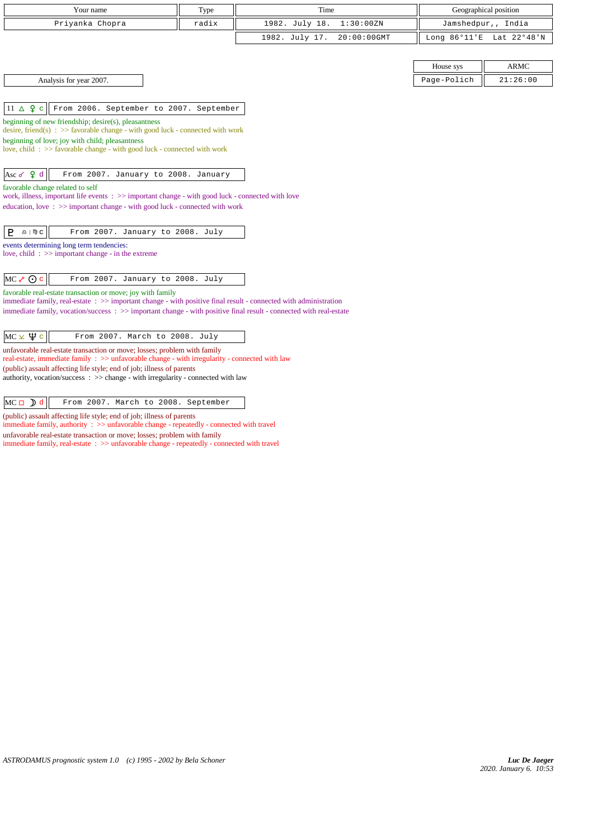| Your name       | Type  | Time                       | Geographical position    |
|-----------------|-------|----------------------------|--------------------------|
| Priyanka Chopra | radix | 1982. July 18. 1:30:00ZN   | Jamshedpur,, India       |
|                 |       | 1982. July 17. 20:00:00GMT | Long 86°11'E Lat 22°48'N |

Analysis for year 2007.

11 c From 2006. September to 2007. September

beginning of new friendship; desire(s), pleasantness

desire, friend(s) : >> favorable change - with good luck - connected with work

beginning of love; joy with child; pleasantness

love, child : >> favorable change - with good luck - connected with work

Asc  $\varphi$  d | From 2007. January to 2008. January

favorable change related to self

work, illness, important life events : >> important change - with good luck - connected with love education, love : >> important change - with good luck - connected with work

| $P = \text{max}$<br>From 2007. January to 2008. July |
|------------------------------------------------------|
|------------------------------------------------------|

events determining long term tendencies:

love, child : >> important change - in the extreme

favorable real-estate transaction or move; joy with family

immediate family, real-estate : >> important change - with positive final result - connected with administration immediate family, vocation/success : >> important change - with positive final result - connected with real-estate

unfavorable real-estate transaction or move; losses; problem with family

real-estate, immediate family : >> unfavorable change - with irregularity - connected with law (public) assault affecting life style; end of job; illness of parents

authority, vocation/success : >> change - with irregularity - connected with law

 $\|MC \Box \nabla d\|$  From 2007. March to 2008. September

(public) assault affecting life style; end of job; illness of parents immediate family, authority : >> unfavorable change - repeatedly - connected with travel

unfavorable real-estate transaction or move; losses; problem with family

immediate family, real-estate : >> unfavorable change - repeatedly - connected with travel

| House sys |             |  |
|-----------|-------------|--|
| Polich    | :26:00<br>. |  |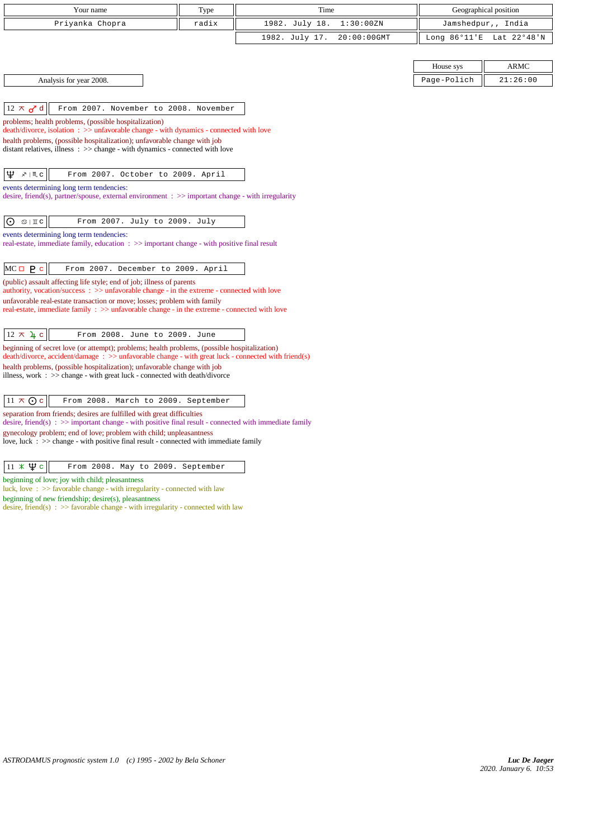| Your name                                                                                                                                                                                             | Type  | Time           |             |                        | Geographical position |
|-------------------------------------------------------------------------------------------------------------------------------------------------------------------------------------------------------|-------|----------------|-------------|------------------------|-----------------------|
| Priyanka Chopra                                                                                                                                                                                       | radix | 1982. July 18. | 1:30:00ZN   | Jamshedpur,, India     |                       |
|                                                                                                                                                                                                       |       | 1982. July 17. | 20:00:00GMT | Long $86^{\circ}11$ 'E | Lat 22°48'N           |
|                                                                                                                                                                                                       |       |                |             |                        |                       |
|                                                                                                                                                                                                       |       |                |             | House sys              | <b>ARMC</b>           |
| Analysis for year 2008.                                                                                                                                                                               |       |                |             | Page-Polich            | 21:26:00              |
|                                                                                                                                                                                                       |       |                |             |                        |                       |
| $12 \times d$ d<br>From 2007. November to 2008. November                                                                                                                                              |       |                |             |                        |                       |
| problems; health problems, (possible hospitalization)<br>death/divorce, isolation: >> unfavorable change - with dynamics - connected with love                                                        |       |                |             |                        |                       |
| health problems, (possible hospitalization); unfavorable change with job                                                                                                                              |       |                |             |                        |                       |
| distant relatives, illness $\Rightarrow$ >> change - with dynamics - connected with love                                                                                                              |       |                |             |                        |                       |
| $\mathfrak{P}$<br>$x \mid M$ c<br>From 2007. October to 2009. April                                                                                                                                   |       |                |             |                        |                       |
| events determining long term tendencies:                                                                                                                                                              |       |                |             |                        |                       |
| desire, friend(s), partner/spouse, external environment $\therefore$ >> important change - with irregularity                                                                                          |       |                |             |                        |                       |
|                                                                                                                                                                                                       |       |                |             |                        |                       |
| $\odot$<br>From 2007. July to 2009. July<br>$\mathfrak{S} \mid \mathbb{I}$ C                                                                                                                          |       |                |             |                        |                       |
| events determining long term tendencies:<br>real-estate, immediate family, education : >> important change - with positive final result                                                               |       |                |             |                        |                       |
|                                                                                                                                                                                                       |       |                |             |                        |                       |
| $MC = P c$<br>From 2007. December to 2009. April                                                                                                                                                      |       |                |             |                        |                       |
| (public) assault affecting life style; end of job; illness of parents                                                                                                                                 |       |                |             |                        |                       |
| authority, vocation/success: >> unfavorable change - in the extreme - connected with love<br>unfavorable real-estate transaction or move; losses; problem with family                                 |       |                |             |                        |                       |
| real-estate, immediate family : >> unfavorable change - in the extreme - connected with love                                                                                                          |       |                |             |                        |                       |
|                                                                                                                                                                                                       |       |                |             |                        |                       |
| $12 \times 4c$<br>From 2008. June to 2009. June                                                                                                                                                       |       |                |             |                        |                       |
| beginning of secret love (or attempt); problems; health problems, (possible hospitalization)<br>$death/divorce, accident/damage : >> unfavorable change - with great luck - connected with friend(s)$ |       |                |             |                        |                       |
| health problems, (possible hospitalization); unfavorable change with job                                                                                                                              |       |                |             |                        |                       |
| illness, work $\Rightarrow$ >> change - with great luck - connected with death/divorce                                                                                                                |       |                |             |                        |                       |
| $11 \times Qc$<br>From 2008. March to 2009. September                                                                                                                                                 |       |                |             |                        |                       |
| separation from friends; desires are fulfilled with great difficulties                                                                                                                                |       |                |             |                        |                       |
| desire, friend(s) : $\gg$ important change - with positive final result - connected with immediate family                                                                                             |       |                |             |                        |                       |
| gynecology problem; end of love; problem with child; unpleasantness<br>love, luck $\div$ $\Rightarrow$ change - with positive final result - connected with immediate family                          |       |                |             |                        |                       |
|                                                                                                                                                                                                       |       |                |             |                        |                       |

beginning of love; joy with child; pleasantness

luck, love : >> favorable change - with irregularity - connected with law beginning of new friendship; desire(s), pleasantness

desire, friend(s) : >> favorable change - with irregularity - connected with law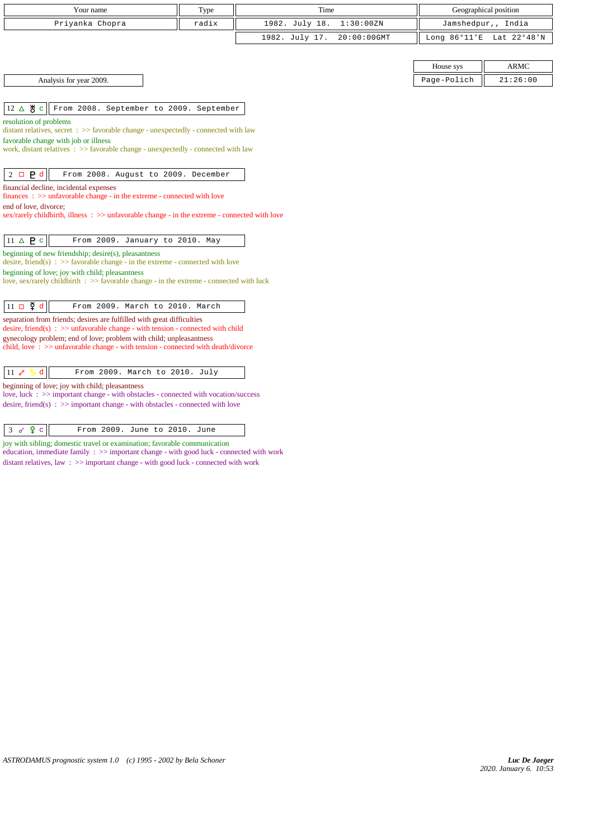| Type<br>Time<br>Your name                                                                                                |       |                               |                        | Geographical position |  |
|--------------------------------------------------------------------------------------------------------------------------|-------|-------------------------------|------------------------|-----------------------|--|
| Priyanka Chopra                                                                                                          | radix | 1982. July 18.<br>1:30:00ZN   |                        | Jamshedpur,, India    |  |
|                                                                                                                          |       | 1982. July 17.<br>20:00:00GMT | Long $86^{\circ}11$ 'E | Lat 22°48'N           |  |
|                                                                                                                          |       |                               |                        |                       |  |
| ARMC<br>House sys                                                                                                        |       |                               |                        |                       |  |
| Analysis for year 2009.                                                                                                  |       |                               | Page-Polich            | 21:26:00              |  |
|                                                                                                                          |       |                               |                        |                       |  |
| $12 \Delta \mathcal{B} c$ From 2008. September to 2009. September                                                        |       |                               |                        |                       |  |
| resolution of problems<br>distant relatives, secret $\therefore$ >> favorable change - unexpectedly - connected with law |       |                               |                        |                       |  |
| favorable change with job or illness                                                                                     |       |                               |                        |                       |  |
| work, distant relatives : >> favorable change - unexpectedly - connected with law                                        |       |                               |                        |                       |  |
| $2 \Box P d$<br>From 2008. August to 2009. December                                                                      |       |                               |                        |                       |  |

*2020. January 6. 10:53 Luc De Jaeger*

financial decline, incidental expenses

end of love, divorce;

finances : >> unfavorable change - in the extreme - connected with love

 $\boxed{11 \Delta \mathbf{P} \cdot \boxed{\mathbf{c}}}$  From 2009. January to 2010. May

 $\left\|11\ \Box \ \Phi\ d\right\|$  From 2009. March to 2010. March separation from friends; desires are fulfilled with great difficulties

11  $\delta$  5 d From 2009. March to 2010. July

 $3 \checkmark$   $2 \checkmark$   $c$  From 2009. June to 2010. June joy with sibling; domestic travel or examination; favorable communication

*ASTRODAMUS prognostic system 1.0 (c) 1995 - 2002 by Bela Schoner*

desire, friend(s) :  $\gg$  unfavorable change - with tension - connected with child gynecology problem; end of love; problem with child; unpleasantness

child, love : >> unfavorable change - with tension - connected with death/divorce

love, luck : >> important change - with obstacles - connected with vocation/success desire, friend(s) :  $\gg$  important change - with obstacles - connected with love

education, immediate family : >> important change - with good luck - connected with work distant relatives, law : >> important change - with good luck - connected with work

desire, friend(s) :  $\gg$  favorable change - in the extreme - connected with love

love, sex/rarely childbirth :  $\gg$  favorable change - in the extreme - connected with luck

beginning of new friendship; desire(s), pleasantness

beginning of love; joy with child; pleasantness

beginning of love; joy with child; pleasantness

sex/rarely childbirth, illness :  $\gg$  unfavorable change - in the extreme - connected with love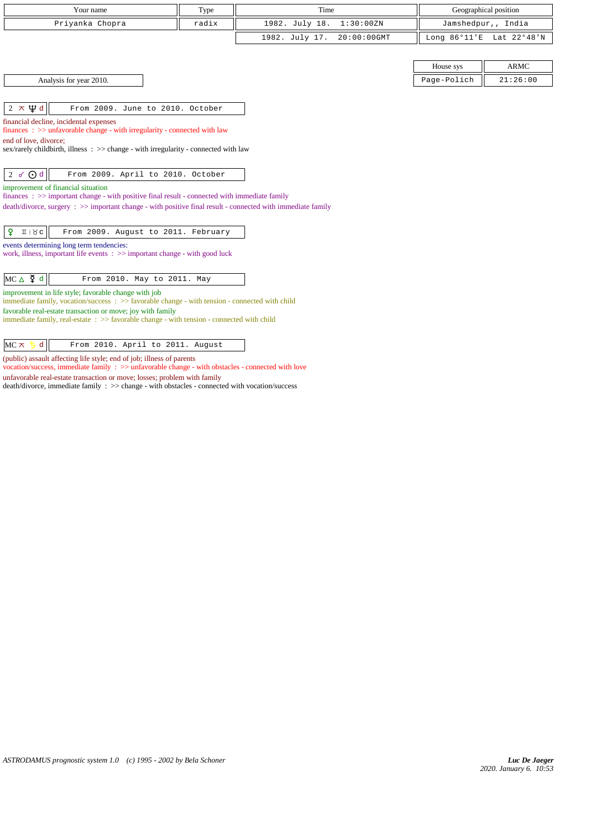| Your name       | Type  | Time                       | Geographical position    |
|-----------------|-------|----------------------------|--------------------------|
| Priyanka Chopra | radix | 1982. July 18. 1:30:00ZN   | Jamshedpur,, India       |
|                 |       | 1982. July 17. 20:00:00GMT | Long 86°11'E Lat 22°48'N |

| Analysis for year 2010. |
|-------------------------|
|-------------------------|

 $\begin{array}{|c|c|c|c|c|}\n\hline\n2 \times \Psi d & \hline\n\end{array}$  From 2009. June to 2010. October

financial decline, incidental expenses finances : >> unfavorable change - with irregularity - connected with law

end of love, divorce;

sex/rarely childbirth, illness : >> change - with irregularity - connected with law

 $\begin{vmatrix} 2 & \checkmark \end{vmatrix}$  From 2009. April to 2010. October

improvement of financial situation

finances : >> important change - with positive final result - connected with immediate family

death/divorce, surgery : >> important change - with positive final result - connected with immediate family

| $\boxed{9}$ II $\forall c$ From 2009. August to 2011. February |
|----------------------------------------------------------------|
|----------------------------------------------------------------|

events determining long term tendencies: work, illness, important life events : >> important change - with good luck

 $MC \triangle \nightharpoonup d$  From 2010. May to 2011. May

improvement in life style; favorable change with job

immediate family, vocation/success : >> favorable change - with tension - connected with child favorable real-estate transaction or move; joy with family

immediate family, real-estate : >> favorable change - with tension - connected with child

 $MC \times 5d$  From 2010. April to 2011. August

(public) assault affecting life style; end of job; illness of parents

vocation/success, immediate family : >> unfavorable change - with obstacles - connected with love unfavorable real-estate transaction or move; losses; problem with family death/divorce, immediate family : >> change - with obstacles - connected with vocation/success

|                            | House sys                                | ARMC     |
|----------------------------|------------------------------------------|----------|
| 2010.<br>Analysis for year | $i \circ h$<br>Page-Pol<br><b>UIIUII</b> | 21:26:00 |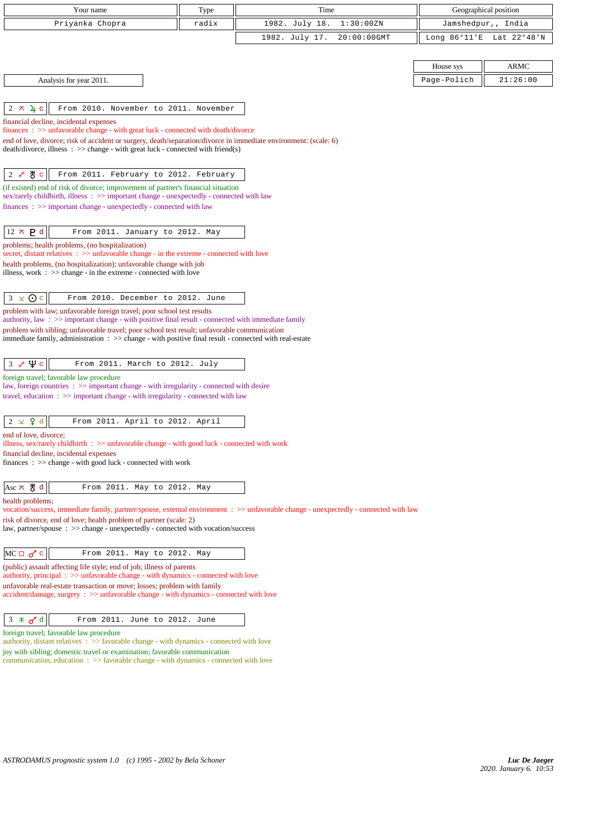| Your name                                                                                                                                                                                              | Type  | Time                                                                                                                                 | Geographical position  |             |
|--------------------------------------------------------------------------------------------------------------------------------------------------------------------------------------------------------|-------|--------------------------------------------------------------------------------------------------------------------------------------|------------------------|-------------|
| Priyanka Chopra                                                                                                                                                                                        | radix | 1982. July 18.<br>1:30:00ZN                                                                                                          | Jamshedpur,, India     |             |
|                                                                                                                                                                                                        |       | 1982. July 17.<br>20:00:00GMT                                                                                                        | Long $86^{\circ}11$ 'E | Lat 22°48'N |
|                                                                                                                                                                                                        |       |                                                                                                                                      |                        |             |
|                                                                                                                                                                                                        |       |                                                                                                                                      | House sys              | <b>ARMC</b> |
| Analysis for year 2011.                                                                                                                                                                                |       |                                                                                                                                      | Page-Polich            | 21:26:00    |
|                                                                                                                                                                                                        |       |                                                                                                                                      |                        |             |
| $2 \times 4c$<br>From 2010. November to 2011. November                                                                                                                                                 |       |                                                                                                                                      |                        |             |
| financial decline, incidental expenses                                                                                                                                                                 |       |                                                                                                                                      |                        |             |
| finances : >> unfavorable change - with great luck - connected with death/divorce<br>end of love, divorce; risk of accident or surgery, death/separation/divorce in immediate environment: (scale: 6)  |       |                                                                                                                                      |                        |             |
| $death/divorce, illness : \gg change - with great luck - connected with friend(s)$                                                                                                                     |       |                                                                                                                                      |                        |             |
|                                                                                                                                                                                                        |       |                                                                                                                                      |                        |             |
| ტ∜ c<br>2<br>From 2011. February to 2012. February<br>ራ                                                                                                                                                |       |                                                                                                                                      |                        |             |
| (if existed) end of risk of divorce; improvement of partner's financial situation<br>sex/rarely childbirth, illness : >> important change - unexpectedly - connected with law                          |       |                                                                                                                                      |                        |             |
| finances : >> important change - unexpectedly - connected with law                                                                                                                                     |       |                                                                                                                                      |                        |             |
|                                                                                                                                                                                                        |       |                                                                                                                                      |                        |             |
| $12 \times P d$<br>From 2011. January to 2012. May                                                                                                                                                     |       |                                                                                                                                      |                        |             |
| problems; health problems, (no hospitalization)<br>secret, distant relatives $\Rightarrow$ unfavorable change - in the extreme - connected with love                                                   |       |                                                                                                                                      |                        |             |
| health problems, (no hospitalization); unfavorable change with job                                                                                                                                     |       |                                                                                                                                      |                        |             |
| illness, work $\Rightarrow$ $\Rightarrow$ change - in the extreme - connected with love                                                                                                                |       |                                                                                                                                      |                        |             |
| $3 \times 0c$<br>From 2010. December to 2012. June                                                                                                                                                     |       |                                                                                                                                      |                        |             |
| problem with law; unfavorable foreign travel; poor school test results                                                                                                                                 |       |                                                                                                                                      |                        |             |
| authority, law: >> important change - with positive final result - connected with immediate family                                                                                                     |       |                                                                                                                                      |                        |             |
| problem with sibling; unfavorable travel; poor school test result; unfavorable communication<br>immediate family, administration : >> change - with positive final result - connected with real-estate |       |                                                                                                                                      |                        |             |
|                                                                                                                                                                                                        |       |                                                                                                                                      |                        |             |
| $\Psi$ c<br>$\mathcal{S}$<br>From 2011. March to 2012. July<br>3                                                                                                                                       |       |                                                                                                                                      |                        |             |
| foreign travel; favorable law procedure                                                                                                                                                                |       |                                                                                                                                      |                        |             |
| law, foreign countries : >> important change - with irregularity - connected with desire<br>travel, education : >> important change - with irregularity - connected with law                           |       |                                                                                                                                      |                        |             |
|                                                                                                                                                                                                        |       |                                                                                                                                      |                        |             |
| $\times$ 9 d<br>$\overline{2}$<br>From 2011. April to 2012. April                                                                                                                                      |       |                                                                                                                                      |                        |             |
| end of love, divorce;                                                                                                                                                                                  |       |                                                                                                                                      |                        |             |
| illness, sex/rarely childbirth : $\gg$ unfavorable change - with good luck - connected with work<br>financial decline, incidental expenses                                                             |       |                                                                                                                                      |                        |             |
| finances: >> change - with good luck - connected with work                                                                                                                                             |       |                                                                                                                                      |                        |             |
|                                                                                                                                                                                                        |       |                                                                                                                                      |                        |             |
| $Asc \times \mathcal{B} d$<br>From 2011. May to 2012. May                                                                                                                                              |       |                                                                                                                                      |                        |             |
| health problems;                                                                                                                                                                                       |       | vocation/success, immediate family, partner/spouse, external environment : >> unfavorable change - unexpectedly - connected with law |                        |             |
| risk of divorce, end of love; health problem of partner (scale: 2)                                                                                                                                     |       |                                                                                                                                      |                        |             |
| law, partner/spouse : >> change - unexpectedly - connected with vocation/success                                                                                                                       |       |                                                                                                                                      |                        |             |
| $MC \Box \sigma^c c$<br>From 2011. May to 2012. May                                                                                                                                                    |       |                                                                                                                                      |                        |             |
| (public) assault affecting life style; end of job; illness of parents                                                                                                                                  |       |                                                                                                                                      |                        |             |
| authority, principal: >> unfavorable change - with dynamics - connected with love<br>unfavorable real-estate transaction or move; losses; problem with family                                          |       |                                                                                                                                      |                        |             |
| accident/damage, surgery : >> unfavorable change - with dynamics - connected with love                                                                                                                 |       |                                                                                                                                      |                        |             |
|                                                                                                                                                                                                        |       |                                                                                                                                      |                        |             |
| $3 \times \sigma d$<br>From 2011. June to 2012. June                                                                                                                                                   |       |                                                                                                                                      |                        |             |
| foreign travel; favorable law procedure<br>authority, distant relatives : >> favorable change - with dynamics - connected with love                                                                    |       |                                                                                                                                      |                        |             |
| joy with sibling; domestic travel or examination; favorable communication                                                                                                                              |       |                                                                                                                                      |                        |             |
| communication, education $\Rightarrow$ Savorable change - with dynamics - connected with love                                                                                                          |       |                                                                                                                                      |                        |             |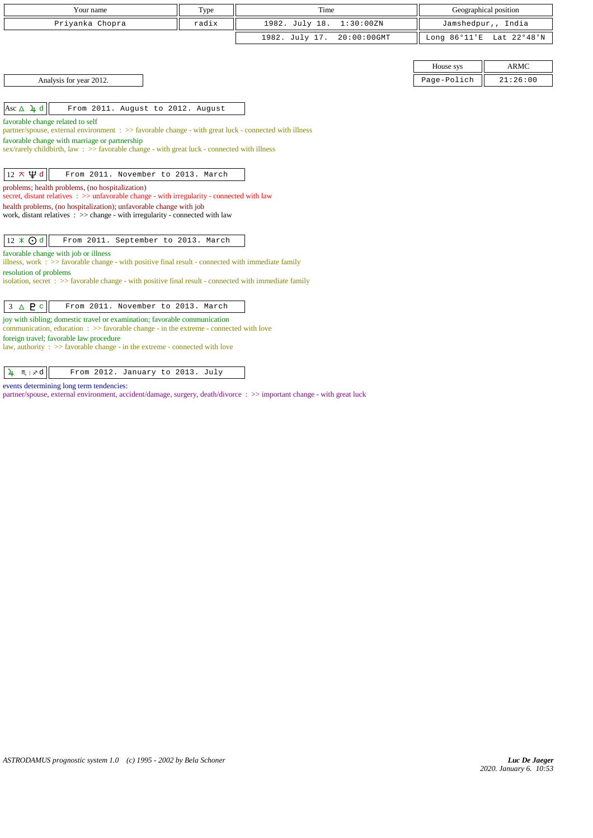| Your name                                                                                                                                                                     | Type  | Time                          |             | Geographical position    |  |
|-------------------------------------------------------------------------------------------------------------------------------------------------------------------------------|-------|-------------------------------|-------------|--------------------------|--|
| Priyanka Chopra                                                                                                                                                               | radix | 1982. July 18.<br>1:30:00ZN   |             | Jamshedpur,, India       |  |
|                                                                                                                                                                               |       | 1982. July 17.<br>20:00:00GMT |             | Long 86°11'E Lat 22°48'N |  |
|                                                                                                                                                                               |       |                               |             |                          |  |
|                                                                                                                                                                               |       |                               | House sys   | <b>ARMC</b>              |  |
| Analysis for year 2012.                                                                                                                                                       |       |                               | Page-Polich | 21:26:00                 |  |
|                                                                                                                                                                               |       |                               |             |                          |  |
| Asc $\Delta$ 4 d<br>From 2011. August to 2012. August                                                                                                                         |       |                               |             |                          |  |
| favorable change related to self                                                                                                                                              |       |                               |             |                          |  |
| partner/spouse, external environment: >> favorable change - with great luck - connected with illness<br>favorable change with marriage or partnership                         |       |                               |             |                          |  |
| sex/rarely childbirth, law : $\gg$ favorable change - with great luck - connected with illness                                                                                |       |                               |             |                          |  |
|                                                                                                                                                                               |       |                               |             |                          |  |
| $12 \pi \Psi d$<br>From 2011. November to 2013. March                                                                                                                         |       |                               |             |                          |  |
| problems; health problems, (no hospitalization)<br>secret, distant relatives : >> unfavorable change - with irregularity - connected with law                                 |       |                               |             |                          |  |
| health problems, (no hospitalization); unfavorable change with job                                                                                                            |       |                               |             |                          |  |
| work, distant relatives $\Rightarrow$ >> change - with irregularity - connected with law                                                                                      |       |                               |             |                          |  |
| $12 \times 0d$<br>From 2011. September to 2013. March                                                                                                                         |       |                               |             |                          |  |
| favorable change with job or illness                                                                                                                                          |       |                               |             |                          |  |
| illness, work : $\gg$ favorable change - with positive final result - connected with immediate family<br>resolution of problems                                               |       |                               |             |                          |  |
| isolation, secret $\Rightarrow$ favorable change - with positive final result - connected with immediate family                                                               |       |                               |             |                          |  |
|                                                                                                                                                                               |       |                               |             |                          |  |
| A P c<br>From 2011. November to 2013. March<br>3                                                                                                                              |       |                               |             |                          |  |
| joy with sibling; domestic travel or examination; favorable communication<br>communication, education $\Rightarrow$ > favorable change - in the extreme - connected with love |       |                               |             |                          |  |
| foreign travel; favorable law procedure                                                                                                                                       |       |                               |             |                          |  |
| law, authority : $\gg$ favorable change - in the extreme - connected with love                                                                                                |       |                               |             |                          |  |
|                                                                                                                                                                               |       |                               |             |                          |  |

| $\mathbf{u}$ $\mathbf{m}$ $\mathbf{v}$ a<br>From 2012. January to 2013. July |
|------------------------------------------------------------------------------|
|------------------------------------------------------------------------------|

events determining long term tendencies:

partner/spouse, external environment, accident/damage, surgery, death/divorce : >> important change - with great luck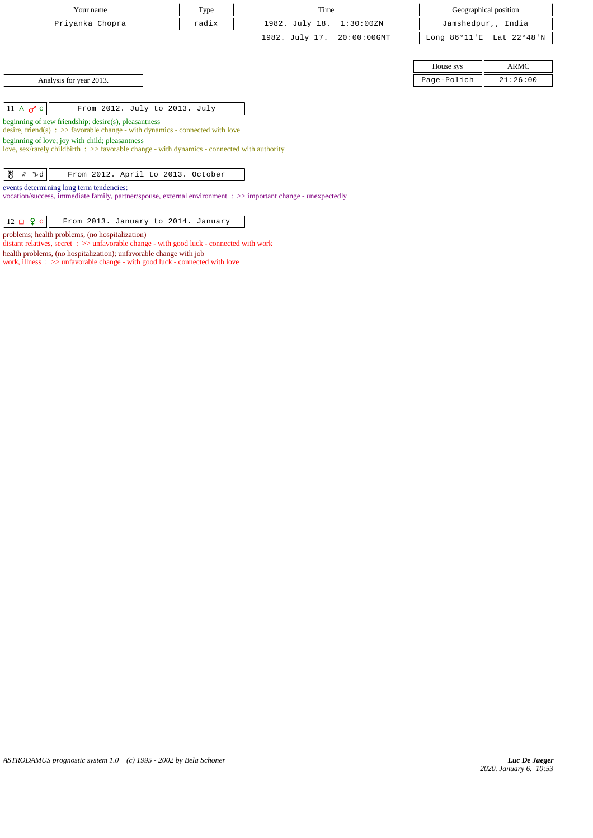| Your name                                                                                                                                                                                                                                                                                                                                                                 | Type  | Time                             |                        | Geographical position |  |
|---------------------------------------------------------------------------------------------------------------------------------------------------------------------------------------------------------------------------------------------------------------------------------------------------------------------------------------------------------------------------|-------|----------------------------------|------------------------|-----------------------|--|
| Priyanka Chopra                                                                                                                                                                                                                                                                                                                                                           | radix | 1982. July 18.<br>1:30:00ZN      |                        | Jamshedpur,, India    |  |
|                                                                                                                                                                                                                                                                                                                                                                           |       | 1982. July 17.<br>$20:00:00$ GMT | Long $86^{\circ}11$ 'E | Lat 22°48'N           |  |
|                                                                                                                                                                                                                                                                                                                                                                           |       |                                  |                        |                       |  |
|                                                                                                                                                                                                                                                                                                                                                                           |       |                                  | House sys              | ARMC                  |  |
| Analysis for year 2013.                                                                                                                                                                                                                                                                                                                                                   |       |                                  | Page-Polich            | 21:26:00              |  |
| $11 \triangle \sigma^{\prime}$ c<br>From 2012. July to 2013. July<br>beginning of new friendship; desire(s), pleasantness<br>desire, friend(s) : $\gg$ favorable change - with dynamics - connected with love<br>beginning of love; joy with child; pleasantness<br>love, sex/rarely childbirth $\Rightarrow$ favorable change - with dynamics - connected with authority |       |                                  |                        |                       |  |
| ზ<br>∡≀ ∿d<br>From 2012. April to 2013. October                                                                                                                                                                                                                                                                                                                           |       |                                  |                        |                       |  |
| events determining long term tendencies:<br>vocation/success, immediate family, partner/spouse, external environment : >> important change - unexpectedly                                                                                                                                                                                                                 |       |                                  |                        |                       |  |
| $12 \Box 9 c$<br>From 2013. January to 2014. January                                                                                                                                                                                                                                                                                                                      |       |                                  |                        |                       |  |

problems; health problems, (no hospitalization)

distant relatives, secret : >> unfavorable change - with good luck - connected with work

health problems, (no hospitalization); unfavorable change with job work, illness :  $\gg$  unfavorable change - with good luck - connected with love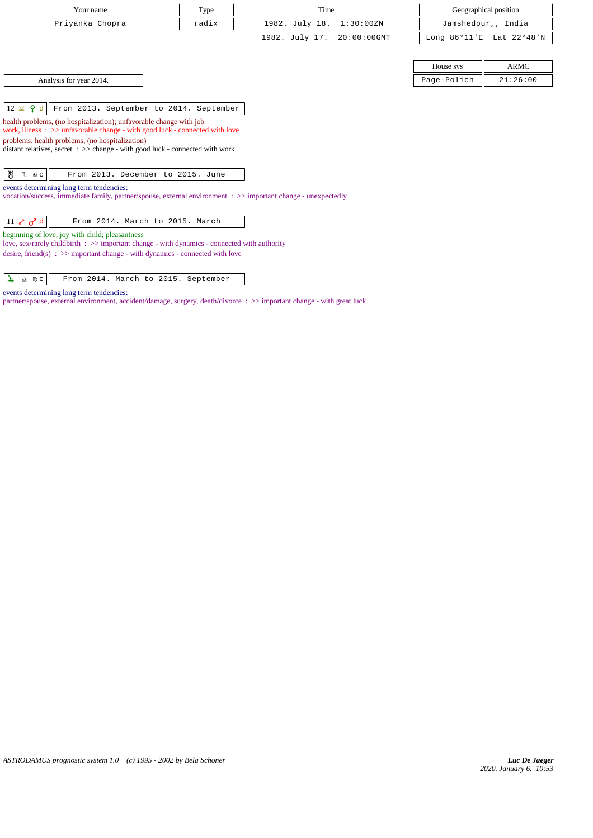| Your name       | Type  | Time                       | Geographical position    |
|-----------------|-------|----------------------------|--------------------------|
| Priyanka Chopra | radix | 1982. July 18. 1:30:00ZN   | Jamshedpur,, India       |
|                 |       | 1982. July 17. 20:00:00GMT | Long 86°11'E Lat 22°48'N |

|  |  | Analysis for year 2014. |  |
|--|--|-------------------------|--|
|  |  |                         |  |

House sys ARMC Page-Polich  $\parallel$  21:26:00

12 d From 2013. September to 2014. September

health problems, (no hospitalization); unfavorable change with job

work, illness : >> unfavorable change - with good luck - connected with love

problems; health problems, (no hospitalization)

distant relatives, secret : >> change - with good luck - connected with work

 $\mathcal{B}$   $\mathfrak{m}$  |  $\mathfrak{a}$  c | From 2013. December to 2015. June

events determining long term tendencies:

vocation/success, immediate family, partner/spouse, external environment : >> important change - unexpectedly

beginning of love; joy with child; pleasantness

love, sex/rarely childbirth : >> important change - with dynamics - connected with authority desire, friend(s) : >> important change - with dynamics - connected with love

 $\frac{1}{4}$   $\frac{1}{2}$   $\sqrt{2}$  From 2014. March to 2015. September

events determining long term tendencies:

partner/spouse, external environment, accident/damage, surgery, death/divorce : >> important change - with great luck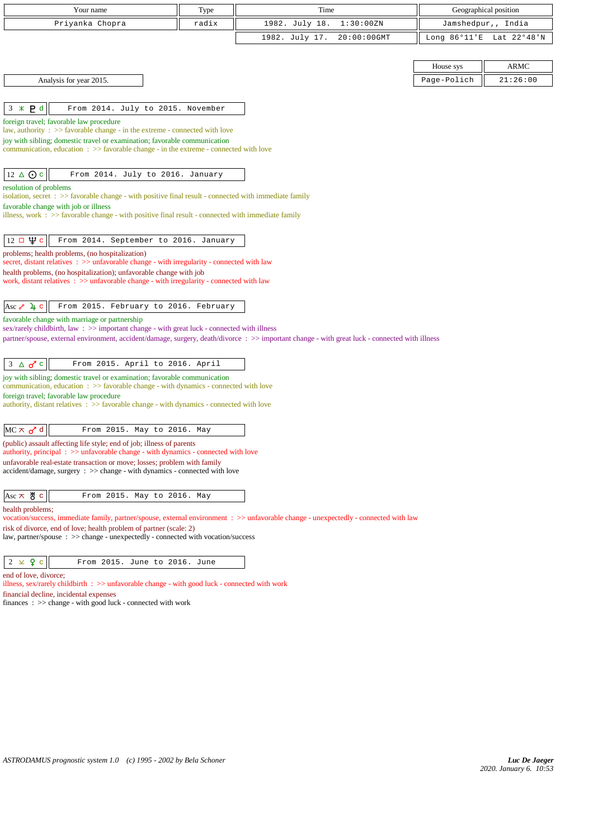| Your name                                                                                                                                                                                                                                    | Type  | Time           |                |                          | Geographical position |  |
|----------------------------------------------------------------------------------------------------------------------------------------------------------------------------------------------------------------------------------------------|-------|----------------|----------------|--------------------------|-----------------------|--|
| Priyanka Chopra                                                                                                                                                                                                                              | radix | 1982. July 18. | 1:30:00ZN      |                          | Jamshedpur,, India    |  |
|                                                                                                                                                                                                                                              |       | 1982. July 17. | $20:00:00$ GMT | Long 86°11'E Lat 22°48'N |                       |  |
|                                                                                                                                                                                                                                              |       |                |                |                          |                       |  |
|                                                                                                                                                                                                                                              |       |                |                | House sys                | ARMC                  |  |
| Analysis for year 2015.                                                                                                                                                                                                                      |       |                |                | Page-Polich              | 21:26:00              |  |
|                                                                                                                                                                                                                                              |       |                |                |                          |                       |  |
| P <sub>d</sub><br>$3 *$<br>From 2014. July to 2015. November                                                                                                                                                                                 |       |                |                |                          |                       |  |
| foreign travel; favorable law procedure                                                                                                                                                                                                      |       |                |                |                          |                       |  |
| law, authority : $\gg$ favorable change - in the extreme - connected with love<br>joy with sibling; domestic travel or examination; favorable communication                                                                                  |       |                |                |                          |                       |  |
| communication, education $\Rightarrow$ S favorable change - in the extreme - connected with love                                                                                                                                             |       |                |                |                          |                       |  |
|                                                                                                                                                                                                                                              |       |                |                |                          |                       |  |
| $12 \triangle$ Oc<br>From 2014. July to 2016. January                                                                                                                                                                                        |       |                |                |                          |                       |  |
| resolution of problems<br>isolation, secret : >> favorable change - with positive final result - connected with immediate family                                                                                                             |       |                |                |                          |                       |  |
| favorable change with job or illness                                                                                                                                                                                                         |       |                |                |                          |                       |  |
| illness, work : >> favorable change - with positive final result - connected with immediate family                                                                                                                                           |       |                |                |                          |                       |  |
| $12 \Box \Psi c$<br>From 2014. September to 2016. January                                                                                                                                                                                    |       |                |                |                          |                       |  |
| problems; health problems, (no hospitalization)                                                                                                                                                                                              |       |                |                |                          |                       |  |
| secret, distant relatives $\Rightarrow$ > unfavorable change - with irregularity - connected with law                                                                                                                                        |       |                |                |                          |                       |  |
| health problems, (no hospitalization); unfavorable change with job<br>work, distant relatives $\Rightarrow$ > $\Rightarrow$ unfavorable change - with irregularity - connected with law                                                      |       |                |                |                          |                       |  |
|                                                                                                                                                                                                                                              |       |                |                |                          |                       |  |
| Asc $\sim$ 4 c<br>From 2015. February to 2016. February                                                                                                                                                                                      |       |                |                |                          |                       |  |
| favorable change with marriage or partnership                                                                                                                                                                                                |       |                |                |                          |                       |  |
| sex/rarely childbirth, law: >> important change - with great luck - connected with illness<br>partner/spouse, external environment, accident/damage, surgery, death/divorce : >> important change - with great luck - connected with illness |       |                |                |                          |                       |  |
|                                                                                                                                                                                                                                              |       |                |                |                          |                       |  |
| $3 \triangle \sigma$ c<br>From 2015. April to 2016. April                                                                                                                                                                                    |       |                |                |                          |                       |  |
| joy with sibling; domestic travel or examination; favorable communication<br>communication, education $\Rightarrow$ > favorable change - with dynamics - connected with love                                                                 |       |                |                |                          |                       |  |
| foreign travel; favorable law procedure                                                                                                                                                                                                      |       |                |                |                          |                       |  |
| authority, distant relatives : >> favorable change - with dynamics - connected with love                                                                                                                                                     |       |                |                |                          |                       |  |
| $MC \times d$<br>From 2015. May to 2016. May                                                                                                                                                                                                 |       |                |                |                          |                       |  |
| (public) assault affecting life style; end of job; illness of parents                                                                                                                                                                        |       |                |                |                          |                       |  |
| authority, principal: >> unfavorable change - with dynamics - connected with love                                                                                                                                                            |       |                |                |                          |                       |  |
| unfavorable real-estate transaction or move; losses; problem with family<br>$accident/damage$ , surgery : $\gg$ change - with dynamics - connected with love                                                                                 |       |                |                |                          |                       |  |
|                                                                                                                                                                                                                                              |       |                |                |                          |                       |  |
| Asc $\pi$ & c<br>From 2015. May to 2016. May                                                                                                                                                                                                 |       |                |                |                          |                       |  |
| health problems;<br>vocation/success, immediate family, partner/spouse, external environment : >> unfavorable change - unexpectedly - connected with law                                                                                     |       |                |                |                          |                       |  |
| risk of divorce, end of love; health problem of partner (scale: 2)                                                                                                                                                                           |       |                |                |                          |                       |  |
| law, partner/spouse : >> change - unexpectedly - connected with vocation/success                                                                                                                                                             |       |                |                |                          |                       |  |
| $2 \times 9$ c<br>From 2015. June to 2016. June                                                                                                                                                                                              |       |                |                |                          |                       |  |
| end of love, divorce;                                                                                                                                                                                                                        |       |                |                |                          |                       |  |
| illness, sex/rarely childbirth $\therefore$ >> unfavorable change - with good luck - connected with work                                                                                                                                     |       |                |                |                          |                       |  |
| financial decline, incidental expenses<br>finances : $\gg$ change - with good luck - connected with work                                                                                                                                     |       |                |                |                          |                       |  |
|                                                                                                                                                                                                                                              |       |                |                |                          |                       |  |
|                                                                                                                                                                                                                                              |       |                |                |                          |                       |  |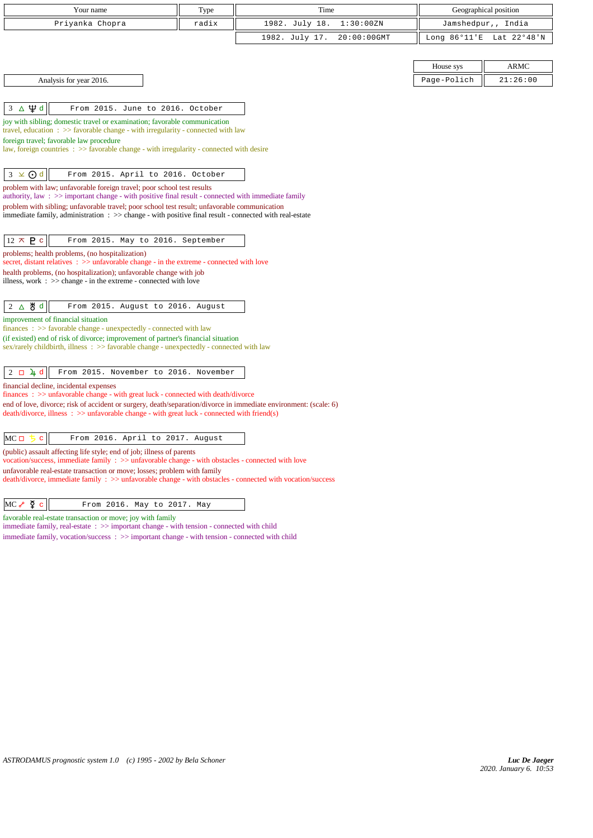| Your name                                                                                                                                                                                             | Type  | Time                          |                        | Geographical position |
|-------------------------------------------------------------------------------------------------------------------------------------------------------------------------------------------------------|-------|-------------------------------|------------------------|-----------------------|
| Priyanka Chopra                                                                                                                                                                                       | radix | 1982. July 18.<br>1:30:00ZN   | Jamshedpur,, India     |                       |
|                                                                                                                                                                                                       |       | 1982. July 17.<br>20:00:00GMT | Long $86^{\circ}11$ 'E | Lat 22°48'N           |
|                                                                                                                                                                                                       |       |                               |                        |                       |
|                                                                                                                                                                                                       |       |                               | House sys              | <b>ARMC</b>           |
| Analysis for year 2016.                                                                                                                                                                               |       |                               | Page-Polich            | 21:26:00              |
|                                                                                                                                                                                                       |       |                               |                        |                       |
| ∆Ѱф<br>From 2015. June to 2016. October<br>3                                                                                                                                                          |       |                               |                        |                       |
| joy with sibling; domestic travel or examination; favorable communication<br>travel, education $\Rightarrow$ Savorable change - with irregularity - connected with law                                |       |                               |                        |                       |
| foreign travel; favorable law procedure                                                                                                                                                               |       |                               |                        |                       |
| law, foreign countries $\Rightarrow$ > favorable change - with irregularity - connected with desire                                                                                                   |       |                               |                        |                       |
| $3 \times 0d$<br>From 2015. April to 2016. October                                                                                                                                                    |       |                               |                        |                       |
| problem with law; unfavorable foreign travel; poor school test results<br>authority, law $\Rightarrow$ important change - with positive final result - connected with immediate family                |       |                               |                        |                       |
| problem with sibling; unfavorable travel; poor school test result; unfavorable communication                                                                                                          |       |                               |                        |                       |
| immediate family, administration : >> change - with positive final result - connected with real-estate                                                                                                |       |                               |                        |                       |
| $12 \times P$ c<br>From 2015. May to 2016. September                                                                                                                                                  |       |                               |                        |                       |
| problems; health problems, (no hospitalization)                                                                                                                                                       |       |                               |                        |                       |
| secret, distant relatives $\Rightarrow$ unfavorable change - in the extreme - connected with love<br>health problems, (no hospitalization); unfavorable change with job                               |       |                               |                        |                       |
| illness, work $\Rightarrow$ $\Rightarrow$ change - in the extreme - connected with love                                                                                                               |       |                               |                        |                       |
|                                                                                                                                                                                                       |       |                               |                        |                       |
| $2 \Delta \theta$ d<br>From 2015. August to 2016. August                                                                                                                                              |       |                               |                        |                       |
| improvement of financial situation<br>$finances : \gg$ favorable change - unexpectedly - connected with law                                                                                           |       |                               |                        |                       |
| (if existed) end of risk of divorce; improvement of partner's financial situation                                                                                                                     |       |                               |                        |                       |
| sex/rarely childbirth, illness : >> favorable change - unexpectedly - connected with law                                                                                                              |       |                               |                        |                       |
| $2 \Box 4 d$<br>From 2015. November to 2016. November                                                                                                                                                 |       |                               |                        |                       |
| financial decline, incidental expenses                                                                                                                                                                |       |                               |                        |                       |
| finances : >> unfavorable change - with great luck - connected with death/divorce<br>end of love, divorce; risk of accident or surgery, death/separation/divorce in immediate environment: (scale: 6) |       |                               |                        |                       |
| $death/divorce, illness : \gg unfavorable change - with great luck - connected with friend(s)$                                                                                                        |       |                               |                        |                       |
|                                                                                                                                                                                                       |       |                               |                        |                       |
| $MC \Box$<br>From 2016. April to 2017. August<br>c.                                                                                                                                                   |       |                               |                        |                       |
| (public) assault affecting life style; end of job; illness of parents<br>vocation/success, immediate family : >> unfavorable change - with obstacles - connected with love                            |       |                               |                        |                       |
| unfavorable real-estate transaction or move; losses; problem with family<br>death/divorce, immediate family : >> unfavorable change - with obstacles - connected with vocation/success                |       |                               |                        |                       |
| $MC \rightarrow \Phi c$<br>From 2016. May to 2017. May                                                                                                                                                |       |                               |                        |                       |
| favorable real-estate transaction or move; joy with family                                                                                                                                            |       |                               |                        |                       |
| immediate family, real-estate : >> important change - with tension - connected with child<br>immediate family, vocation/success: >> important change - with tension - connected with child            |       |                               |                        |                       |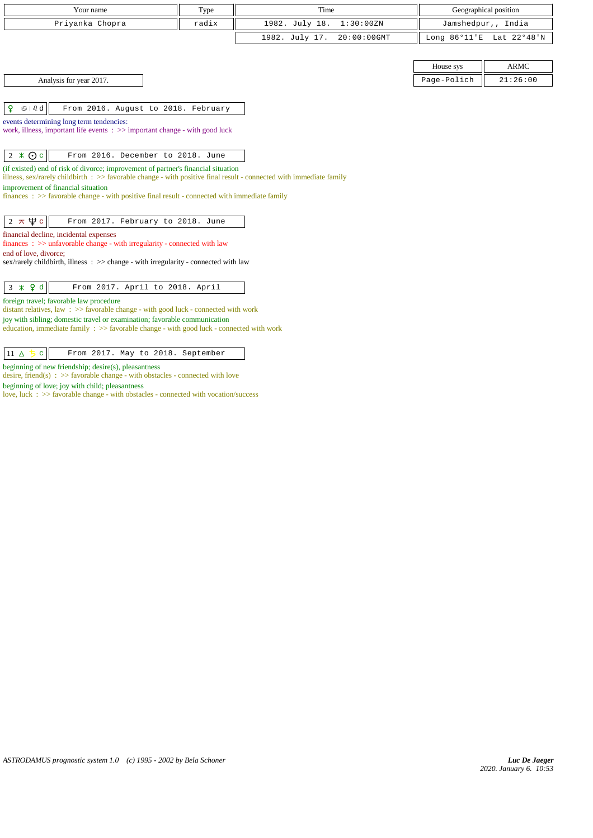| Your name                                                                                                                                                                                                | Type  | Time                          |                        | Geographical position |  |
|----------------------------------------------------------------------------------------------------------------------------------------------------------------------------------------------------------|-------|-------------------------------|------------------------|-----------------------|--|
| Priyanka Chopra                                                                                                                                                                                          | radix | 1982. July 18.<br>1:30:00ZN   |                        | Jamshedpur,, India    |  |
|                                                                                                                                                                                                          |       | 1982. July 17.<br>20:00:00GMT | Long $86^{\circ}11$ 'E | Lat 22°48'N           |  |
|                                                                                                                                                                                                          |       |                               |                        |                       |  |
|                                                                                                                                                                                                          |       |                               | House sys              | <b>ARMC</b>           |  |
| Analysis for year 2017.                                                                                                                                                                                  |       |                               | Page-Polich            | 21:26:00              |  |
|                                                                                                                                                                                                          |       |                               |                        |                       |  |
| ¥<br>$\mathfrak{S} \mid \mathfrak{V} \mathrm{d}$<br>From 2016. August to 2018. February                                                                                                                  |       |                               |                        |                       |  |
| events determining long term tendencies:                                                                                                                                                                 |       |                               |                        |                       |  |
| work, illness, important life events : >> important change - with good luck                                                                                                                              |       |                               |                        |                       |  |
|                                                                                                                                                                                                          |       |                               |                        |                       |  |
| $2 \times 0c$<br>From 2016. December to 2018. June                                                                                                                                                       |       |                               |                        |                       |  |
| (if existed) end of risk of divorce; improvement of partner's financial situation<br>illness, sex/rarely childbirth : >> favorable change - with positive final result - connected with immediate family |       |                               |                        |                       |  |
| improvement of financial situation                                                                                                                                                                       |       |                               |                        |                       |  |
| finances: >> favorable change - with positive final result - connected with immediate family                                                                                                             |       |                               |                        |                       |  |
|                                                                                                                                                                                                          |       |                               |                        |                       |  |
| $2 \pi \Psi c$<br>From 2017. February to 2018. June                                                                                                                                                      |       |                               |                        |                       |  |
| financial decline, incidental expenses<br>finances : >> unfavorable change - with irregularity - connected with law                                                                                      |       |                               |                        |                       |  |
| end of love, divorce;                                                                                                                                                                                    |       |                               |                        |                       |  |
| $sex/rarely childbirth$ , illness : $>>$ change - with irregularity - connected with law                                                                                                                 |       |                               |                        |                       |  |
|                                                                                                                                                                                                          |       |                               |                        |                       |  |
| $3 \times 9d$<br>From 2017. April to 2018. April<br>foreign travel; favorable law procedure                                                                                                              |       |                               |                        |                       |  |
| distant relatives, law: >> favorable change - with good luck - connected with work                                                                                                                       |       |                               |                        |                       |  |
| joy with sibling; domestic travel or examination; favorable communication                                                                                                                                |       |                               |                        |                       |  |
| education, immediate family $\Rightarrow$ favorable change - with good luck - connected with work                                                                                                        |       |                               |                        |                       |  |
|                                                                                                                                                                                                          |       |                               |                        |                       |  |

 $\boxed{11 \Delta 5 c}$  From 2017. May to 2018. September

beginning of new friendship; desire(s), pleasantness

desire, friend(s)  $\therefore$  >> favorable change - with obstacles - connected with love

beginning of love; joy with child; pleasantness

love, luck : >> favorable change - with obstacles - connected with vocation/success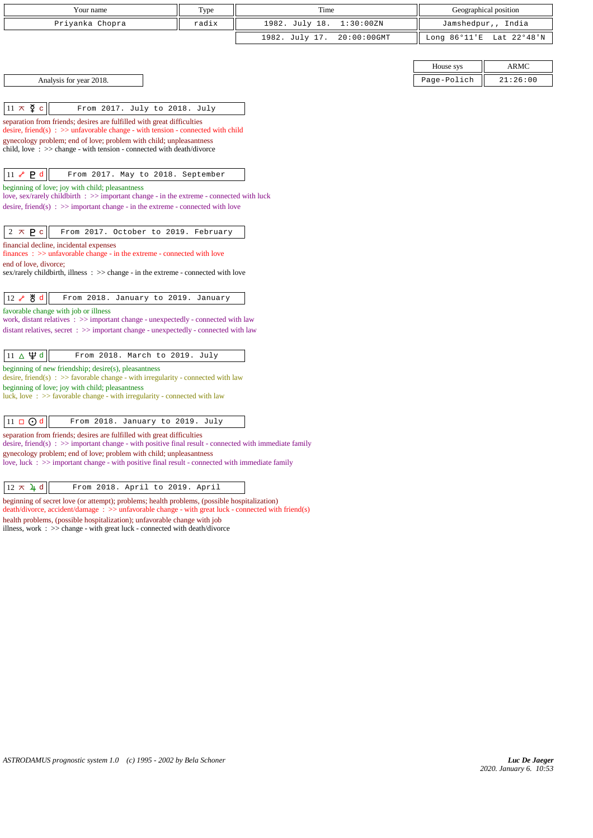| Your name                                                                                                                                                                       | Type  | Time                          |                        | Geographical position |
|---------------------------------------------------------------------------------------------------------------------------------------------------------------------------------|-------|-------------------------------|------------------------|-----------------------|
| Priyanka Chopra                                                                                                                                                                 | radix | 1982. July 18.<br>1:30:00ZN   | Jamshedpur,, India     |                       |
|                                                                                                                                                                                 |       | 1982. July 17.<br>20:00:00GMT | Long $86^{\circ}11$ 'E | Lat 22°48'N           |
|                                                                                                                                                                                 |       |                               |                        |                       |
|                                                                                                                                                                                 |       |                               | House sys              | <b>ARMC</b>           |
| Analysis for year 2018.                                                                                                                                                         |       |                               | Page-Polich            | 21:26:00              |
|                                                                                                                                                                                 |       |                               |                        |                       |
| $11 \times \Sigma$<br>$\mathbf c$<br>From 2017. July to 2018. July                                                                                                              |       |                               |                        |                       |
| separation from friends; desires are fulfilled with great difficulties<br>desire, friend(s) : $\gg$ unfavorable change - with tension - connected with child                    |       |                               |                        |                       |
| gynecology problem; end of love; problem with child; unpleasantness                                                                                                             |       |                               |                        |                       |
| child, love $\Rightarrow$ >> change - with tension - connected with death/divorce                                                                                               |       |                               |                        |                       |
|                                                                                                                                                                                 |       |                               |                        |                       |
| P <sub>d</sub><br>$11\text{ }s$<br>From 2017. May to 2018. September                                                                                                            |       |                               |                        |                       |
| beginning of love; joy with child; pleasantness<br>love, sex/rarely childbirth $\Rightarrow$ important change - in the extreme - connected with luck                            |       |                               |                        |                       |
| desire, friend(s) : $\gg$ important change - in the extreme - connected with love                                                                                               |       |                               |                        |                       |
|                                                                                                                                                                                 |       |                               |                        |                       |
| $2 \times P$<br>From 2017. October to 2019. February                                                                                                                            |       |                               |                        |                       |
| financial decline, incidental expenses<br>$finances : \gg$ unfavorable change - in the extreme - connected with love                                                            |       |                               |                        |                       |
| end of love, divorce;                                                                                                                                                           |       |                               |                        |                       |
| sex/rarely childbirth, illness : >> change - in the extreme - connected with love                                                                                               |       |                               |                        |                       |
| 12 S 5 d<br>From 2018. January to 2019. January                                                                                                                                 |       |                               |                        |                       |
| favorable change with job or illness                                                                                                                                            |       |                               |                        |                       |
| work, distant relatives : >> important change - unexpectedly - connected with law                                                                                               |       |                               |                        |                       |
| distant relatives, secret : >> important change - unexpectedly - connected with law                                                                                             |       |                               |                        |                       |
|                                                                                                                                                                                 |       |                               |                        |                       |
| $11 \triangle \Psi d$<br>From 2018. March to 2019. July                                                                                                                         |       |                               |                        |                       |
| beginning of new friendship; desire(s), pleasantness<br>desire, friend(s) : $\gg$ favorable change - with irregularity - connected with law                                     |       |                               |                        |                       |
| beginning of love; joy with child; pleasantness                                                                                                                                 |       |                               |                        |                       |
| luck, love $\Rightarrow$ 5 favorable change - with irregularity - connected with law                                                                                            |       |                               |                        |                       |
| $11 \square$ $\bigodot$ d<br>From 2018. January to 2019. July                                                                                                                   |       |                               |                        |                       |
| separation from friends; desires are fulfilled with great difficulties                                                                                                          |       |                               |                        |                       |
| desire, friend(s) : $\gg$ important change - with positive final result - connected with immediate family                                                                       |       |                               |                        |                       |
| gynecology problem; end of love; problem with child; unpleasantness<br>love, luck $\Rightarrow$ important change - with positive final result - connected with immediate family |       |                               |                        |                       |
|                                                                                                                                                                                 |       |                               |                        |                       |
| $12 \times 4$ d<br>From 2018. April to 2019. April                                                                                                                              |       |                               |                        |                       |
| ginning of secret love (or etternat); problems; health problems (possible bosnitalization)                                                                                      |       |                               |                        |                       |

beginning of secret love (or attempt); problems; health problems, (possible hospitalization) death/divorce, accident/damage : >> unfavorable change - with great luck - connected with friend(s) health problems, (possible hospitalization); unfavorable change with job illness, work : >> change - with great luck - connected with death/divorce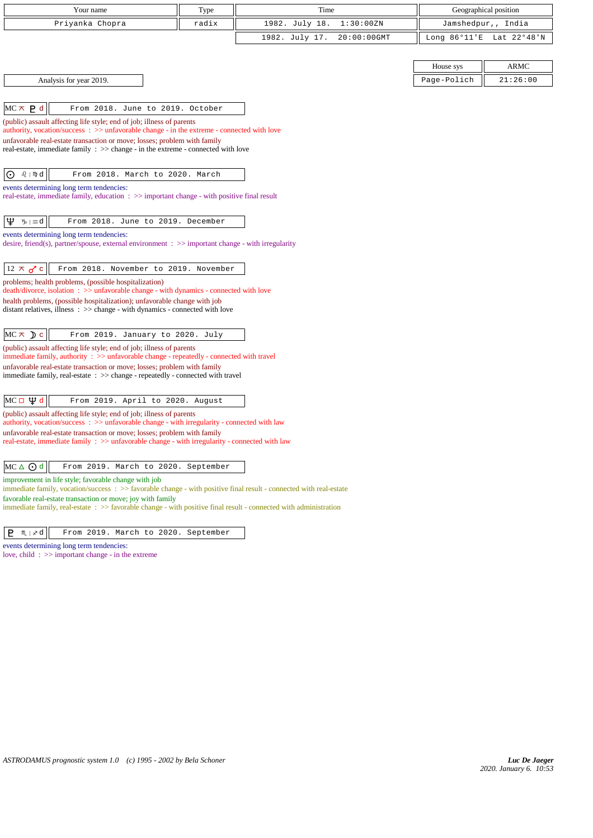| Your name                                                                                                                                                                               | Type  | Time           |             | Geographical position  |                    |
|-----------------------------------------------------------------------------------------------------------------------------------------------------------------------------------------|-------|----------------|-------------|------------------------|--------------------|
| Priyanka Chopra                                                                                                                                                                         | radix | 1982. July 18. | 1:30:00ZN   |                        | Jamshedpur,, India |
|                                                                                                                                                                                         |       | 1982. July 17. | 20:00:00GMT | Long $86^{\circ}11$ 'E | Lat 22°48'N        |
|                                                                                                                                                                                         |       |                |             |                        |                    |
|                                                                                                                                                                                         |       |                |             | House sys              | <b>ARMC</b>        |
| Analysis for year 2019.                                                                                                                                                                 |       |                |             | Page-Polich            | 21:26:00           |
|                                                                                                                                                                                         |       |                |             |                        |                    |
| $MC \times P d$<br>From 2018. June to 2019. October                                                                                                                                     |       |                |             |                        |                    |
| (public) assault affecting life style; end of job; illness of parents<br>authority, vocation/success: >> unfavorable change - in the extreme - connected with love                      |       |                |             |                        |                    |
| unfavorable real-estate transaction or move; losses; problem with family                                                                                                                |       |                |             |                        |                    |
| real-estate, immediate family $\therefore$ >> change - in the extreme - connected with love                                                                                             |       |                |             |                        |                    |
|                                                                                                                                                                                         |       |                |             |                        |                    |
| $\bigodot$ $\theta$   $\mathbb{N}$ d<br>From 2018. March to 2020. March                                                                                                                 |       |                |             |                        |                    |
| events determining long term tendencies:<br>real-estate, immediate family, education : >> important change - with positive final result                                                 |       |                |             |                        |                    |
|                                                                                                                                                                                         |       |                |             |                        |                    |
| Ψ<br>$\n  w d\n$<br>From 2018. June to 2019. December                                                                                                                                   |       |                |             |                        |                    |
| events determining long term tendencies:<br>desire, friend(s), partner/spouse, external environment $\Rightarrow$ important change - with irregularity                                  |       |                |             |                        |                    |
|                                                                                                                                                                                         |       |                |             |                        |                    |
| $12 \times \sigma$ c<br>From 2018. November to 2019. November                                                                                                                           |       |                |             |                        |                    |
| problems; health problems, (possible hospitalization)<br>death/divorce, isolation: >> unfavorable change - with dynamics - connected with love                                          |       |                |             |                        |                    |
| health problems, (possible hospitalization); unfavorable change with job<br>distant relatives, illness $\Rightarrow$ >> change - with dynamics - connected with love                    |       |                |             |                        |                    |
|                                                                                                                                                                                         |       |                |             |                        |                    |
| $MC \times D$ c<br>From 2019. January to 2020. July                                                                                                                                     |       |                |             |                        |                    |
| (public) assault affecting life style; end of job; illness of parents                                                                                                                   |       |                |             |                        |                    |
| immediate family, authority : >> unfavorable change - repeatedly - connected with travel<br>unfavorable real-estate transaction or move; losses; problem with family                    |       |                |             |                        |                    |
| immediate family, real-estate : >> change - repeatedly - connected with travel                                                                                                          |       |                |             |                        |                    |
|                                                                                                                                                                                         |       |                |             |                        |                    |
| МС□Ѱѻ<br>From 2019. April to 2020. August                                                                                                                                               |       |                |             |                        |                    |
| (public) assault affecting life style; end of job; illness of parents<br>authority, vocation/success: >> unfavorable change - with irregularity - connected with law                    |       |                |             |                        |                    |
| unfavorable real-estate transaction or move; losses; problem with family                                                                                                                |       |                |             |                        |                    |
| real-estate, immediate family $\therefore$ >> unfavorable change - with irregularity - connected with law                                                                               |       |                |             |                        |                    |
| $MC \triangle$ $\odot$ d<br>From 2019. March to 2020. September                                                                                                                         |       |                |             |                        |                    |
| improvement in life style; favorable change with job<br>immediate family, vocation/success : >> favorable change - with positive final result - connected with real-estate              |       |                |             |                        |                    |
| favorable real-estate transaction or move; joy with family<br>immediate family, real-estate $\Rightarrow$ Savorable change - with positive final result - connected with administration |       |                |             |                        |                    |

## $\boxed{\mathsf{P}$   $\mathsf{M}$   $|\mathscr{B}|$  From 2019. March to 2020. September

events determining long term tendencies: love, child : >> important change - in the extreme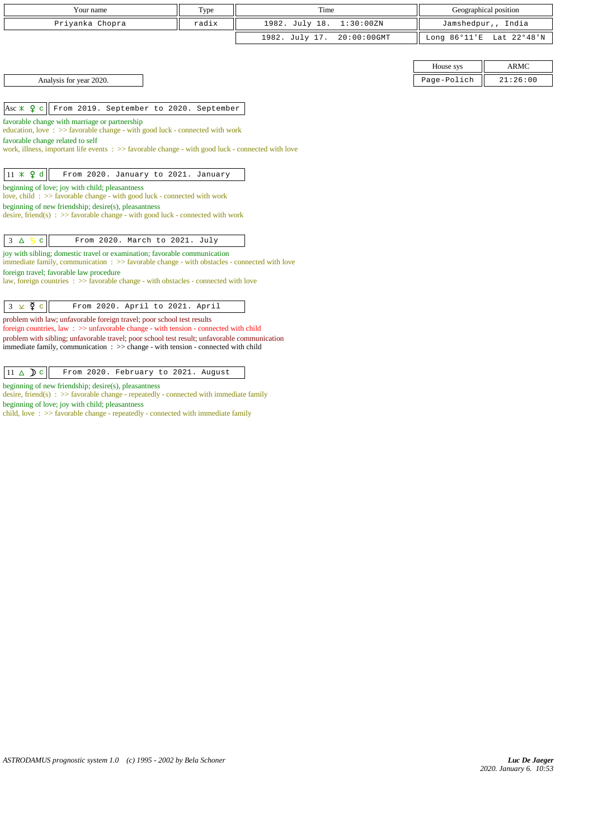| Your name               | Type  | Time                       |             | Geographical position    |
|-------------------------|-------|----------------------------|-------------|--------------------------|
| Priyanka Chopra         | radix | 1982. July 18. 1:30:00ZN   |             | Jamshedpur,, India       |
|                         |       | 1982. July 17. 20:00:00GMT |             | Long 86°11'E Lat 22°48'N |
|                         |       |                            |             |                          |
|                         |       |                            | House sys   | <b>ARMC</b>              |
| Analysis for year 2020. |       |                            | Page-Polich | 21:26:00                 |

 $\left|\text{Asc} \not\!\!\!\!\times \; \bm{\mathsf{Q}} \right|$  From 2019. September to 2020. September

favorable change with marriage or partnership

education, love : >> favorable change - with good luck - connected with work

favorable change related to self

 $\overline{\phantom{a}}$ 

work, illness, important life events :  $\gg$  favorable change - with good luck - connected with love

beginning of love; joy with child; pleasantness

love, child :  $\gg$  favorable change - with good luck - connected with work

beginning of new friendship; desire(s), pleasantness desire, friend(s) :  $\gg$  favorable change - with good luck - connected with work

| $3\Delta$ |  | From 2020. March to 2021. July |  |  |  |
|-----------|--|--------------------------------|--|--|--|

joy with sibling; domestic travel or examination; favorable communication

immediate family, communication : >> favorable change - with obstacles - connected with love foreign travel; favorable law procedure

law, foreign countries : >> favorable change - with obstacles - connected with love

problem with law; unfavorable foreign travel; poor school test results

foreign countries, law : >> unfavorable change - with tension - connected with child problem with sibling; unfavorable travel; poor school test result; unfavorable communication immediate family, communication : >> change - with tension - connected with child

 $11 \triangle D c$  From 2020. February to 2021. August

beginning of new friendship; desire(s), pleasantness

desire, friend(s)  $\Rightarrow$  >> favorable change - repeatedly - connected with immediate family beginning of love; joy with child; pleasantness

child, love : >> favorable change - repeatedly - connected with immediate family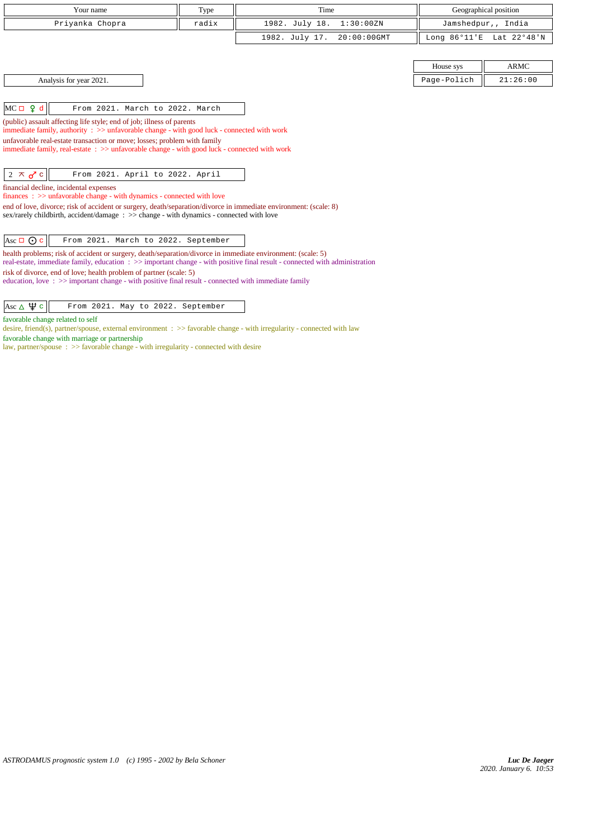| Your name                                                                                                                   | Type | Time                          |                        | Geographical position |  |  |
|-----------------------------------------------------------------------------------------------------------------------------|------|-------------------------------|------------------------|-----------------------|--|--|
| Privanka Chopra<br>radix                                                                                                    |      | 1982. July 18.<br>1:30:00ZN   | Jamshedpur,, India     |                       |  |  |
|                                                                                                                             |      | 1982. July 17.<br>20:00:00GMT | Long $86^{\circ}11$ 'E | Lat 22°48'N           |  |  |
|                                                                                                                             |      |                               |                        |                       |  |  |
|                                                                                                                             |      |                               | House sys              | <b>ARMC</b>           |  |  |
| Analysis for year 2021.                                                                                                     |      |                               | Page-Polich            | 21:26:00              |  |  |
|                                                                                                                             |      |                               |                        |                       |  |  |
| $MC \Box 9 d$<br>From 2021. March to 2022. March                                                                            |      |                               |                        |                       |  |  |
| (public) assault affecting life style; end of job; illness of parents                                                       |      |                               |                        |                       |  |  |
| immediate family, authority $\Rightarrow$ > unfavorable change - with good luck - connected with work                       |      |                               |                        |                       |  |  |
| unfavorable real-estate transaction or move; losses; problem with family                                                    |      |                               |                        |                       |  |  |
| immediate family, real-estate : >> unfavorable change - with good luck - connected with work                                |      |                               |                        |                       |  |  |
|                                                                                                                             |      |                               |                        |                       |  |  |
| $2 \times d$ c<br>From 2021. April to 2022. April                                                                           |      |                               |                        |                       |  |  |
| financial decline, incidental expenses                                                                                      |      |                               |                        |                       |  |  |
| $finances: \gg$ unfavorable change - with dynamics - connected with love                                                    |      |                               |                        |                       |  |  |
| end of love, divorce; risk of accident or surgery, death/separation/divorce in immediate environment: (scale: 8)            |      |                               |                        |                       |  |  |
| sex/rarely childbirth, accident/damage: >> change - with dynamics - connected with love                                     |      |                               |                        |                       |  |  |
|                                                                                                                             |      |                               |                        |                       |  |  |
| Asc $\Box$ $\odot$ c<br>From 2021. March to 2022. September                                                                 |      |                               |                        |                       |  |  |
| health problems; risk of accident or surgery, death/separation/divorce in immediate environment: (scale: 5)                 |      |                               |                        |                       |  |  |
| real-estate, immediate family, education : >> important change - with positive final result - connected with administration |      |                               |                        |                       |  |  |
| risk of divorce, end of love; health problem of partner (scale: 5)                                                          |      |                               |                        |                       |  |  |
| education, love: >> important change - with positive final result - connected with immediate family                         |      |                               |                        |                       |  |  |
|                                                                                                                             |      |                               |                        |                       |  |  |

Asc  $\Delta \Psi c$  From 2021. May to 2022. September

favorable change related to self

desire, friend(s), partner/spouse, external environment : >> favorable change - with irregularity - connected with law favorable change with marriage or partnership

law, partner/spouse : >> favorable change - with irregularity - connected with desire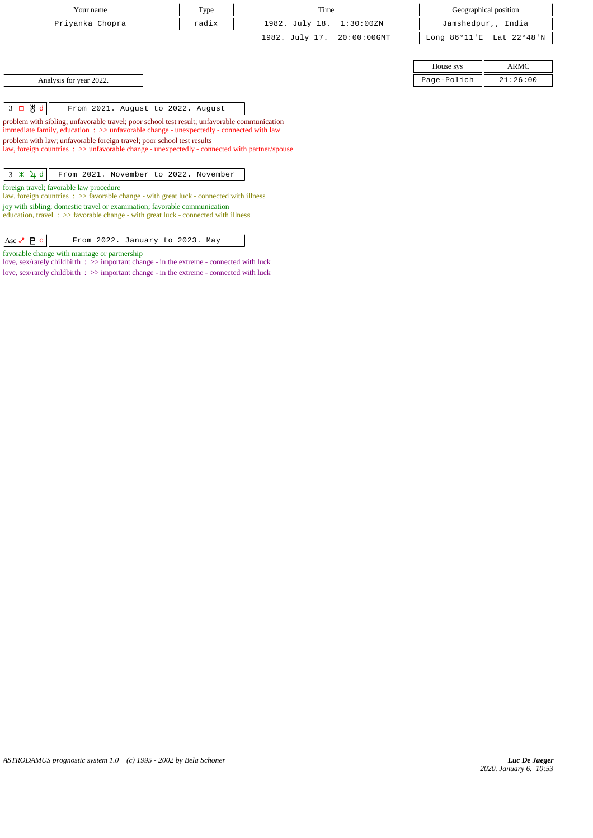| Your name<br>Type                                                                                                                                                            |                   | Time                          | Geographical position  |                    |  |  |  |
|------------------------------------------------------------------------------------------------------------------------------------------------------------------------------|-------------------|-------------------------------|------------------------|--------------------|--|--|--|
| Priyanka Chopra<br>radix                                                                                                                                                     |                   | 1982. July 18.<br>1:30:00ZN   |                        | Jamshedpur,, India |  |  |  |
|                                                                                                                                                                              |                   | 1982. July 17.<br>20:00:00GMT | Long $86^{\circ}11$ 'E | Lat 22°48'N        |  |  |  |
|                                                                                                                                                                              |                   |                               |                        |                    |  |  |  |
|                                                                                                                                                                              | ARMC<br>House sys |                               |                        |                    |  |  |  |
| Analysis for year 2022.                                                                                                                                                      |                   |                               | Page-Polich            | 21:26:00           |  |  |  |
|                                                                                                                                                                              |                   |                               |                        |                    |  |  |  |
| $3 \Box \& d$<br>From 2021. August to 2022. August                                                                                                                           |                   |                               |                        |                    |  |  |  |
| problem with sibling; unfavorable travel; poor school test result; unfavorable communication                                                                                 |                   |                               |                        |                    |  |  |  |
| immediate family, education $\Rightarrow$ > unfavorable change - unexpectedly - connected with law<br>problem with law; unfavorable foreign travel; poor school test results |                   |                               |                        |                    |  |  |  |
| law, foreign countries : >> unfavorable change - unexpectedly - connected with partner/spouse                                                                                |                   |                               |                        |                    |  |  |  |
|                                                                                                                                                                              |                   |                               |                        |                    |  |  |  |
| $3 \times 4d$<br>From 2021. November to 2022. November                                                                                                                       |                   |                               |                        |                    |  |  |  |
| foreign travel; favorable law procedure<br>law, foreign countries $\Rightarrow$ Savorable change - with great luck - connected with illness                                  |                   |                               |                        |                    |  |  |  |
| joy with sibling; domestic travel or examination; favorable communication<br>education, travel $\Rightarrow$ Savorable change - with great luck - connected with illness     |                   |                               |                        |                    |  |  |  |

Asc  $\sqrt{P}$  c From 2022. January to 2023. May

love, sex/rarely childbirth : >> important change - in the extreme - connected with luck love, sex/rarely childbirth : >> important change - in the extreme - connected with luck

favorable change with marriage or partnership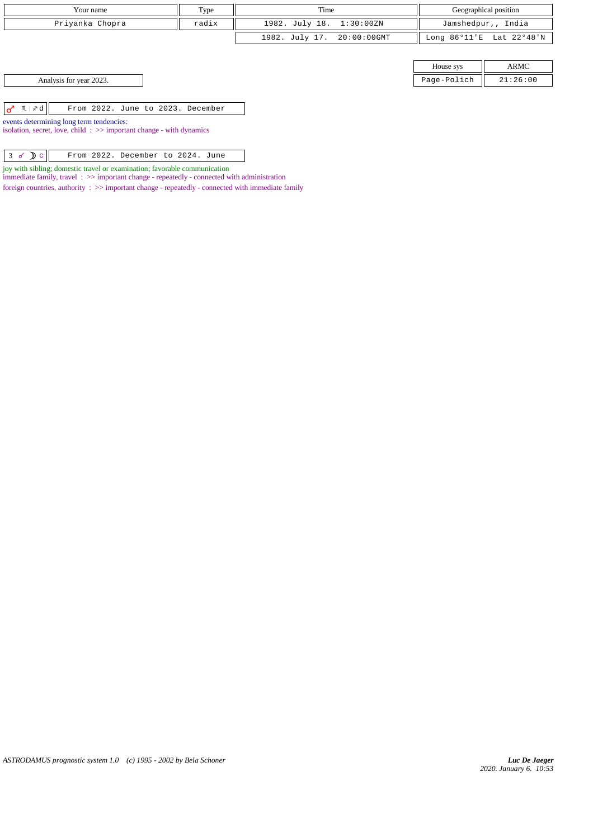| Your name                                                                                                          | Type  | Time                       |             | Geographical position    |
|--------------------------------------------------------------------------------------------------------------------|-------|----------------------------|-------------|--------------------------|
| Priyanka Chopra                                                                                                    | radix | 1982. July 18. 1:30:00ZN   |             | Jamshedpur,, India       |
|                                                                                                                    |       | 1982. July 17. 20:00:00GMT |             | Long 86°11'E Lat 22°48'N |
|                                                                                                                    |       |                            |             |                          |
|                                                                                                                    |       |                            | House sys   | ARMC                     |
| Analysis for year 2023.                                                                                            |       |                            | Page-Polich | 21:26:00                 |
|                                                                                                                    |       |                            |             |                          |
| $\sigma$ <sup>n</sup> $\mathbb{R}$ $\times$ d<br>From 2022. June to 2023. December                                 |       |                            |             |                          |
| events determining long term tendencies:<br>isolation, secret, love, child: $\gg$ important change - with dynamics |       |                            |             |                          |

joy with sibling; domestic travel or examination; favorable communication

immediate family, travel :  $>$  important change - repeatedly - connected with administration

foreign countries, authority  $\, : \, >>$  important change - repeatedly - connected with immediate family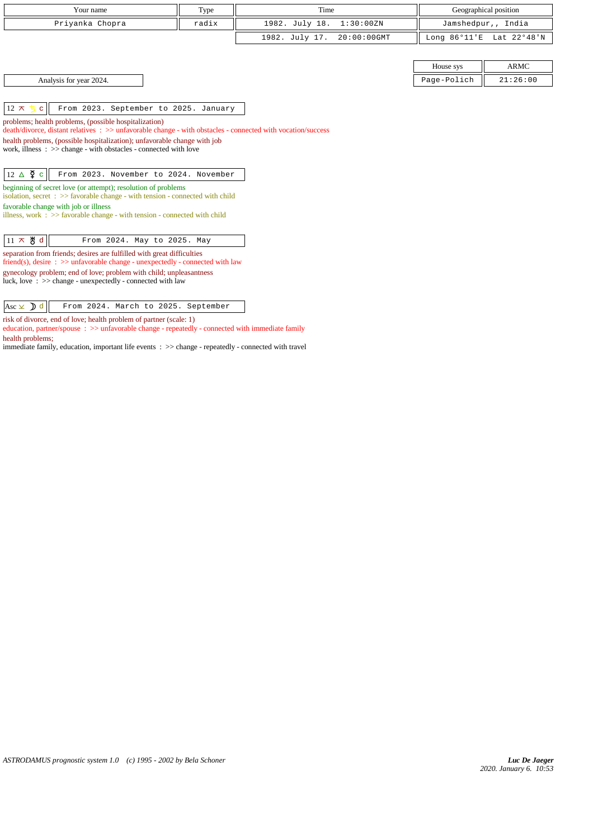| Your name                                                                                                                                                                                                                                                                                                            | Type                                                                                                                                                                                    | Time                             |                        | Geographical position |  |  |
|----------------------------------------------------------------------------------------------------------------------------------------------------------------------------------------------------------------------------------------------------------------------------------------------------------------------|-----------------------------------------------------------------------------------------------------------------------------------------------------------------------------------------|----------------------------------|------------------------|-----------------------|--|--|
| Priyanka Chopra                                                                                                                                                                                                                                                                                                      | radix                                                                                                                                                                                   | 1982. July 18.<br>1:30:00ZN      |                        | Jamshedpur,, India    |  |  |
|                                                                                                                                                                                                                                                                                                                      |                                                                                                                                                                                         | 1982. July 17.<br>$20:00:00$ GMT | Long $86^{\circ}11$ 'E | Lat 22°48'N           |  |  |
|                                                                                                                                                                                                                                                                                                                      |                                                                                                                                                                                         |                                  |                        |                       |  |  |
|                                                                                                                                                                                                                                                                                                                      |                                                                                                                                                                                         |                                  | House sys              | <b>ARMC</b>           |  |  |
| Analysis for year 2024.                                                                                                                                                                                                                                                                                              |                                                                                                                                                                                         |                                  | Page-Polich            | 21:26:00              |  |  |
| From 2023. September to 2025. January<br>$12 \times 5$<br>$\mathbf{C}^{\top}$                                                                                                                                                                                                                                        |                                                                                                                                                                                         |                                  |                        |                       |  |  |
| problems; health problems, (possible hospitalization)                                                                                                                                                                                                                                                                | death/divorce, distant relatives : >> unfavorable change - with obstacles - connected with vocation/success<br>health problems, (possible hospitalization); unfavorable change with job |                                  |                        |                       |  |  |
| work, illness $\Rightarrow$ $\Rightarrow$ change - with obstacles - connected with love                                                                                                                                                                                                                              |                                                                                                                                                                                         |                                  |                        |                       |  |  |
| $12 \triangle \n\overline{9}$ c<br>From 2023. November to 2024. November                                                                                                                                                                                                                                             |                                                                                                                                                                                         |                                  |                        |                       |  |  |
| beginning of secret love (or attempt); resolution of problems<br>isolation, secret : >> favorable change - with tension - connected with child<br>favorable change with job or illness<br>illness, work $\Rightarrow$ >> favorable change - with tension - connected with child                                      |                                                                                                                                                                                         |                                  |                        |                       |  |  |
| $11 \times$ 뿅 d<br>From 2024. May to 2025. May                                                                                                                                                                                                                                                                       |                                                                                                                                                                                         |                                  |                        |                       |  |  |
| separation from friends; desires are fulfilled with great difficulties<br>friend(s), desire $\Rightarrow$ >> unfavorable change - unexpectedly - connected with law<br>gynecology problem; end of love; problem with child; unpleasantness<br>luck, love $\Rightarrow$ >> change - unexpectedly - connected with law |                                                                                                                                                                                         |                                  |                        |                       |  |  |
| Asc $\times$ d<br>From 2024. March to 2025. September                                                                                                                                                                                                                                                                |                                                                                                                                                                                         |                                  |                        |                       |  |  |

risk of divorce, end of love; health problem of partner (scale: 1)

education, partner/spouse  $\Rightarrow$   $\Rightarrow$  unfavorable change - repeatedly - connected with immediate family health problems;

immediate family, education, important life events : >> change - repeatedly - connected with travel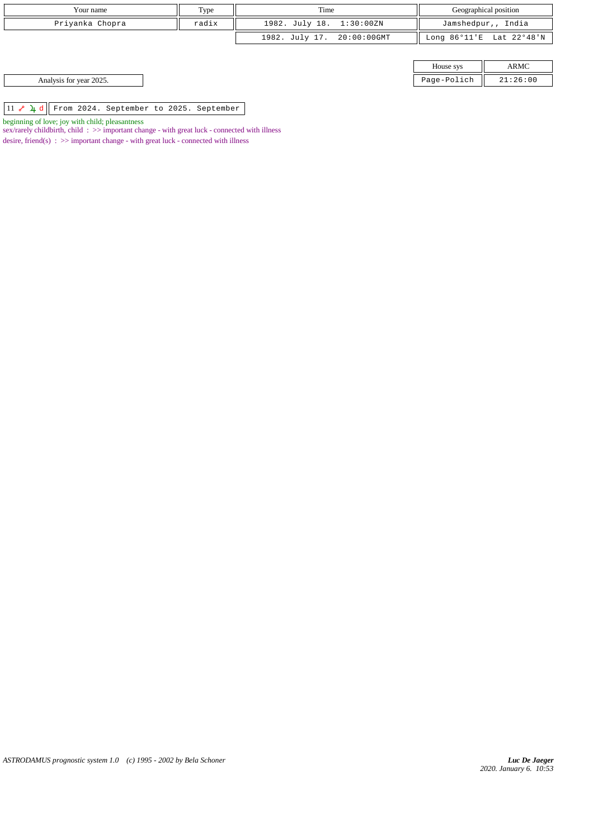| Your name               | Type  | Time                       |             | Geographical position    |
|-------------------------|-------|----------------------------|-------------|--------------------------|
| Priyanka Chopra         | radix | 1982. July 18. 1:30:00ZN   |             | Jamshedpur,, India       |
|                         |       | 1982. July 17. 20:00:00GMT |             | Long 86°11'E Lat 22°48'N |
|                         |       |                            |             |                          |
|                         |       |                            | House sys   | ARMC                     |
| Analysis for year 2025. |       |                            | Page-Polich | 21:26:00                 |

 $\boxed{11 \; \textcolor{blue}{\bullet} \; \textcolor{blue}{\textbf{4}} \; \textcolor{blue}{\textbf{d}}}$  From 2024. September to 2025. September

beginning of love; joy with child; pleasantness

sex/rarely childbirth, child :  $>$  important change - with great luck - connected with illness desire, friend(s)  $\Rightarrow$  >> important change - with great luck - connected with illness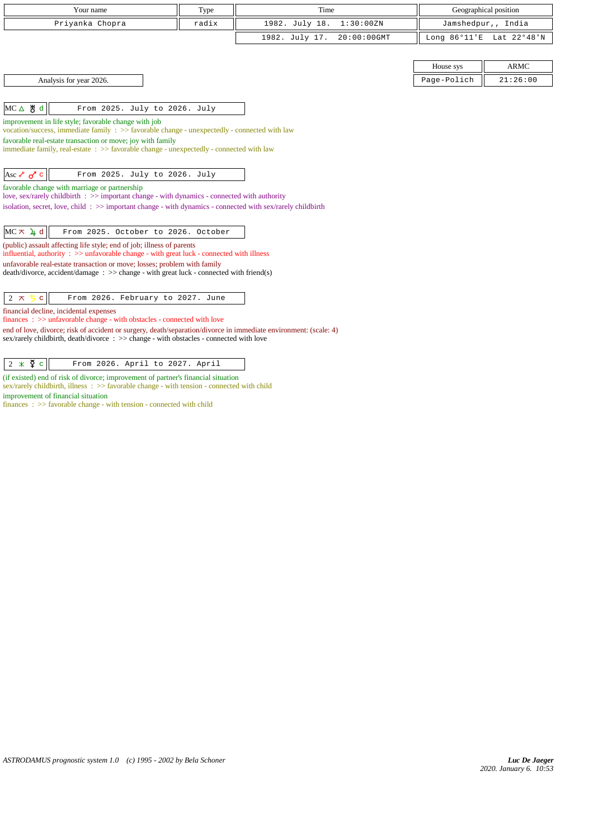| Your name<br>Type                                                                                                                                                                           |  | Time                             |                 | Geographical position |
|---------------------------------------------------------------------------------------------------------------------------------------------------------------------------------------------|--|----------------------------------|-----------------|-----------------------|
| Priyanka Chopra<br>radix                                                                                                                                                                    |  | 1982. July 18.<br>1:30:00ZN      |                 | Jamshedpur,, India    |
|                                                                                                                                                                                             |  | 1982. July 17.<br>$20:00:00$ GMT | Long $86°11' E$ | Lat 22°48'N           |
|                                                                                                                                                                                             |  |                                  |                 |                       |
|                                                                                                                                                                                             |  |                                  | House sys       | <b>ARMC</b>           |
| Analysis for year 2026.                                                                                                                                                                     |  |                                  | Page-Polich     | 21:26:00              |
|                                                                                                                                                                                             |  |                                  |                 |                       |
| MC△ 5 d<br>From 2025. July to 2026. July                                                                                                                                                    |  |                                  |                 |                       |
| improvement in life style; favorable change with job                                                                                                                                        |  |                                  |                 |                       |
| vocation/success, immediate family $\Rightarrow$ favorable change - unexpectedly - connected with law<br>favorable real-estate transaction or move; joy with family                         |  |                                  |                 |                       |
| immediate family, real-estate : >> favorable change - unexpectedly - connected with law                                                                                                     |  |                                  |                 |                       |
|                                                                                                                                                                                             |  |                                  |                 |                       |
| Asc $\delta$ o <sup>7</sup> c<br>From 2025. July to 2026. July                                                                                                                              |  |                                  |                 |                       |
| favorable change with marriage or partnership<br>love, sex/rarely childbirth : >> important change - with dynamics - connected with authority                                               |  |                                  |                 |                       |
| isolation, secret, love, child: >> important change - with dynamics - connected with sex/rarely childbirth                                                                                  |  |                                  |                 |                       |
|                                                                                                                                                                                             |  |                                  |                 |                       |
| $MC \times 4d$<br>From 2025. October to 2026. October                                                                                                                                       |  |                                  |                 |                       |
| (public) assault affecting life style; end of job; illness of parents<br>influential, authority $\Rightarrow$ > $\Rightarrow$ unfavorable change - with great luck - connected with illness |  |                                  |                 |                       |
| unfavorable real-estate transaction or move; losses; problem with family                                                                                                                    |  |                                  |                 |                       |
| death/divorce, accident/damage: >> change - with great luck - connected with friend(s)                                                                                                      |  |                                  |                 |                       |
|                                                                                                                                                                                             |  |                                  |                 |                       |
| $2 \pi$<br>$\mathbf{C}$<br>From 2026. February to 2027. June                                                                                                                                |  |                                  |                 |                       |
| financial decline, incidental expenses<br>finances: >> unfavorable change - with obstacles - connected with love                                                                            |  |                                  |                 |                       |
| end of love, divorce; risk of accident or surgery, death/separation/divorce in immediate environment: (scale: 4)                                                                            |  |                                  |                 |                       |
| sex/rarely childbirth, death/divorce : >> change - with obstacles - connected with love                                                                                                     |  |                                  |                 |                       |
|                                                                                                                                                                                             |  |                                  |                 |                       |
| $2 \times \xi$ c<br>From 2026. April to 2027. April                                                                                                                                         |  |                                  |                 |                       |

(if existed) end of risk of divorce; improvement of partner's financial situation sex/rarely childbirth, illness : >> favorable change - with tension - connected with child improvement of financial situation

finances : >> favorable change - with tension - connected with child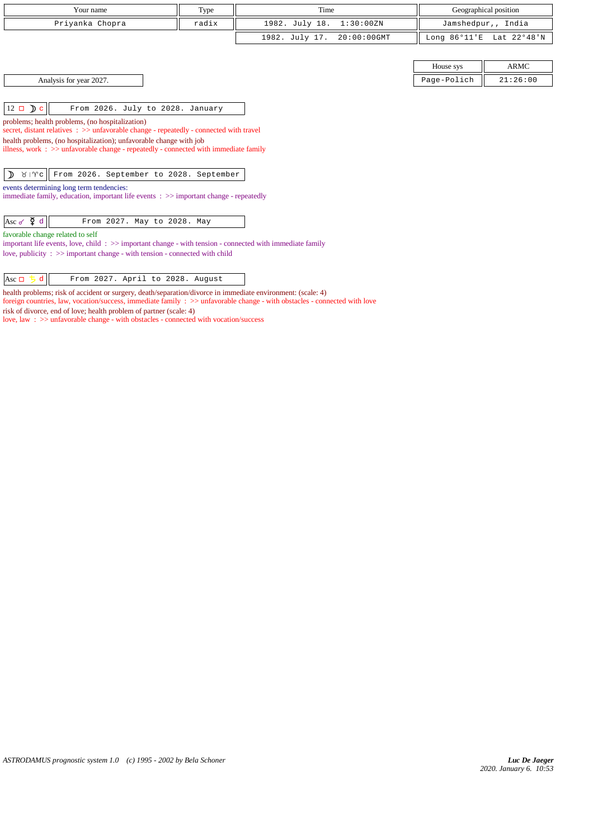| Your name                                                                                                                                                           | Type  | Time                          |                        | Geographical position |
|---------------------------------------------------------------------------------------------------------------------------------------------------------------------|-------|-------------------------------|------------------------|-----------------------|
| Priyanka Chopra                                                                                                                                                     | radix | 1982. July 18.<br>1:30:00ZN   |                        | Jamshedpur,, India    |
|                                                                                                                                                                     |       | 1982. July 17.<br>20:00:00GMT | Long $86^{\circ}11$ 'E | Lat 22°48'N           |
|                                                                                                                                                                     |       |                               |                        |                       |
|                                                                                                                                                                     |       |                               | House sys              | <b>ARMC</b>           |
| Analysis for year 2027.                                                                                                                                             |       |                               | Page-Polich            | 21:26:00              |
|                                                                                                                                                                     |       |                               |                        |                       |
| $12 \Box$ D c<br>From 2026. July to 2028. January                                                                                                                   |       |                               |                        |                       |
| problems; health problems, (no hospitalization)<br>secret, distant relatives : >> unfavorable change - repeatedly - connected with travel                           |       |                               |                        |                       |
| health problems, (no hospitalization); unfavorable change with job                                                                                                  |       |                               |                        |                       |
| illness, work $\Rightarrow$ >> unfavorable change - repeatedly - connected with immediate family                                                                    |       |                               |                        |                       |
|                                                                                                                                                                     |       |                               |                        |                       |
| From 2026. September to 2028. September<br>♪<br>$81$ $\sqrt{6}$                                                                                                     |       |                               |                        |                       |
| events determining long term tendencies:                                                                                                                            |       |                               |                        |                       |
| immediate family, education, important life events $\Rightarrow$ > important change - repeatedly                                                                    |       |                               |                        |                       |
| Asc $\check{\varphi}$ d<br>From 2027. May to 2028. May                                                                                                              |       |                               |                        |                       |
|                                                                                                                                                                     |       |                               |                        |                       |
| favorable change related to self<br>important life events, love, child $\therefore$ $\Rightarrow$ important change - with tension - connected with immediate family |       |                               |                        |                       |
| love, publicity : $\gg$ important change - with tension - connected with child                                                                                      |       |                               |                        |                       |
|                                                                                                                                                                     |       |                               |                        |                       |
| Asc $\Box$ 5<br>d.<br>From 2027. April to 2028. August                                                                                                              |       |                               |                        |                       |

health problems; risk of accident or surgery, death/separation/divorce in immediate environment: (scale: 4)

foreign countries, law, vocation/success, immediate family : >> unfavorable change - with obstacles - connected with love risk of divorce, end of love; health problem of partner (scale: 4)

love, law : >> unfavorable change - with obstacles - connected with vocation/success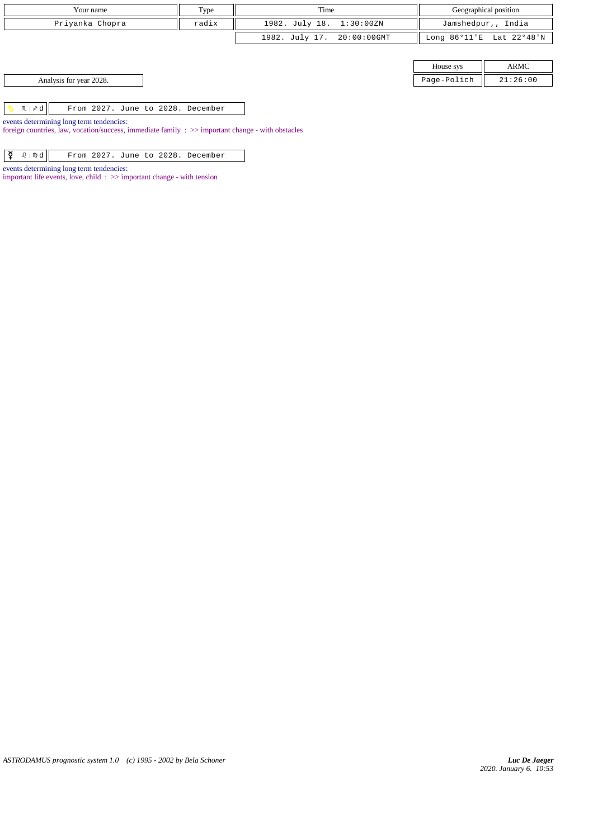| Your name                                         | Type  | Time                       |             | Geographical position    |
|---------------------------------------------------|-------|----------------------------|-------------|--------------------------|
| Priyanka Chopra                                   | radix | 1982. July 18. 1:30:00ZN   |             | Jamshedpur,, India       |
|                                                   |       | 1982. July 17. 20:00:00GMT |             | Long 86°11'E Lat 22°48'N |
|                                                   |       |                            |             |                          |
|                                                   |       |                            | House sys   | ARMC                     |
| Analysis for year 2028.                           |       |                            | Page-Polich | 21:26:00                 |
|                                                   |       |                            |             |                          |
| $M \mid x d$<br>From 2027. June to 2028. December |       |                            |             |                          |
| events determining long term tendencies:          |       |                            |             |                          |

foreign countries, law, vocation/success, immediate family : >> important change - with obstacles

 $\boxed{\mathbf{Q}$   $\theta$  |  $\mathbf{\mathcal{Q}}$  |  $\mathbf{F}$ rom 2027. June to 2028. December

important life events, love, child : >> important change - with tension

events determining long term tendencies:

*ASTRODAMUS prognostic system 1.0 (c) 1995 - 2002 by Bela Schoner*

*2020. January 6. 10:53 Luc De Jaeger*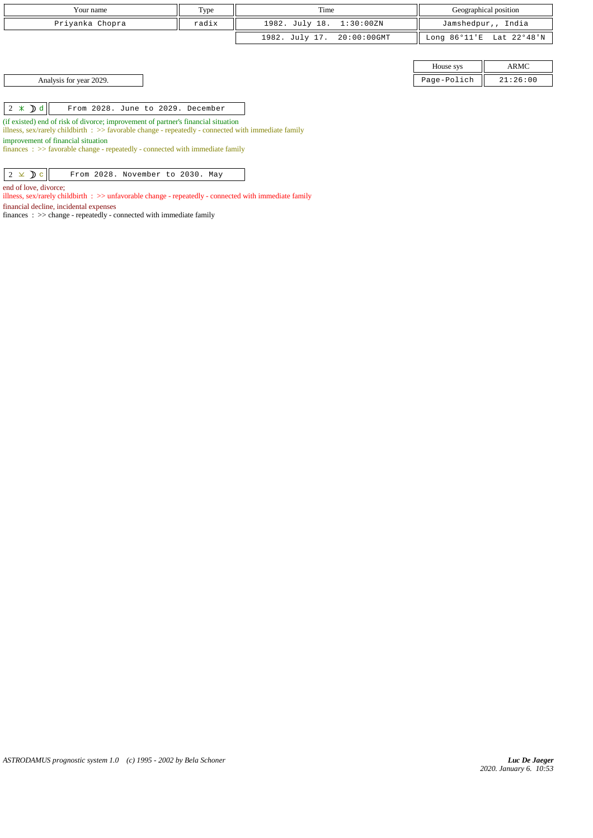| Your name               | Type  | Time                       |             | Geographical position    |
|-------------------------|-------|----------------------------|-------------|--------------------------|
| Priyanka Chopra         | radix | 1982. July 18. 1:30:00ZN   |             | Jamshedpur,, India       |
|                         |       | 1982. July 17. 20:00:00GMT |             | Long 86°11'E Lat 22°48'N |
|                         |       |                            |             |                          |
|                         |       |                            | House sys   | ARMC                     |
| Analysis for year 2029. |       |                            | Page-Polich | 21:26:00                 |

 $\begin{array}{|c|c|c|c|c|}\n\hline\n2 & \times & \mathbf{0} \text{ d} & \text{From 2028. June to 2029. December}\n\end{array}$ 

(if existed) end of risk of divorce; improvement of partner's financial situation

illness, sex/rarely childbirth : >> favorable change - repeatedly - connected with immediate family

improvement of financial situation

finances : >> favorable change - repeatedly - connected with immediate family

 $2 \times D c$  From 2028. November to 2030. May

end of love, divorce;

illness, sex/rarely childbirth : >> unfavorable change - repeatedly - connected with immediate family

financial decline, incidental expenses

finances : >> change - repeatedly - connected with immediate family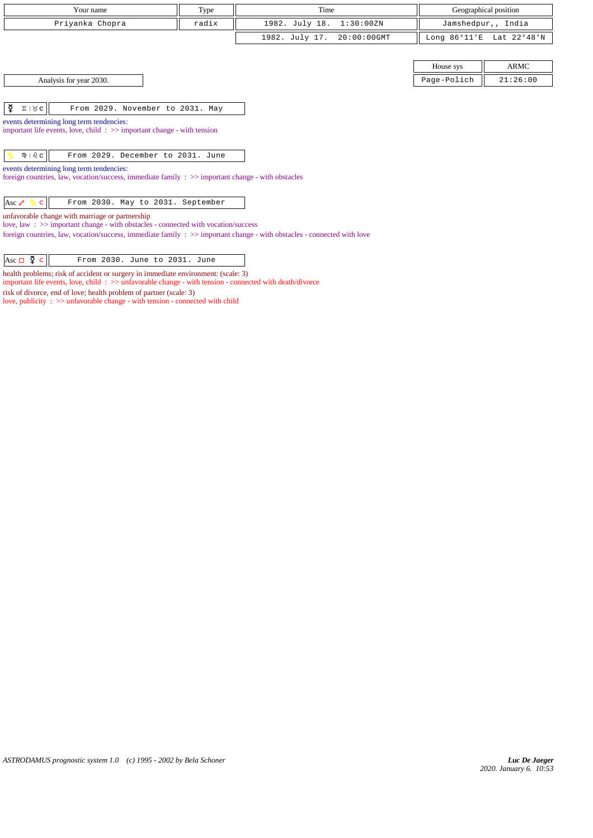| Your name                                                                                                  | Type                             |                                  |                        | Geographical position |  |  |  |  |
|------------------------------------------------------------------------------------------------------------|----------------------------------|----------------------------------|------------------------|-----------------------|--|--|--|--|
| Priyanka Chopra                                                                                            | radix                            | 1982. July 18.<br>1:30:00ZN      |                        | Jamshedpur,, India    |  |  |  |  |
|                                                                                                            |                                  | 1982. July 17.<br>$20:00:00$ GMT | Long $86^{\circ}11$ 'E | Lat 22°48'N           |  |  |  |  |
|                                                                                                            |                                  |                                  |                        |                       |  |  |  |  |
|                                                                                                            | ARMC<br>House sys                |                                  |                        |                       |  |  |  |  |
| Analysis for year 2030.<br>Page-Polich<br>21:26:00                                                         |                                  |                                  |                        |                       |  |  |  |  |
|                                                                                                            |                                  |                                  |                        |                       |  |  |  |  |
| ¥<br>$I \cup C$                                                                                            | From 2029. November to 2031. May |                                  |                        |                       |  |  |  |  |
| events determining long term tendencies:                                                                   |                                  |                                  |                        |                       |  |  |  |  |
| important life events, love, child: $\gg$ important change - with tension                                  |                                  |                                  |                        |                       |  |  |  |  |
| $m \mid \partial_c c$<br>From 2029. December to 2031. June                                                 |                                  |                                  |                        |                       |  |  |  |  |
| events determining long term tendencies:                                                                   |                                  |                                  |                        |                       |  |  |  |  |
| foreign countries, law, vocation/success, immediate family $\Rightarrow$ important change - with obstacles |                                  |                                  |                        |                       |  |  |  |  |
| From 2030. May to 2031. September<br>Asc $\sim$ 5<br>$\mathbf{C}$                                          |                                  |                                  |                        |                       |  |  |  |  |

unfavorable change with marriage or partnership

love, law : >> important change - with obstacles - connected with vocation/success

foreign countries, law, vocation/success, immediate family : >> important change - with obstacles - connected with love

health problems; risk of accident or surgery in immediate environment: (scale: 3)

important life events, love, child : >> unfavorable change - with tension - connected with death/divorce

risk of divorce, end of love; health problem of partner (scale: 3)

love, publicity : >> unfavorable change - with tension - connected with child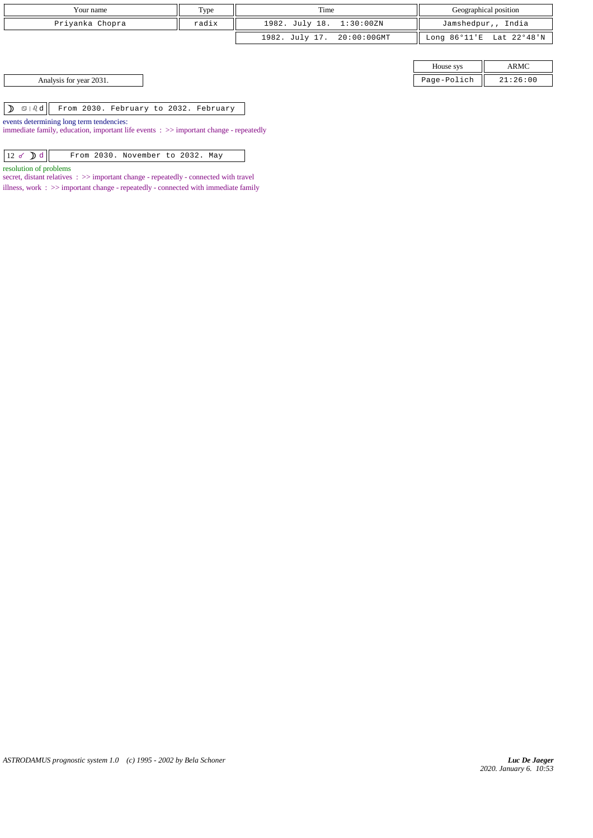| Your name       | Type  | Time                       |           | Geographical position    |
|-----------------|-------|----------------------------|-----------|--------------------------|
| Priyanka Chopra | radix | 1982. July 18. 1:30:00ZN   |           | Jamshedpur,, India       |
|                 |       | 1982. July 17. 20:00:00GMT |           | Long 86°11'E Lat 22°48'N |
|                 |       |                            |           |                          |
|                 |       |                            | House sys | <b>ARMC</b>              |

|                                 | House svs        |         | ARMC                 |
|---------------------------------|------------------|---------|----------------------|
| 2031.<br>Analysis for year<br>. | $P = \alpha - P$ | -Polich | :26:00<br><u>. .</u> |

 $\boxed{\mathcal{D}$   $\mathcal{D}$   $\boxed{\mathcal{A}$  From 2030. February to 2032. February

events determining long term tendencies:

immediate family, education, important life events : >> important change - repeatedly

|  |  |  | $12 \times D d$ |  |  | From 2030. November to 2032. May |  |  |  |  |
|--|--|--|-----------------|--|--|----------------------------------|--|--|--|--|
|--|--|--|-----------------|--|--|----------------------------------|--|--|--|--|

resolution of problems

secret, distant relatives : >> important change - repeatedly - connected with travel illness, work :  $\gg$  important change - repeatedly - connected with immediate family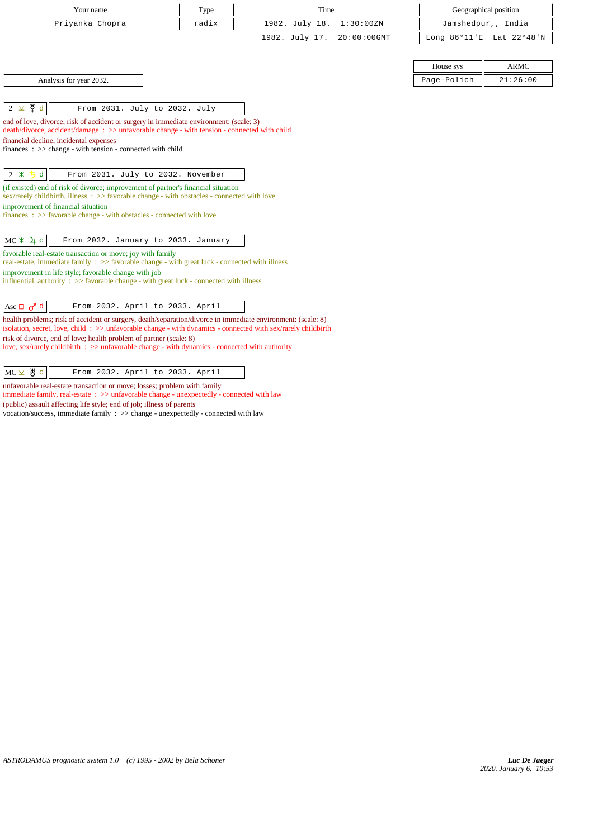|                                    | Your name                                                                                                                                                                                                                                                                                                                                                                                           | Type  | Time                          |                    | Geographical position    |
|------------------------------------|-----------------------------------------------------------------------------------------------------------------------------------------------------------------------------------------------------------------------------------------------------------------------------------------------------------------------------------------------------------------------------------------------------|-------|-------------------------------|--------------------|--------------------------|
|                                    | Priyanka Chopra                                                                                                                                                                                                                                                                                                                                                                                     | radix | 1982. July 18.<br>1:30:00ZN   | Jamshedpur,, India |                          |
|                                    |                                                                                                                                                                                                                                                                                                                                                                                                     |       | 1982. July 17.<br>20:00:00GMT |                    | Long 86°11'E Lat 22°48'N |
|                                    |                                                                                                                                                                                                                                                                                                                                                                                                     |       |                               | House sys          | <b>ARMC</b>              |
|                                    | Analysis for year 2032.                                                                                                                                                                                                                                                                                                                                                                             |       |                               | Page-Polich        | 21:26:00                 |
| $2 \times \xi$ d                   | From 2031. July to 2032. July<br>end of love, divorce; risk of accident or surgery in immediate environment: (scale: 3)<br>death/divorce, accident/damage: >> unfavorable change - with tension - connected with child                                                                                                                                                                              |       |                               |                    |                          |
|                                    | financial decline, incidental expenses<br>finances : $\gg$ change - with tension - connected with child                                                                                                                                                                                                                                                                                             |       |                               |                    |                          |
| $\mathbf d$<br>$2 *$<br>丂          | From 2031. July to 2032. November                                                                                                                                                                                                                                                                                                                                                                   |       |                               |                    |                          |
|                                    | (if existed) end of risk of divorce; improvement of partner's financial situation<br>sex/rarely childbirth, illness : >> favorable change - with obstacles - connected with love<br>improvement of financial situation<br>$finances : \gg$ favorable change - with obstacles - connected with love                                                                                                  |       |                               |                    |                          |
| $MC * 1 c$                         | From 2032. January to 2033. January                                                                                                                                                                                                                                                                                                                                                                 |       |                               |                    |                          |
|                                    | favorable real-estate transaction or move; joy with family<br>real-estate, immediate family : >> favorable change - with great luck - connected with illness<br>improvement in life style; favorable change with job<br>influential, authority : $\gg$ favorable change - with great luck - connected with illness                                                                                  |       |                               |                    |                          |
| Asc $\Box$ $\sigma$ <sup>7</sup> d | From 2032. April to 2033. April                                                                                                                                                                                                                                                                                                                                                                     |       |                               |                    |                          |
|                                    | health problems; risk of accident or surgery, death/separation/divorce in immediate environment: (scale: 8)<br>isolation, secret, love, child: >> unfavorable change - with dynamics - connected with sex/rarely childbirth<br>risk of divorce, end of love; health problem of partner (scale: 8)<br>love, sex/rarely childbirth : >> unfavorable change - with dynamics - connected with authority |       |                               |                    |                          |
| $MC \times$ # $c$                  | From 2032. April to 2033. April                                                                                                                                                                                                                                                                                                                                                                     |       |                               |                    |                          |
|                                    | unfavorable real-estate transaction or move; losses; problem with family                                                                                                                                                                                                                                                                                                                            |       |                               |                    |                          |

immediate family, real-estate : >> unfavorable change - unexpectedly - connected with law (public) assault affecting life style; end of job; illness of parents vocation/success, immediate family : >> change - unexpectedly - connected with law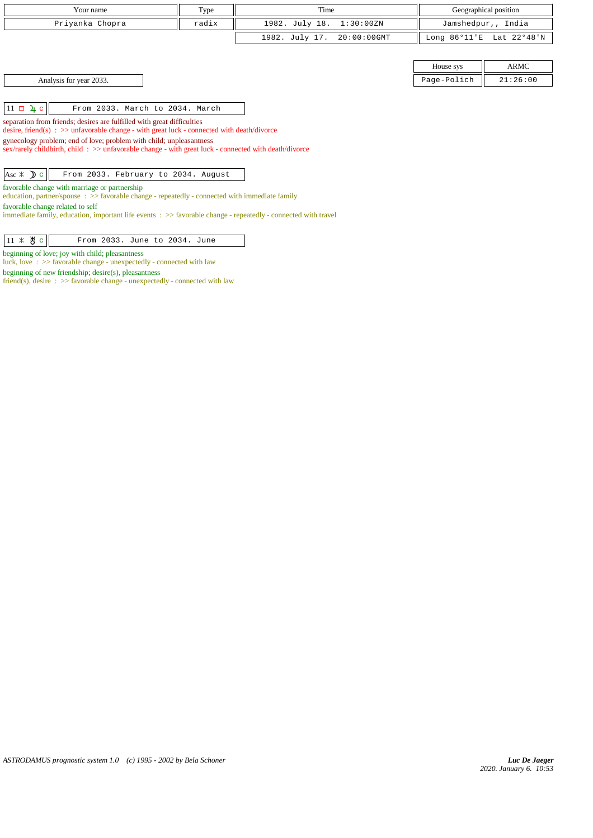| Your name                                                                                                                                                                                                                                                                                                                                                                                                         | Type  | Time                          |                        | Geographical position |  |  |
|-------------------------------------------------------------------------------------------------------------------------------------------------------------------------------------------------------------------------------------------------------------------------------------------------------------------------------------------------------------------------------------------------------------------|-------|-------------------------------|------------------------|-----------------------|--|--|
| Priyanka Chopra                                                                                                                                                                                                                                                                                                                                                                                                   | radix | 1982. July 18.<br>1:30:00ZN   |                        | Jamshedpur,, India    |  |  |
|                                                                                                                                                                                                                                                                                                                                                                                                                   |       | 1982. July 17.<br>20:00:00GMT | Long $86^{\circ}11$ 'E | Lat 22°48'N           |  |  |
|                                                                                                                                                                                                                                                                                                                                                                                                                   |       |                               |                        |                       |  |  |
|                                                                                                                                                                                                                                                                                                                                                                                                                   |       |                               | House sys              | ARMC                  |  |  |
| Analysis for year 2033.                                                                                                                                                                                                                                                                                                                                                                                           |       |                               | Page-Polich            | 21:26:00              |  |  |
| $11 \square \square$<br>From 2033. March to 2034. March<br>separation from friends; desires are fulfilled with great difficulties<br>desire, friend(s) : $\gg$ unfavorable change - with great luck - connected with death/divorce<br>gynecology problem; end of love; problem with child; unpleasantness<br>sex/rarely childbirth, child: >> unfavorable change - with great luck - connected with death/divorce |       |                               |                        |                       |  |  |
| Asc $\angle$ D c<br>From 2033. February to 2034. August<br>favorable change with marriage or partnership<br>education, partner/spouse $\Rightarrow$ Savorable change - repeatedly - connected with immediate family<br>favorable change related to self<br>immediate family, education, important life events : >> favorable change - repeatedly - connected with travel                                          |       |                               |                        |                       |  |  |

 $\boxed{11 \times 8 \text{ c}}$  From 2033. June to 2034. June

beginning of love; joy with child; pleasantness

luck, love : >> favorable change - unexpectedly - connected with law

beginning of new friendship; desire(s), pleasantness

friend(s), desire : >> favorable change - unexpectedly - connected with law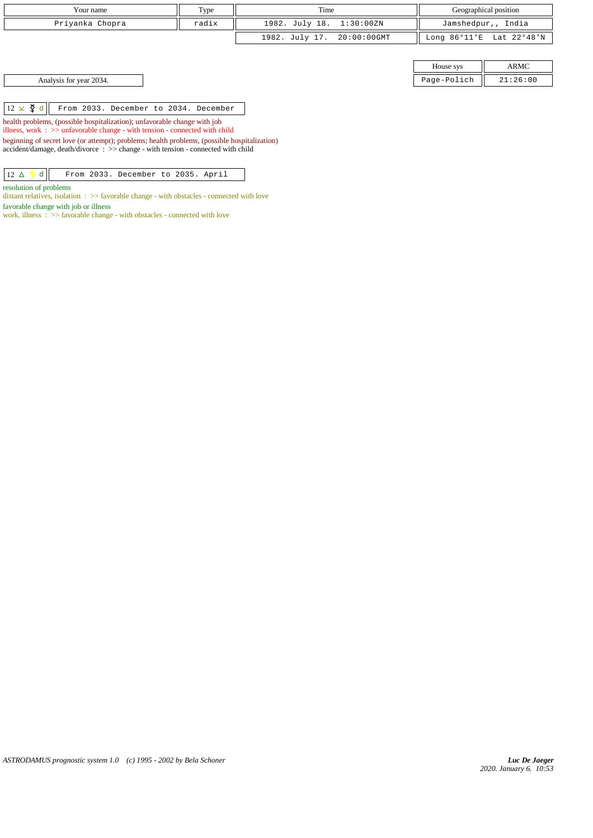| Type<br>Your name |       | Time                       | Geographical position    |  |
|-------------------|-------|----------------------------|--------------------------|--|
| Priyanka Chopra   | radix | 1982. July 18. 1:30:00ZN   | Jamshedpur,, India       |  |
|                   |       | 1982. July 17. 20:00:00GMT | Long 86°11'E Lat 22°48'N |  |

House sys ARMC Analysis for year 2034. 21:26:00

 $\boxed{12 \times \cancel{q} d}$  From 2033. December to 2034. December

health problems, (possible hospitalization); unfavorable change with job

illness, work : >> unfavorable change - with tension - connected with child

beginning of secret love (or attempt); problems; health problems, (possible hospitalization) accident/damage, death/divorce : >> change - with tension - connected with child

 $\boxed{12 \Delta 5 d}$  From 2033. December to 2035. April

resolution of problems

distant relatives, isolation :  $\gg$  favorable change - with obstacles - connected with love favorable change with job or illness

work, illness : >> favorable change - with obstacles - connected with love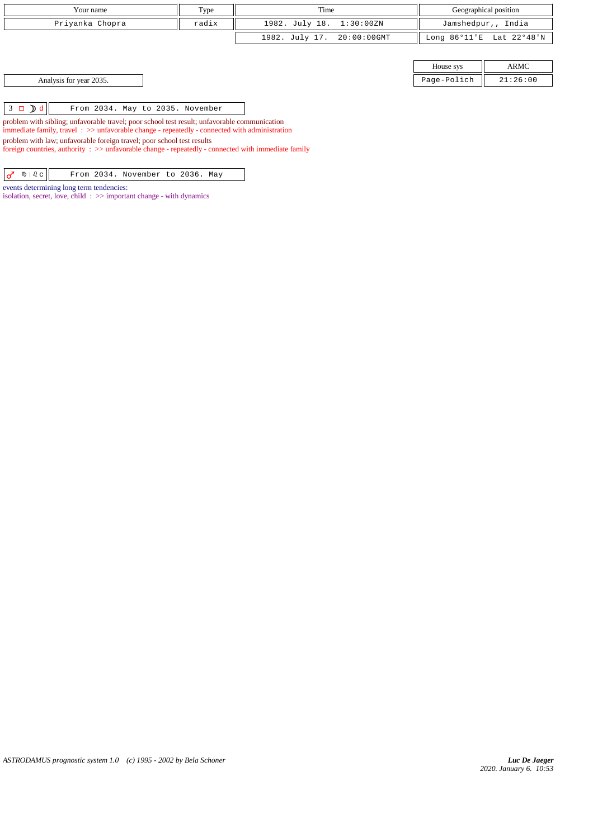|                                                                                                                                                                                                          | Your name                                                                                           | Type                             | Time           |             |                        | Geographical position |  |
|----------------------------------------------------------------------------------------------------------------------------------------------------------------------------------------------------------|-----------------------------------------------------------------------------------------------------|----------------------------------|----------------|-------------|------------------------|-----------------------|--|
| radix<br>Priyanka Chopra                                                                                                                                                                                 |                                                                                                     |                                  | 1982. July 18. | 1:30:00ZN   |                        | Jamshedpur,, India    |  |
|                                                                                                                                                                                                          |                                                                                                     |                                  | 1982. July 17. | 20:00:00GMT | Long $86^{\circ}11$ 'E | Lat 22°48'N           |  |
|                                                                                                                                                                                                          |                                                                                                     |                                  |                |             |                        |                       |  |
|                                                                                                                                                                                                          | ARMC<br>House sys                                                                                   |                                  |                |             |                        |                       |  |
|                                                                                                                                                                                                          | Analysis for year 2035.<br>Page-Polich<br>21:26:00                                                  |                                  |                |             |                        |                       |  |
|                                                                                                                                                                                                          |                                                                                                     |                                  |                |             |                        |                       |  |
| $3 \Box$ $\Box$ $\Box$                                                                                                                                                                                   |                                                                                                     | From 2034. May to 2035. November |                |             |                        |                       |  |
| problem with sibling; unfavorable travel; poor school test result; unfavorable communication<br>immediate family, travel $\Rightarrow$ > unfavorable change - repeatedly - connected with administration |                                                                                                     |                                  |                |             |                        |                       |  |
| problem with law; unfavorable foreign travel; poor school test results                                                                                                                                   |                                                                                                     |                                  |                |             |                        |                       |  |
|                                                                                                                                                                                                          | foreign countries, authority : >> unfavorable change - repeatedly - connected with immediate family |                                  |                |             |                        |                       |  |
| $m \mid \delta$ $c$<br>♂                                                                                                                                                                                 |                                                                                                     | From 2034. November to 2036. May |                |             |                        |                       |  |

events determining long term tendencies:

isolation, secret, love, child  $\Rightarrow$  important change - with dynamics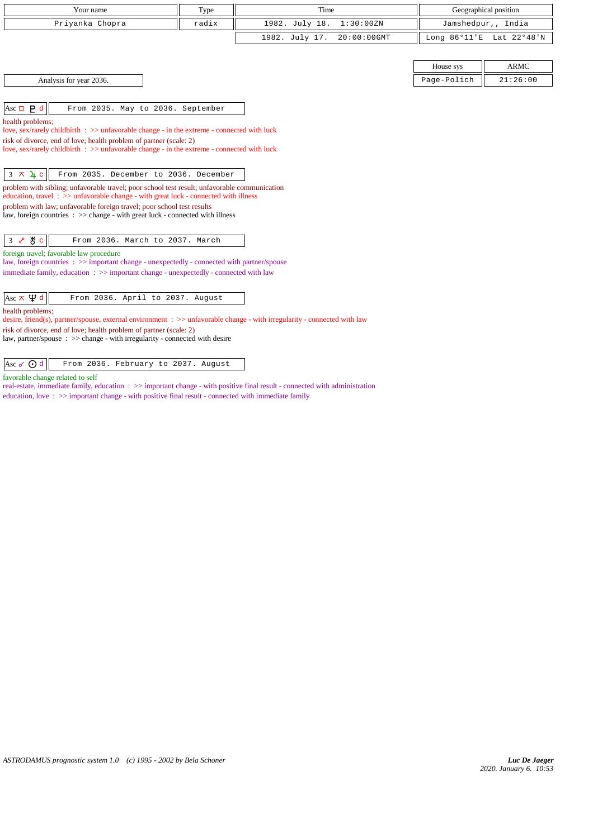| Your name                                                                                                                                                                                       | Type  | Time                          |             | Geographical position    |
|-------------------------------------------------------------------------------------------------------------------------------------------------------------------------------------------------|-------|-------------------------------|-------------|--------------------------|
| Priyanka Chopra                                                                                                                                                                                 | radix | 1982. July 18.<br>1:30:00ZN   |             | Jamshedpur,, India       |
|                                                                                                                                                                                                 |       | 1982. July 17.<br>20:00:00GMT |             | Long 86°11'E Lat 22°48'N |
|                                                                                                                                                                                                 |       |                               |             |                          |
|                                                                                                                                                                                                 |       |                               | House sys   | <b>ARMC</b>              |
| Analysis for year 2036.                                                                                                                                                                         |       |                               | Page-Polich | 21:26:00                 |
|                                                                                                                                                                                                 |       |                               |             |                          |
| Asc $\Box$ <b>P</b> d<br>From 2035. May to 2036. September                                                                                                                                      |       |                               |             |                          |
| health problems;<br>love, sex/rarely childbirth : $\gg$ unfavorable change - in the extreme - connected with luck                                                                               |       |                               |             |                          |
| risk of divorce, end of love; health problem of partner (scale: 2)                                                                                                                              |       |                               |             |                          |
| love, sex/rarely childbirth : >> unfavorable change - in the extreme - connected with luck                                                                                                      |       |                               |             |                          |
|                                                                                                                                                                                                 |       |                               |             |                          |
| $3 \times 4c$<br>From 2035. December to 2036. December                                                                                                                                          |       |                               |             |                          |
| problem with sibling; unfavorable travel; poor school test result; unfavorable communication<br>education, travel $\therefore$ >> unfavorable change - with great luck - connected with illness |       |                               |             |                          |
| problem with law; unfavorable foreign travel; poor school test results                                                                                                                          |       |                               |             |                          |
| law, foreign countries : >> change - with great luck - connected with illness                                                                                                                   |       |                               |             |                          |
|                                                                                                                                                                                                 |       |                               |             |                          |
| Ж∖с<br>From 2036. March to 2037. March<br>3 <sub>o</sub>                                                                                                                                        |       |                               |             |                          |
| foreign travel; favorable law procedure                                                                                                                                                         |       |                               |             |                          |
| law, foreign countries : >> important change - unexpectedly - connected with partner/spouse                                                                                                     |       |                               |             |                          |
| immediate family, education : >> important change - unexpectedly - connected with law                                                                                                           |       |                               |             |                          |
|                                                                                                                                                                                                 |       |                               |             |                          |
| Asc $\pi \Psi d$<br>From 2036. April to 2037. August                                                                                                                                            |       |                               |             |                          |
| health problems;<br>desire, friend(s), partner/spouse, external environment : $\gg$ unfavorable change - with irregularity - connected with law                                                 |       |                               |             |                          |
| risk of divorce, end of love; health problem of partner (scale: 2)                                                                                                                              |       |                               |             |                          |
| law, partner/spouse : >> change - with irregularity - connected with desire                                                                                                                     |       |                               |             |                          |
|                                                                                                                                                                                                 |       |                               |             |                          |

Asc  $\sigma$   $\sigma$   $\alpha$  From 2036. February to 2037. August

favorable change related to self

real-estate, immediate family, education : >> important change - with positive final result - connected with administration education, love :  $\gg$  important change - with positive final result - connected with immediate family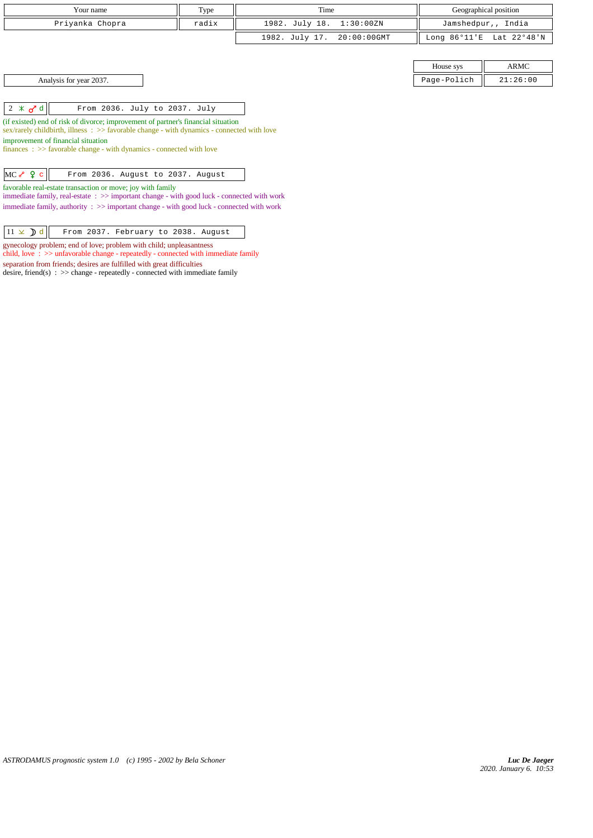| Type<br>Your name                                                                                                                                                              |       | Time                          |                        | Geographical position |  |
|--------------------------------------------------------------------------------------------------------------------------------------------------------------------------------|-------|-------------------------------|------------------------|-----------------------|--|
| Priyanka Chopra                                                                                                                                                                | radix | 1982. July 18.<br>1:30:00ZN   |                        | Jamshedpur,, India    |  |
|                                                                                                                                                                                |       | 1982. July 17.<br>20:00:00GMT | Long $86^{\circ}11$ 'E | Lat 22°48'N           |  |
|                                                                                                                                                                                |       |                               |                        |                       |  |
|                                                                                                                                                                                |       |                               | House sys              | ARMC                  |  |
| Analysis for year 2037.                                                                                                                                                        |       |                               | Page-Polich            | 21:26:00              |  |
|                                                                                                                                                                                |       |                               |                        |                       |  |
| $2 \times d$<br>From 2036. July to 2037. July                                                                                                                                  |       |                               |                        |                       |  |
| (if existed) end of risk of divorce; improvement of partner's financial situation<br>sex/rarely childbirth, illness: >> favorable change - with dynamics - connected with love |       |                               |                        |                       |  |
| improvement of financial situation                                                                                                                                             |       |                               |                        |                       |  |
| $finances : \gg$ favorable change - with dynamics - connected with love                                                                                                        |       |                               |                        |                       |  |
|                                                                                                                                                                                |       |                               |                        |                       |  |
| $MCe$ $Qc$<br>From 2036. August to 2037. August                                                                                                                                |       |                               |                        |                       |  |
| favorable real-estate transaction or move; joy with family<br>immediate family, real-estate: $\gg$ important change - with good luck - connected with work                     |       |                               |                        |                       |  |
| immediate family, authority : >> important change - with good luck - connected with work                                                                                       |       |                               |                        |                       |  |

| $\left 11 \times \right)$ d From 2037. February to 2038. August |  |
|-----------------------------------------------------------------|--|
|-----------------------------------------------------------------|--|

gynecology problem; end of love; problem with child; unpleasantness

child, love : >> unfavorable change - repeatedly - connected with immediate family

separation from friends; desires are fulfilled with great difficulties desire, friend(s)  $\Rightarrow$  > change - repeatedly - connected with immediate family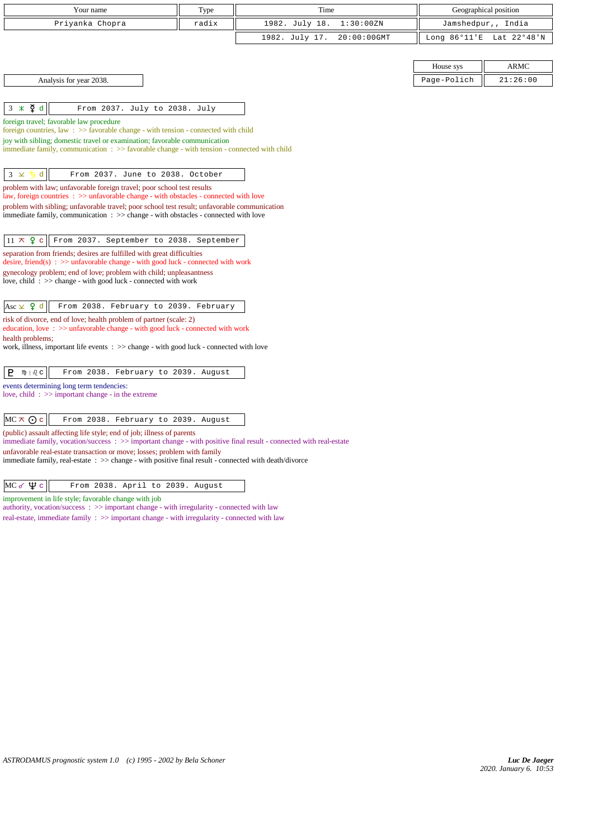| Your name                                                                                                                                                                         | Type  | Time                          |                        | Geographical position |
|-----------------------------------------------------------------------------------------------------------------------------------------------------------------------------------|-------|-------------------------------|------------------------|-----------------------|
| Priyanka Chopra                                                                                                                                                                   | radix | 1982. July 18.<br>1:30:00ZN   |                        | Jamshedpur,, India    |
|                                                                                                                                                                                   |       | 1982. July 17.<br>20:00:00GMT | Long $86^{\circ}11$ 'E | Lat 22°48'N           |
|                                                                                                                                                                                   |       |                               |                        |                       |
|                                                                                                                                                                                   |       |                               | House sys              | <b>ARMC</b>           |
| Analysis for year 2038.                                                                                                                                                           |       |                               | Page-Polich            | 21:26:00              |
|                                                                                                                                                                                   |       |                               |                        |                       |
| $3 \times \xi$ d<br>From 2037. July to 2038. July                                                                                                                                 |       |                               |                        |                       |
| foreign travel; favorable law procedure                                                                                                                                           |       |                               |                        |                       |
| foreign countries, law $\Rightarrow$ Savorable change - with tension - connected with child<br>joy with sibling; domestic travel or examination; favorable communication          |       |                               |                        |                       |
| immediate family, communication $\Rightarrow$ > favorable change - with tension - connected with child                                                                            |       |                               |                        |                       |
|                                                                                                                                                                                   |       |                               |                        |                       |
| d<br>$3 \times$<br>From 2037. June to 2038. October                                                                                                                               |       |                               |                        |                       |
| problem with law; unfavorable foreign travel; poor school test results<br>law, foreign countries : >> unfavorable change - with obstacles - connected with love                   |       |                               |                        |                       |
| problem with sibling; unfavorable travel; poor school test result; unfavorable communication                                                                                      |       |                               |                        |                       |
| immediate family, communication : >> change - with obstacles - connected with love                                                                                                |       |                               |                        |                       |
|                                                                                                                                                                                   |       |                               |                        |                       |
| $11 \times 9$<br>From 2037. September to 2038. September<br>$\mathbf c$                                                                                                           |       |                               |                        |                       |
| separation from friends; desires are fulfilled with great difficulties<br>desire, friend(s) : $\gg$ unfavorable change - with good luck - connected with work                     |       |                               |                        |                       |
| gynecology problem; end of love; problem with child; unpleasantness                                                                                                               |       |                               |                        |                       |
| love, child: $\gg$ change - with good luck - connected with work                                                                                                                  |       |                               |                        |                       |
| Asc $\times$ 9 d<br>From 2038. February to 2039. February                                                                                                                         |       |                               |                        |                       |
| risk of divorce, end of love; health problem of partner (scale: 2)                                                                                                                |       |                               |                        |                       |
| education, love: >> unfavorable change - with good luck - connected with work                                                                                                     |       |                               |                        |                       |
| health problems;<br>work, illness, important life events $\therefore$ $\geq$ change - with good luck - connected with love                                                        |       |                               |                        |                       |
|                                                                                                                                                                                   |       |                               |                        |                       |
| P<br>$m \mid \partial_c c$<br>From 2038. February to 2039. August                                                                                                                 |       |                               |                        |                       |
| events determining long term tendencies:                                                                                                                                          |       |                               |                        |                       |
| love, child $\Rightarrow$ important change - in the extreme                                                                                                                       |       |                               |                        |                       |
| $MC \times Q$ c<br>From 2038. February to 2039. August                                                                                                                            |       |                               |                        |                       |
| (public) assault affecting life style; end of job; illness of parents                                                                                                             |       |                               |                        |                       |
| immediate family, vocation/success: >> important change - with positive final result - connected with real-estate                                                                 |       |                               |                        |                       |
| unfavorable real-estate transaction or move; losses; problem with family<br>immediate family, real-estate : >> change - with positive final result - connected with death/divorce |       |                               |                        |                       |
|                                                                                                                                                                                   |       |                               |                        |                       |
| $MC \propto \Psi c$<br>From 2038. April to 2039. August                                                                                                                           |       |                               |                        |                       |
| improvement in life style; favorable change with job<br>authority, vocation/success: >> important change - with irregularity - connected with law                                 |       |                               |                        |                       |

real-estate, immediate family : >> important change - with irregularity - connected with law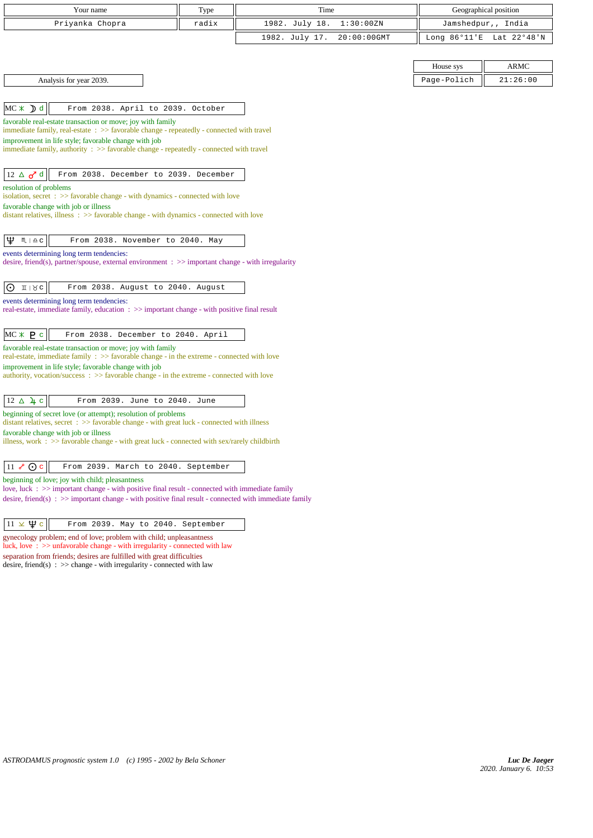| Your name                                                                                                                                                   | Type  | Time                             |             | Geographical position    |  |
|-------------------------------------------------------------------------------------------------------------------------------------------------------------|-------|----------------------------------|-------------|--------------------------|--|
| Priyanka Chopra                                                                                                                                             | radix | 1982. July 18.<br>1:30:00ZN      |             | Jamshedpur,, India       |  |
|                                                                                                                                                             |       | 1982. July 17.<br>$20:00:00$ GMT |             | Long 86°11'E Lat 22°48'N |  |
|                                                                                                                                                             |       |                                  |             |                          |  |
|                                                                                                                                                             |       |                                  | House sys   | <b>ARMC</b>              |  |
| Analysis for year 2039.                                                                                                                                     |       |                                  | Page-Polich | 21:26:00                 |  |
|                                                                                                                                                             |       |                                  |             |                          |  |
| $MC \times D d$<br>From 2038. April to 2039. October                                                                                                        |       |                                  |             |                          |  |
| favorable real-estate transaction or move; joy with family                                                                                                  |       |                                  |             |                          |  |
| immediate family, real-estate : >> favorable change - repeatedly - connected with travel<br>improvement in life style; favorable change with job            |       |                                  |             |                          |  |
| immediate family, authority : >> favorable change - repeatedly - connected with travel                                                                      |       |                                  |             |                          |  |
|                                                                                                                                                             |       |                                  |             |                          |  |
| $12 \triangle \sigma^{\prime}$ d<br>From 2038. December to 2039. December                                                                                   |       |                                  |             |                          |  |
| resolution of problems<br>isolation, secret : >> favorable change - with dynamics - connected with love                                                     |       |                                  |             |                          |  |
| favorable change with job or illness                                                                                                                        |       |                                  |             |                          |  |
| distant relatives, illness: >> favorable change - with dynamics - connected with love                                                                       |       |                                  |             |                          |  |
| Ψ<br>$M \mid \underline{\mathfrak{a}} \subseteq$                                                                                                            |       |                                  |             |                          |  |
| From 2038. November to 2040. May<br>events determining long term tendencies:                                                                                |       |                                  |             |                          |  |
| desire, friend(s), partner/spouse, external environment $\Rightarrow$ >> important change - with irregularity                                               |       |                                  |             |                          |  |
|                                                                                                                                                             |       |                                  |             |                          |  |
| $\odot$<br>$11 \times c$<br>From 2038. August to 2040. August                                                                                               |       |                                  |             |                          |  |
| events determining long term tendencies:<br>real-estate, immediate family, education : >> important change - with positive final result                     |       |                                  |             |                          |  |
|                                                                                                                                                             |       |                                  |             |                          |  |
| $MC * P c$<br>From 2038. December to 2040. April                                                                                                            |       |                                  |             |                          |  |
| favorable real-estate transaction or move; joy with family                                                                                                  |       |                                  |             |                          |  |
| real-estate, immediate family : >> favorable change - in the extreme - connected with love<br>improvement in life style; favorable change with job          |       |                                  |             |                          |  |
| authority, vocation/success : >> favorable change - in the extreme - connected with love                                                                    |       |                                  |             |                          |  |
|                                                                                                                                                             |       |                                  |             |                          |  |
| $12 \triangle 4 c$<br>From 2039. June to 2040. June                                                                                                         |       |                                  |             |                          |  |
| beginning of secret love (or attempt); resolution of problems<br>distant relatives, secret : >> favorable change - with great luck - connected with illness |       |                                  |             |                          |  |
| favorable change with job or illness                                                                                                                        |       |                                  |             |                          |  |
| illness, work : >> favorable change - with great luck - connected with sex/rarely childbirth                                                                |       |                                  |             |                          |  |
|                                                                                                                                                             |       |                                  |             |                          |  |
| $11 \& \odot c$<br>From 2039. March to 2040. September                                                                                                      |       |                                  |             |                          |  |
| beginning of love; joy with child; pleasantness<br>love, luck : >> important change - with positive final result - connected with immediate family          |       |                                  |             |                          |  |
| desire, friend(s) : $\gg$ important change - with positive final result - connected with immediate family                                                   |       |                                  |             |                          |  |
|                                                                                                                                                             |       |                                  |             |                          |  |
| $11 \times \Psi$ c<br>From 2039. May to 2040. September                                                                                                     |       |                                  |             |                          |  |

gynecology problem; end of love; problem with child; unpleasantness luck, love : >> unfavorable change - with irregularity - connected with law separation from friends; desires are fulfilled with great difficulties desire, friend(s)  $\therefore$  >> change - with irregularity - connected with law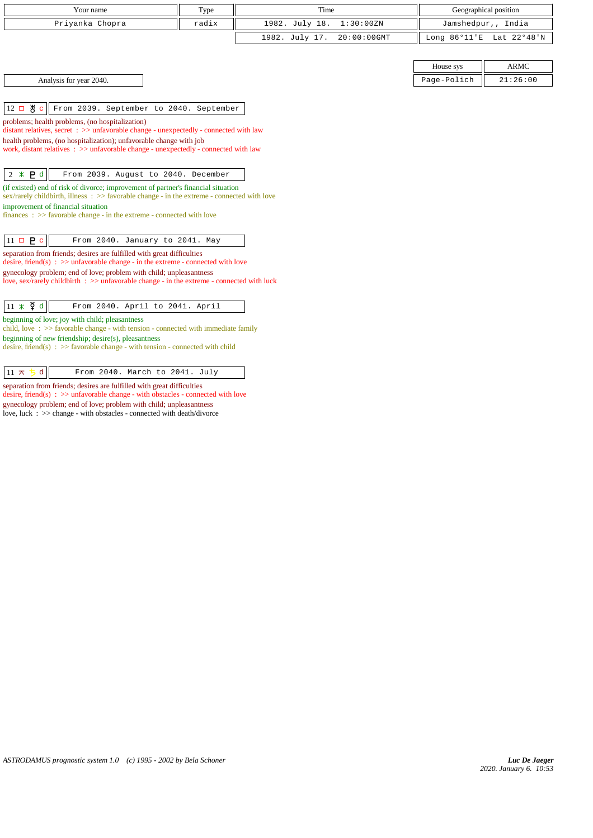| Your name       | Type  | Time                       |           | Geographical position    |
|-----------------|-------|----------------------------|-----------|--------------------------|
| Priyanka Chopra | radix | 1982. July 18. 1:30:00ZN   |           | Jamshedpur,, India       |
|                 |       | 1982. July 17. 20:00:00GMT |           | Long 86°11'E Lat 22°48'N |
|                 |       |                            |           |                          |
|                 |       |                            | House sys | <b>ARMC</b>              |

|  |  |  |  |  | Analysis for year 2040. |
|--|--|--|--|--|-------------------------|
|--|--|--|--|--|-------------------------|

 $\vert$  12  $\Box$   $\bigvee$  c  $\vert$  From 2039. September to 2040. September

problems; health problems, (no hospitalization)

distant relatives, secret : >> unfavorable change - unexpectedly - connected with law

health problems, (no hospitalization); unfavorable change with job

work, distant relatives : >> unfavorable change - unexpectedly - connected with law

2 d From 2039. August to 2040. December

(if existed) end of risk of divorce; improvement of partner's financial situation  $s$ ex/rarely childbirth, illness :  $\gg$  favorable change - in the extreme - connected with love improvement of financial situation

finances :  $\gg$  favorable change - in the extreme - connected with love

| $11 \square \square$ $\square$ |  | From 2040. January to 2041. May |  |  |
|--------------------------------|--|---------------------------------|--|--|

separation from friends; desires are fulfilled with great difficulties desire, friend(s) :  $\gg$  unfavorable change - in the extreme - connected with love gynecology problem; end of love; problem with child; unpleasantness love, sex/rarely childbirth : >> unfavorable change - in the extreme - connected with luck

 $\boxed{11 \times \mathfrak{F}$  d  $\boxed{\phantom{1}$  From 2040. April to 2041. April

beginning of love; joy with child; pleasantness

child, love : >> favorable change - with tension - connected with immediate family beginning of new friendship; desire(s), pleasantness

desire, friend(s) : >> favorable change - with tension - connected with child

 $\boxed{11 \times 5 \text{ d}}$  From 2040. March to 2041. July

separation from friends; desires are fulfilled with great difficulties

desire, friend(s) : >> unfavorable change - with obstacles - connected with love gynecology problem; end of love; problem with child; unpleasantness

love, luck  $\therefore$  >> change - with obstacles - connected with death/divorce

Page-Polich  $\parallel$  21:26:00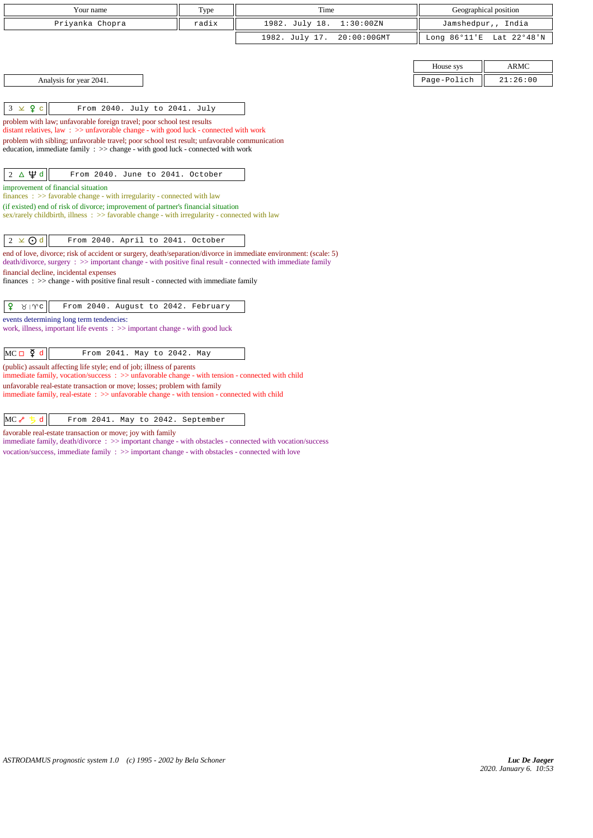| Your name                                                                                                                                                                                                                       | Type  | Time                          |             | Geographical position    |
|---------------------------------------------------------------------------------------------------------------------------------------------------------------------------------------------------------------------------------|-------|-------------------------------|-------------|--------------------------|
| Priyanka Chopra                                                                                                                                                                                                                 | radix | 1982. July 18.<br>1:30:00ZN   |             | Jamshedpur,, India       |
|                                                                                                                                                                                                                                 |       | 1982. July 17.<br>20:00:00GMT |             | Long 86°11'E Lat 22°48'N |
|                                                                                                                                                                                                                                 |       |                               |             |                          |
|                                                                                                                                                                                                                                 |       |                               | House sys   | <b>ARMC</b>              |
| Analysis for year 2041.                                                                                                                                                                                                         |       |                               | Page-Polich | 21:26:00                 |
|                                                                                                                                                                                                                                 |       |                               |             |                          |
| $3 \times 9$ c<br>From 2040. July to 2041. July                                                                                                                                                                                 |       |                               |             |                          |
| problem with law; unfavorable foreign travel; poor school test results<br>distant relatives, law: >> unfavorable change - with good luck - connected with work                                                                  |       |                               |             |                          |
| problem with sibling; unfavorable travel; poor school test result; unfavorable communication                                                                                                                                    |       |                               |             |                          |
| education, immediate family : >> change - with good luck - connected with work                                                                                                                                                  |       |                               |             |                          |
| $2 \Delta \Psi d$<br>From 2040. June to 2041. October                                                                                                                                                                           |       |                               |             |                          |
| improvement of financial situation                                                                                                                                                                                              |       |                               |             |                          |
| finances : $\gg$ favorable change - with irregularity - connected with law<br>(if existed) end of risk of divorce; improvement of partner's financial situation                                                                 |       |                               |             |                          |
| sex/rarely childbirth, illness : >> favorable change - with irregularity - connected with law                                                                                                                                   |       |                               |             |                          |
|                                                                                                                                                                                                                                 |       |                               |             |                          |
| $2 \times 0d$<br>From 2040. April to 2041. October                                                                                                                                                                              |       |                               |             |                          |
| end of love, divorce; risk of accident or surgery, death/separation/divorce in immediate environment: (scale: 5)<br>death/divorce, surgery : >> important change - with positive final result - connected with immediate family |       |                               |             |                          |
| financial decline, incidental expenses                                                                                                                                                                                          |       |                               |             |                          |
| finances : $\gg$ change - with positive final result - connected with immediate family                                                                                                                                          |       |                               |             |                          |
| From 2040. August to 2042. February<br>₽<br>$81$ Mc                                                                                                                                                                             |       |                               |             |                          |
| events determining long term tendencies:                                                                                                                                                                                        |       |                               |             |                          |
| work, illness, important life events $\Rightarrow$ important change - with good luck                                                                                                                                            |       |                               |             |                          |
| $MC \Box \Phi d$<br>From 2041. May to 2042. May                                                                                                                                                                                 |       |                               |             |                          |
| (public) assault affecting life style; end of job; illness of parents                                                                                                                                                           |       |                               |             |                          |
| immediate family, vocation/success: >> unfavorable change - with tension - connected with child                                                                                                                                 |       |                               |             |                          |
| unfavorable real-estate transaction or move; losses; problem with family<br>immediate family, real-estate : >> unfavorable change - with tension - connected with child                                                         |       |                               |             |                          |
|                                                                                                                                                                                                                                 |       |                               |             |                          |
|                                                                                                                                                                                                                                 |       |                               |             |                          |

 $MC \sim b d$  From 2041. May to 2042. September

favorable real-estate transaction or move; joy with family

immediate family, death/divorce :  $\gg$  important change - with obstacles - connected with vocation/success vocation/success, immediate family : >> important change - with obstacles - connected with love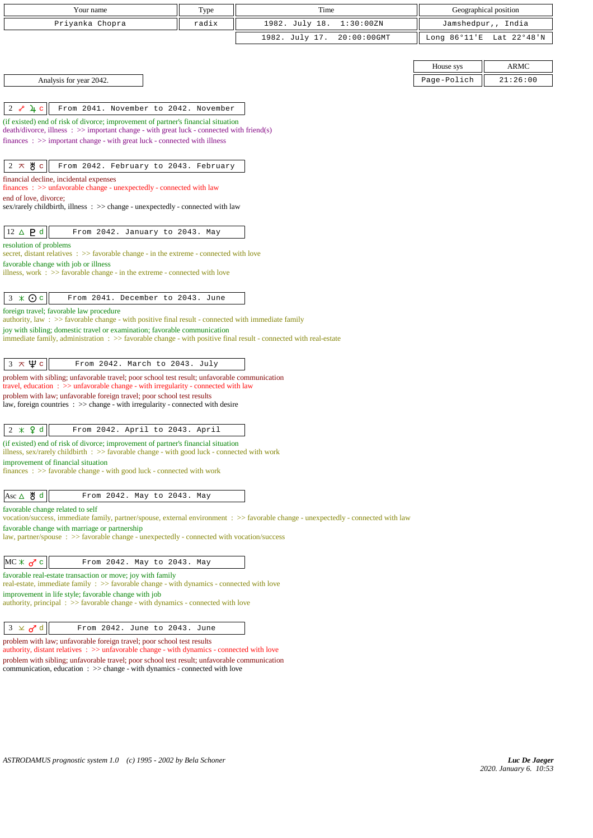| Your name                                                                                                                                                                                                | Type  | Time                                                                                                                               |                        | Geographical position |
|----------------------------------------------------------------------------------------------------------------------------------------------------------------------------------------------------------|-------|------------------------------------------------------------------------------------------------------------------------------------|------------------------|-----------------------|
| Priyanka Chopra                                                                                                                                                                                          | radix | 1982. July 18.<br>1:30:00ZN                                                                                                        |                        | Jamshedpur,, India    |
|                                                                                                                                                                                                          |       | 1982. July 17.<br>$20:00:00$ GMT                                                                                                   | Long $86^{\circ}11$ 'E | Lat 22°48'N           |
|                                                                                                                                                                                                          |       |                                                                                                                                    |                        |                       |
|                                                                                                                                                                                                          |       |                                                                                                                                    | House sys              | <b>ARMC</b>           |
| Analysis for year 2042.                                                                                                                                                                                  |       |                                                                                                                                    | Page-Polich            | 21:26:00              |
|                                                                                                                                                                                                          |       |                                                                                                                                    |                        |                       |
|                                                                                                                                                                                                          |       |                                                                                                                                    |                        |                       |
| $2 \times 4c$<br>From 2041. November to 2042. November                                                                                                                                                   |       |                                                                                                                                    |                        |                       |
| (if existed) end of risk of divorce; improvement of partner's financial situation<br>$death/divorce, illness : >> important change - with great luck - connected with friend(s)$                         |       |                                                                                                                                    |                        |                       |
| finances: >> important change - with great luck - connected with illness                                                                                                                                 |       |                                                                                                                                    |                        |                       |
|                                                                                                                                                                                                          |       |                                                                                                                                    |                        |                       |
| $2 \times 8$ c<br>From 2042. February to 2043. February                                                                                                                                                  |       |                                                                                                                                    |                        |                       |
| financial decline, incidental expenses                                                                                                                                                                   |       |                                                                                                                                    |                        |                       |
| $finances : \gg$ unfavorable change - unexpectedly - connected with law                                                                                                                                  |       |                                                                                                                                    |                        |                       |
| end of love, divorce;<br>sex/rarely childbirth, illness : >> change - unexpectedly - connected with law                                                                                                  |       |                                                                                                                                    |                        |                       |
|                                                                                                                                                                                                          |       |                                                                                                                                    |                        |                       |
| $12 \triangle P d$<br>From 2042. January to 2043. May                                                                                                                                                    |       |                                                                                                                                    |                        |                       |
| resolution of problems                                                                                                                                                                                   |       |                                                                                                                                    |                        |                       |
| secret, distant relatives : >> favorable change - in the extreme - connected with love                                                                                                                   |       |                                                                                                                                    |                        |                       |
| favorable change with job or illness<br>illness, work $\Rightarrow$ > favorable change - in the extreme - connected with love                                                                            |       |                                                                                                                                    |                        |                       |
|                                                                                                                                                                                                          |       |                                                                                                                                    |                        |                       |
| $3 \times Qc$<br>From 2041. December to 2043. June                                                                                                                                                       |       |                                                                                                                                    |                        |                       |
| foreign travel; favorable law procedure                                                                                                                                                                  |       |                                                                                                                                    |                        |                       |
| authority, law : $\gg$ favorable change - with positive final result - connected with immediate family                                                                                                   |       |                                                                                                                                    |                        |                       |
| joy with sibling; domestic travel or examination; favorable communication<br>immediate family, administration $\Rightarrow$ > favorable change - with positive final result - connected with real-estate |       |                                                                                                                                    |                        |                       |
|                                                                                                                                                                                                          |       |                                                                                                                                    |                        |                       |
| $3 \times \Psi c$<br>From 2042. March to 2043. July                                                                                                                                                      |       |                                                                                                                                    |                        |                       |
| problem with sibling; unfavorable travel; poor school test result; unfavorable communication                                                                                                             |       |                                                                                                                                    |                        |                       |
| travel, education: >> unfavorable change - with irregularity - connected with law                                                                                                                        |       |                                                                                                                                    |                        |                       |
| problem with law; unfavorable foreign travel; poor school test results<br>law, foreign countries $\Rightarrow$ >> change - with irregularity - connected with desire                                     |       |                                                                                                                                    |                        |                       |
|                                                                                                                                                                                                          |       |                                                                                                                                    |                        |                       |
| $2 * 9d$<br>From 2042. April to 2043. April                                                                                                                                                              |       |                                                                                                                                    |                        |                       |
| (if existed) end of risk of divorce; improvement of partner's financial situation                                                                                                                        |       |                                                                                                                                    |                        |                       |
| illness, sex/rarely childbirth: >> favorable change - with good luck - connected with work                                                                                                               |       |                                                                                                                                    |                        |                       |
| improvement of financial situation<br>finances : $\gg$ favorable change - with good luck - connected with work                                                                                           |       |                                                                                                                                    |                        |                       |
|                                                                                                                                                                                                          |       |                                                                                                                                    |                        |                       |
| Asc △ 5 d<br>From 2042. May to 2043. May                                                                                                                                                                 |       |                                                                                                                                    |                        |                       |
| favorable change related to self                                                                                                                                                                         |       |                                                                                                                                    |                        |                       |
|                                                                                                                                                                                                          |       | vocation/success, immediate family, partner/spouse, external environment : >> favorable change - unexpectedly - connected with law |                        |                       |
| favorable change with marriage or partnership                                                                                                                                                            |       |                                                                                                                                    |                        |                       |
| law, partner/spouse : >> favorable change - unexpectedly - connected with vocation/success                                                                                                               |       |                                                                                                                                    |                        |                       |
| From 2042. May to 2043. May                                                                                                                                                                              |       |                                                                                                                                    |                        |                       |
| $MC * 2C$                                                                                                                                                                                                |       |                                                                                                                                    |                        |                       |
| favorable real-estate transaction or move; joy with family<br>real-estate, immediate family : >> favorable change - with dynamics - connected with love                                                  |       |                                                                                                                                    |                        |                       |
| improvement in life style; favorable change with job                                                                                                                                                     |       |                                                                                                                                    |                        |                       |
| authority, principal $\Rightarrow$ 5 favorable change - with dynamics - connected with love                                                                                                              |       |                                                                                                                                    |                        |                       |
|                                                                                                                                                                                                          |       |                                                                                                                                    |                        |                       |
| $3 \times d$<br>From 2042. June to 2043. June                                                                                                                                                            |       |                                                                                                                                    |                        |                       |
| problem with law; unfavorable foreign travel; poor school test results<br>authority, distant relatives : >> unfavorable change - with dynamics - connected with love                                     |       |                                                                                                                                    |                        |                       |
| problem with sibling; unfavorable travel; poor school test result; unfavorable communication                                                                                                             |       |                                                                                                                                    |                        |                       |
| communication, education $\Rightarrow$ > $\Rightarrow$ change - with dynamics - connected with love                                                                                                      |       |                                                                                                                                    |                        |                       |
|                                                                                                                                                                                                          |       |                                                                                                                                    |                        |                       |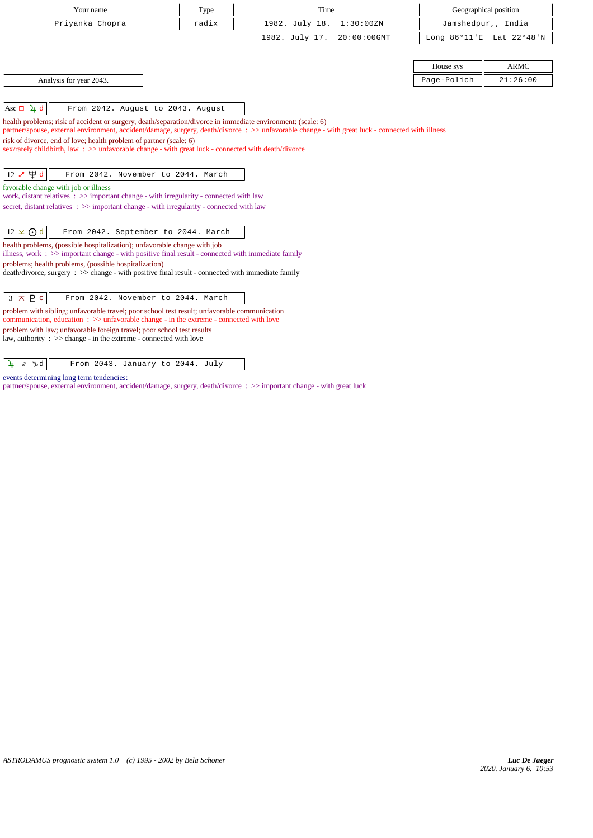| Your name                                                                                                                                                                                          | Type  | Time                                                                                                                                             |                        | Geographical position |
|----------------------------------------------------------------------------------------------------------------------------------------------------------------------------------------------------|-------|--------------------------------------------------------------------------------------------------------------------------------------------------|------------------------|-----------------------|
| Priyanka Chopra                                                                                                                                                                                    | radix | 1982. July 18.<br>1:30:00ZN                                                                                                                      |                        | Jamshedpur,, India    |
|                                                                                                                                                                                                    |       | 1982. July 17.<br>20:00:00GMT                                                                                                                    | Long $86^{\circ}11$ 'E | Lat 22°48'N           |
|                                                                                                                                                                                                    |       |                                                                                                                                                  |                        |                       |
|                                                                                                                                                                                                    |       |                                                                                                                                                  | House sys              | <b>ARMC</b>           |
| Analysis for year 2043.                                                                                                                                                                            |       |                                                                                                                                                  | Page-Polich            | 21:26:00              |
|                                                                                                                                                                                                    |       |                                                                                                                                                  |                        |                       |
| $ Asc \Box \ \ \frac{\ }{4} d $<br>From 2042. August to 2043. August                                                                                                                               |       |                                                                                                                                                  |                        |                       |
| health problems; risk of accident or surgery, death/separation/divorce in immediate environment: (scale: 6)<br>risk of divorce, end of love; health problem of partner (scale: 6)                  |       | partner/spouse, external environment, accident/damage, surgery, death/divorce : >> unfavorable change - with great luck - connected with illness |                        |                       |
| sex/rarely childbirth, law: >> unfavorable change - with great luck - connected with death/divorce                                                                                                 |       |                                                                                                                                                  |                        |                       |
| 12 $\sqrt{4}$ d<br>From 2042. November to 2044. March                                                                                                                                              |       |                                                                                                                                                  |                        |                       |
| favorable change with job or illness<br>work, distant relatives $\Rightarrow$ important change - with irregularity - connected with law                                                            |       |                                                                                                                                                  |                        |                       |
| secret, distant relatives : >> important change - with irregularity - connected with law                                                                                                           |       |                                                                                                                                                  |                        |                       |
| $12 \times$ O d<br>From 2042. September to 2044. March                                                                                                                                             |       |                                                                                                                                                  |                        |                       |
| health problems, (possible hospitalization); unfavorable change with job                                                                                                                           |       |                                                                                                                                                  |                        |                       |
| illness, work : >> important change - with positive final result - connected with immediate family                                                                                                 |       |                                                                                                                                                  |                        |                       |
| problems; health problems, (possible hospitalization)<br>$death/div$ orce, surgery : $\gg$ change - with positive final result - connected with immediate family                                   |       |                                                                                                                                                  |                        |                       |
|                                                                                                                                                                                                    |       |                                                                                                                                                  |                        |                       |
| $3 \times P c$<br>From 2042. November to 2044. March                                                                                                                                               |       |                                                                                                                                                  |                        |                       |
| problem with sibling; unfavorable travel; poor school test result; unfavorable communication<br>communication, education $\Rightarrow$ > unfavorable change - in the extreme - connected with love |       |                                                                                                                                                  |                        |                       |
| problem with law; unfavorable foreign travel; poor school test results<br>law, authority : $\gg$ change - in the extreme - connected with love                                                     |       |                                                                                                                                                  |                        |                       |

## $\sqrt{4 \times 100}$  From 2043. January to 2044. July

events determining long term tendencies:

partner/spouse, external environment, accident/damage, surgery, death/divorce : >> important change - with great luck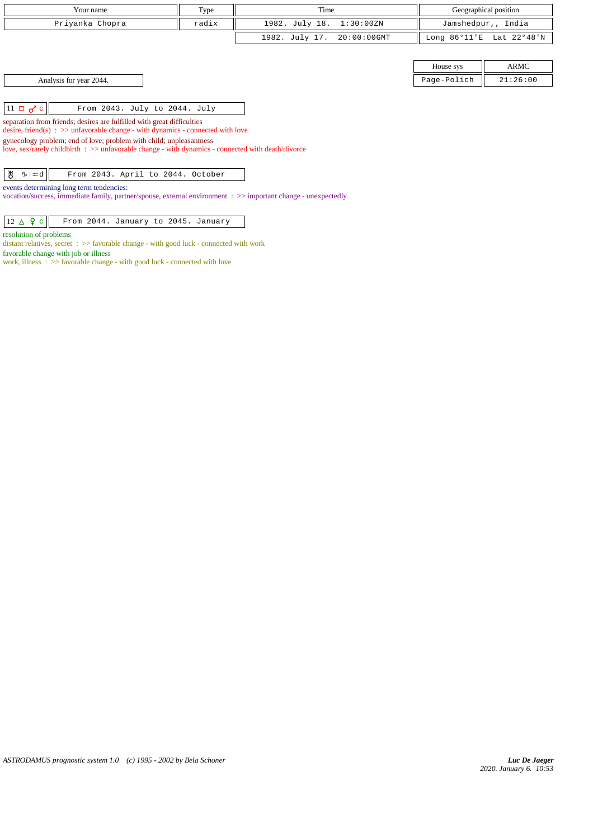|                                                | Your name                                                                                                                                                                                                                                                       | Type  | Time                     |             |                        | Geographical position |
|------------------------------------------------|-----------------------------------------------------------------------------------------------------------------------------------------------------------------------------------------------------------------------------------------------------------------|-------|--------------------------|-------------|------------------------|-----------------------|
|                                                | Priyanka Chopra                                                                                                                                                                                                                                                 | radix | 1982. July 18. 1:30:00ZN |             |                        | Jamshedpur,, India    |
|                                                |                                                                                                                                                                                                                                                                 |       | 1982. July 17.           | 20:00:00GMT | Long $86^{\circ}11$ 'E | Lat 22°48'N           |
|                                                |                                                                                                                                                                                                                                                                 |       |                          |             |                        |                       |
|                                                |                                                                                                                                                                                                                                                                 |       |                          |             | House sys              | <b>ARMC</b>           |
|                                                | Analysis for year 2044.                                                                                                                                                                                                                                         |       |                          |             | Page-Polich            | 21:26:00              |
|                                                |                                                                                                                                                                                                                                                                 |       |                          |             |                        |                       |
| $11 \Box \sigma$ <sup>c</sup>                  | From 2043. July to 2044. July                                                                                                                                                                                                                                   |       |                          |             |                        |                       |
|                                                | separation from friends; desires are fulfilled with great difficulties                                                                                                                                                                                          |       |                          |             |                        |                       |
|                                                | desire, friend(s) : $\gg$ unfavorable change - with dynamics - connected with love<br>gynecology problem; end of love; problem with child; unpleasantness<br>love, sex/rarely childbirth : >> unfavorable change - with dynamics - connected with death/divorce |       |                          |             |                        |                       |
| ₩<br>$\mathcal{V}_{\mathcal{D}}   \mathcal{L}$ | From 2043. April to 2044. October                                                                                                                                                                                                                               |       |                          |             |                        |                       |
|                                                | events determining long term tendencies:<br>vocation/success, immediate family, partner/spouse, external environment : >> important change - unexpectedly                                                                                                       |       |                          |             |                        |                       |

 $\boxed{12 \Delta$   $\large{9}$  c From 2044. January to 2045. January

resolution of problems

distant relatives, secret : >> favorable change - with good luck - connected with work favorable change with job or illness work, illness : >> favorable change - with good luck - connected with love

*ASTRODAMUS prognostic system 1.0 (c) 1995 - 2002 by Bela Schoner*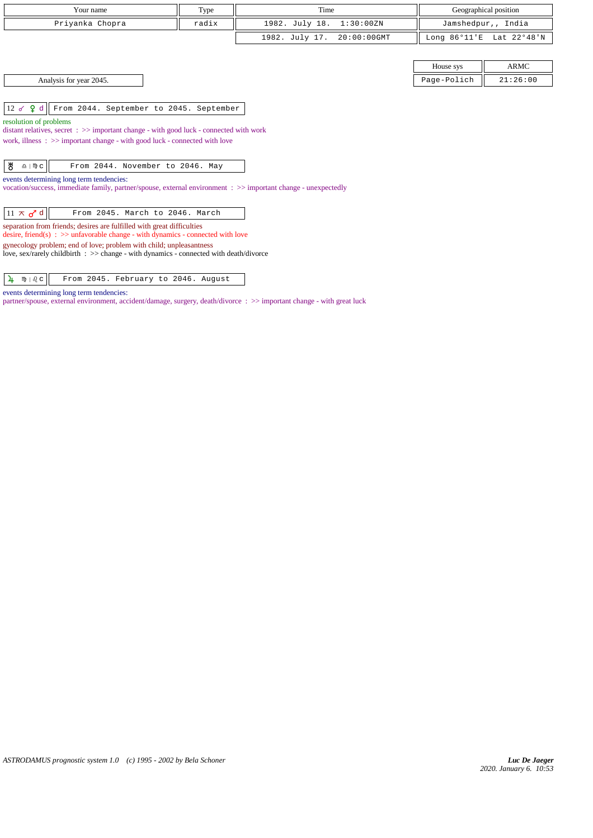| Your name       | Type  | Time                       | Geographical position    |
|-----------------|-------|----------------------------|--------------------------|
| Priyanka Chopra | radix | 1982. July 18. 1:30:00ZN   | Jamshedpur,, India       |
|                 |       | 1982. July 17. 20:00:00GMT | Long 86°11'E Lat 22°48'N |

12 d From 2044. September to 2045. September

resolution of problems

distant relatives, secret : >> important change - with good luck - connected with work

work, illness : >> important change - with good luck - connected with love

| ∣ ਲ<br>$\mathbf{A} \parallel \mathbf{w} \parallel$<br>From 2044. November to 2046. May |  |
|----------------------------------------------------------------------------------------|--|
|----------------------------------------------------------------------------------------|--|

events determining long term tendencies:

vocation/success, immediate family, partner/spouse, external environment : >> important change - unexpectedly

| $11 \times d$ d | From 2045. March to 2046. March |  |  |  |
|-----------------|---------------------------------|--|--|--|
|-----------------|---------------------------------|--|--|--|

separation from friends; desires are fulfilled with great difficulties desire, friend(s) :  $\gg$  unfavorable change - with dynamics - connected with love gynecology problem; end of love; problem with child; unpleasantness

love, sex/rarely childbirth : >> change - with dynamics - connected with death/divorce

 $\sqrt{\frac{1}{2} \sqrt{\pi \sqrt{c}}}$  From 2045. February to 2046. August

events determining long term tendencies:

partner/spouse, external environment, accident/damage, surgery, death/divorce : >> important change - with great luck

House sys  $\parallel$  ARMC Page-Polich  $\parallel$  21:26:00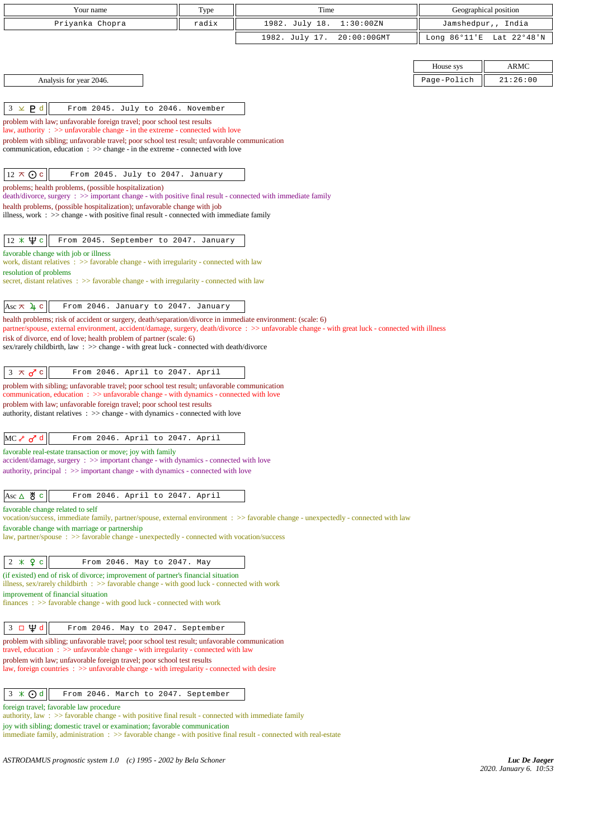| Your name                                                                                                                                                                                          | Type                                 | Time                                                                                                                                             | Geographical position    |  |
|----------------------------------------------------------------------------------------------------------------------------------------------------------------------------------------------------|--------------------------------------|--------------------------------------------------------------------------------------------------------------------------------------------------|--------------------------|--|
| Priyanka Chopra                                                                                                                                                                                    | radix<br>1982. July 18.<br>1:30:00ZN |                                                                                                                                                  | Jamshedpur,, India       |  |
|                                                                                                                                                                                                    |                                      | 1982. July 17.<br>20:00:00GMT                                                                                                                    | Long 86°11'E Lat 22°48'N |  |
|                                                                                                                                                                                                    |                                      |                                                                                                                                                  |                          |  |
|                                                                                                                                                                                                    |                                      |                                                                                                                                                  | <b>ARMC</b><br>House sys |  |
| Analysis for year 2046.                                                                                                                                                                            |                                      |                                                                                                                                                  | Page-Polich<br>21:26:00  |  |
|                                                                                                                                                                                                    |                                      |                                                                                                                                                  |                          |  |
| $3 \times P d$<br>From 2045. July to 2046. November                                                                                                                                                |                                      |                                                                                                                                                  |                          |  |
| problem with law; unfavorable foreign travel; poor school test results<br>law, authority : $\gg$ unfavorable change - in the extreme - connected with love                                         |                                      |                                                                                                                                                  |                          |  |
| problem with sibling; unfavorable travel; poor school test result; unfavorable communication                                                                                                       |                                      |                                                                                                                                                  |                          |  |
| communication, education $\Rightarrow$ >> change - in the extreme - connected with love                                                                                                            |                                      |                                                                                                                                                  |                          |  |
|                                                                                                                                                                                                    |                                      |                                                                                                                                                  |                          |  |
| $12 \times Qc$<br>From 2045. July to 2047. January                                                                                                                                                 |                                      |                                                                                                                                                  |                          |  |
| problems; health problems, (possible hospitalization)<br>$death/divorce, surgery : >> important change - with positive final result - connected with immediate family$                             |                                      |                                                                                                                                                  |                          |  |
| health problems, (possible hospitalization); unfavorable change with job                                                                                                                           |                                      |                                                                                                                                                  |                          |  |
| illness, work $\Rightarrow$ $\Rightarrow$ change - with positive final result - connected with immediate family                                                                                    |                                      |                                                                                                                                                  |                          |  |
| $12 \times \Psi$ c<br>From 2045. September to 2047. January                                                                                                                                        |                                      |                                                                                                                                                  |                          |  |
| favorable change with job or illness                                                                                                                                                               |                                      |                                                                                                                                                  |                          |  |
| work, distant relatives : >> favorable change - with irregularity - connected with law                                                                                                             |                                      |                                                                                                                                                  |                          |  |
| resolution of problems<br>secret, distant relatives $\Rightarrow$ Savorable change - with irregularity - connected with law                                                                        |                                      |                                                                                                                                                  |                          |  |
|                                                                                                                                                                                                    |                                      |                                                                                                                                                  |                          |  |
| Asc $\pi$ $\mu$ c<br>From 2046. January to 2047. January                                                                                                                                           |                                      |                                                                                                                                                  |                          |  |
| health problems; risk of accident or surgery, death/separation/divorce in immediate environment: (scale: 6)                                                                                        |                                      |                                                                                                                                                  |                          |  |
| risk of divorce, end of love; health problem of partner (scale: 6)                                                                                                                                 |                                      | partner/spouse, external environment, accident/damage, surgery, death/divorce : >> unfavorable change - with great luck - connected with illness |                          |  |
| sex/rarely childbirth, law: >> change - with great luck - connected with death/divorce                                                                                                             |                                      |                                                                                                                                                  |                          |  |
|                                                                                                                                                                                                    |                                      |                                                                                                                                                  |                          |  |
| From 2046. April to 2047. April<br>$3 \times \sigma$ c                                                                                                                                             |                                      |                                                                                                                                                  |                          |  |
| problem with sibling; unfavorable travel; poor school test result; unfavorable communication<br>communication, education $\Rightarrow$ >> unfavorable change - with dynamics - connected with love |                                      |                                                                                                                                                  |                          |  |
| problem with law; unfavorable foreign travel; poor school test results                                                                                                                             |                                      |                                                                                                                                                  |                          |  |
| authority, distant relatives $\Rightarrow$ > $\Rightarrow$ change - with dynamics - connected with love                                                                                            |                                      |                                                                                                                                                  |                          |  |
| MC of d<br>From 2046. April to 2047. April                                                                                                                                                         |                                      |                                                                                                                                                  |                          |  |
| favorable real-estate transaction or move; joy with family                                                                                                                                         |                                      |                                                                                                                                                  |                          |  |
| accident/damage, surgery : >> important change - with dynamics - connected with love                                                                                                               |                                      |                                                                                                                                                  |                          |  |
| authority, principal $\Rightarrow$ important change - with dynamics - connected with love                                                                                                          |                                      |                                                                                                                                                  |                          |  |
| $\text{Asc } \Delta \text{ } \overset{\text{M}}{\circ} \text{ } \subset$<br>From 2046. April to 2047. April                                                                                        |                                      |                                                                                                                                                  |                          |  |
| favorable change related to self                                                                                                                                                                   |                                      |                                                                                                                                                  |                          |  |
|                                                                                                                                                                                                    |                                      | vocation/success, immediate family, partner/spouse, external environment : >> favorable change - unexpectedly - connected with law               |                          |  |
| favorable change with marriage or partnership<br>law, partner/spouse : >> favorable change - unexpectedly - connected with vocation/success                                                        |                                      |                                                                                                                                                  |                          |  |
|                                                                                                                                                                                                    |                                      |                                                                                                                                                  |                          |  |
| $2 * 9 c$<br>From 2046. May to 2047. May                                                                                                                                                           |                                      |                                                                                                                                                  |                          |  |
| (if existed) end of risk of divorce; improvement of partner's financial situation                                                                                                                  |                                      |                                                                                                                                                  |                          |  |
| illness, sex/rarely childbirth $\therefore$ >> favorable change - with good luck - connected with work<br>improvement of financial situation                                                       |                                      |                                                                                                                                                  |                          |  |
| $finances : \gg$ favorable change - with good luck - connected with work                                                                                                                           |                                      |                                                                                                                                                  |                          |  |
| $3 \Box \Psi d$                                                                                                                                                                                    |                                      |                                                                                                                                                  |                          |  |
| From 2046. May to 2047. September<br>problem with sibling; unfavorable travel; poor school test result; unfavorable communication                                                                  |                                      |                                                                                                                                                  |                          |  |
| travel, education $\Rightarrow$ > $\Rightarrow$ unfavorable change - with irregularity - connected with law                                                                                        |                                      |                                                                                                                                                  |                          |  |
| problem with law; unfavorable foreign travel; poor school test results<br>law, foreign countries : >> unfavorable change - with irregularity - connected with desire                               |                                      |                                                                                                                                                  |                          |  |
|                                                                                                                                                                                                    |                                      |                                                                                                                                                  |                          |  |
| $3 \times 0d$<br>From 2046. March to 2047. September                                                                                                                                               |                                      |                                                                                                                                                  |                          |  |
| foreign travel; favorable law procedure                                                                                                                                                            |                                      |                                                                                                                                                  |                          |  |
| authority, law: >> favorable change - with positive final result - connected with immediate family<br>joy with sibling; domestic travel or examination; favorable communication                    |                                      |                                                                                                                                                  |                          |  |
| immediate family, administration $\Rightarrow$ > favorable change - with positive final result - connected with real-estate                                                                        |                                      |                                                                                                                                                  |                          |  |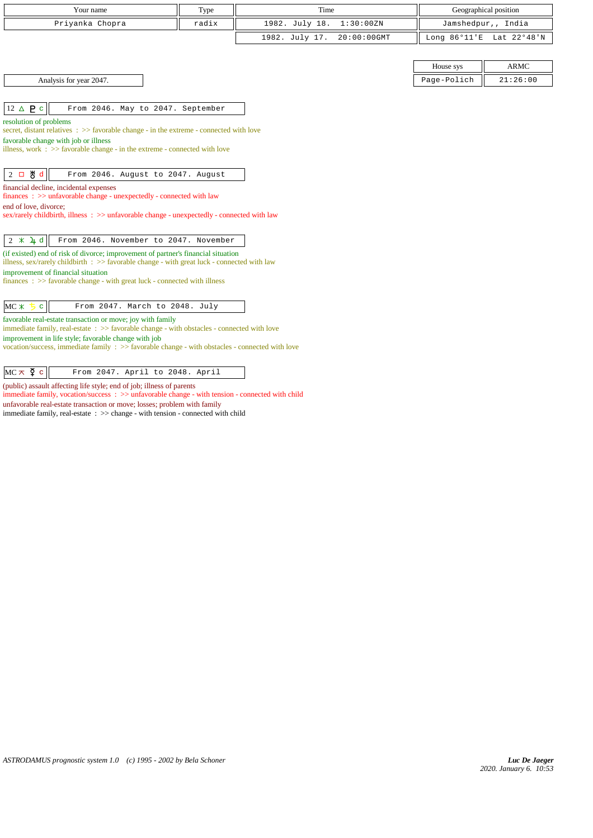| Your name                                                                                                                                                   | Type  | Time                          | Geographical position |                          |  |
|-------------------------------------------------------------------------------------------------------------------------------------------------------------|-------|-------------------------------|-----------------------|--------------------------|--|
| Priyanka Chopra                                                                                                                                             | radix | 1982. July 18.<br>1:30:00ZN   | Jamshedpur,, India    |                          |  |
|                                                                                                                                                             |       | 1982. July 17.<br>20:00:00GMT |                       | Long 86°11'E Lat 22°48'N |  |
|                                                                                                                                                             |       |                               |                       |                          |  |
|                                                                                                                                                             |       |                               | House sys             | ARMC                     |  |
| Analysis for year 2047.                                                                                                                                     |       |                               | Page-Polich           | 21:26:00                 |  |
|                                                                                                                                                             |       |                               |                       |                          |  |
| 12 $\triangle$ <b>P</b> $\subset$<br>From 2046. May to 2047. September                                                                                      |       |                               |                       |                          |  |
| resolution of problems                                                                                                                                      |       |                               |                       |                          |  |
| secret, distant relatives $\Rightarrow$ favorable change - in the extreme - connected with love<br>favorable change with job or illness                     |       |                               |                       |                          |  |
| illness, work $\Rightarrow$ >> favorable change - in the extreme - connected with love                                                                      |       |                               |                       |                          |  |
|                                                                                                                                                             |       |                               |                       |                          |  |
| $2$ 口 当 d<br>From 2046. August to 2047. August                                                                                                              |       |                               |                       |                          |  |
| financial decline, incidental expenses                                                                                                                      |       |                               |                       |                          |  |
| $finances : \gg$ unfavorable change - unexpectedly - connected with law<br>end of love, divorce:                                                            |       |                               |                       |                          |  |
| sex/rarely childbirth, illness : >> unfavorable change - unexpectedly - connected with law                                                                  |       |                               |                       |                          |  |
|                                                                                                                                                             |       |                               |                       |                          |  |
| $2 \times 4$ d<br>From 2046. November to 2047. November                                                                                                     |       |                               |                       |                          |  |
| (if existed) end of risk of divorce; improvement of partner's financial situation                                                                           |       |                               |                       |                          |  |
| illness, $sex/rarely childbirth$ : $>>$ favorable change - with great luck - connected with law<br>improvement of financial situation                       |       |                               |                       |                          |  |
| $finances : \gg$ favorable change - with great luck - connected with illness                                                                                |       |                               |                       |                          |  |
|                                                                                                                                                             |       |                               |                       |                          |  |
| $MC \times$<br>From 2047. March to 2048. July<br>$\mathbf{C}$                                                                                               |       |                               |                       |                          |  |
| favorable real-estate transaction or move; joy with family                                                                                                  |       |                               |                       |                          |  |
| immediate family, real-estate $\Rightarrow$ favorable change - with obstacles - connected with love<br>improvement in life style; favorable change with job |       |                               |                       |                          |  |
| vocation/success, immediate family $\Rightarrow$ favorable change - with obstacles - connected with love                                                    |       |                               |                       |                          |  |
|                                                                                                                                                             |       |                               |                       |                          |  |
| $MC \times \xi$ c<br>From 2047. April to 2048. April                                                                                                        |       |                               |                       |                          |  |

(public) assault affecting life style; end of job; illness of parents immediate family, vocation/success : >> unfavorable change - with tension - connected with child

unfavorable real-estate transaction or move; losses; problem with family

immediate family, real-estate : >> change - with tension - connected with child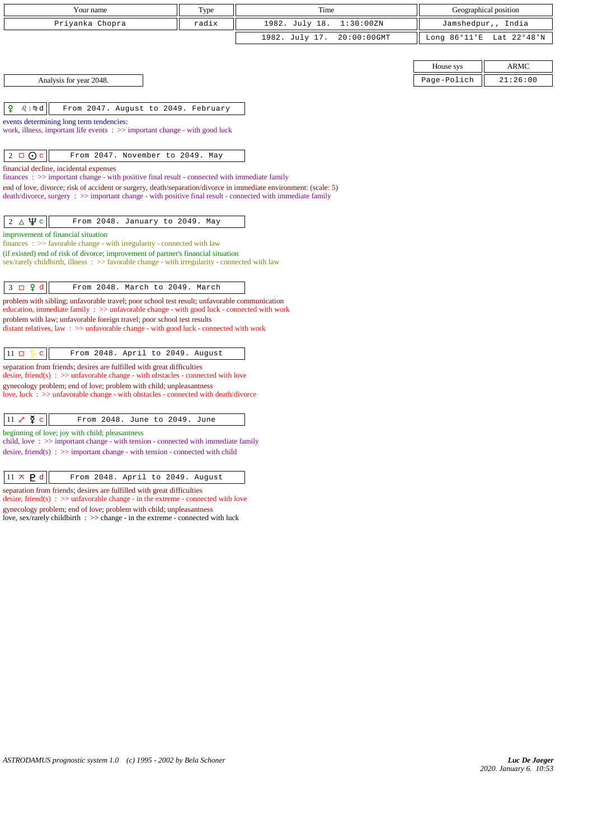| Your name                                                                                                                                                                                                         | Type                                                                                                                                                      | Time                          | Geographical position                |          |  |  |
|-------------------------------------------------------------------------------------------------------------------------------------------------------------------------------------------------------------------|-----------------------------------------------------------------------------------------------------------------------------------------------------------|-------------------------------|--------------------------------------|----------|--|--|
| Priyanka Chopra                                                                                                                                                                                                   | radix                                                                                                                                                     | 1982. July 18.<br>1:30:00ZN   | Jamshedpur,, India                   |          |  |  |
|                                                                                                                                                                                                                   |                                                                                                                                                           | 1982. July 17.<br>20:00:00GMT | Long $86^{\circ}11$ E<br>Lat 22°48'N |          |  |  |
|                                                                                                                                                                                                                   |                                                                                                                                                           |                               |                                      |          |  |  |
|                                                                                                                                                                                                                   |                                                                                                                                                           |                               | House sys                            | ARMC     |  |  |
| Analysis for year 2048.                                                                                                                                                                                           |                                                                                                                                                           |                               | Page-Polich                          | 21:26:00 |  |  |
|                                                                                                                                                                                                                   |                                                                                                                                                           |                               |                                      |          |  |  |
| ₽<br>$\Omega$   mp $d$<br>From 2047. August to 2049. February                                                                                                                                                     |                                                                                                                                                           |                               |                                      |          |  |  |
| events determining long term tendencies:<br>work, illness, important life events $\Rightarrow$ important change - with good luck                                                                                  |                                                                                                                                                           |                               |                                      |          |  |  |
| $\odot$ c<br>2<br>$\Box$<br>From 2047. November to 2049. May                                                                                                                                                      |                                                                                                                                                           |                               |                                      |          |  |  |
| financial decline, incidental expenses                                                                                                                                                                            |                                                                                                                                                           |                               |                                      |          |  |  |
| finances : >> important change - with positive final result - connected with immediate family<br>end of love, divorce; risk of accident or surgery, death/separation/divorce in immediate environment: (scale: 5) |                                                                                                                                                           |                               |                                      |          |  |  |
| death/divorce, surgery : >> important change - with positive final result - connected with immediate family                                                                                                       |                                                                                                                                                           |                               |                                      |          |  |  |
|                                                                                                                                                                                                                   |                                                                                                                                                           |                               |                                      |          |  |  |
| $2\Delta\Psi c$<br>From 2048. January to 2049. May                                                                                                                                                                |                                                                                                                                                           |                               |                                      |          |  |  |
| improvement of financial situation<br>finances: >> favorable change - with irregularity - connected with law                                                                                                      |                                                                                                                                                           |                               |                                      |          |  |  |
| (if existed) end of risk of divorce; improvement of partner's financial situation<br>sex/rarely childbirth, illness : >> favorable change - with irregularity - connected with law                                |                                                                                                                                                           |                               |                                      |          |  |  |
|                                                                                                                                                                                                                   |                                                                                                                                                           |                               |                                      |          |  |  |
| $3 \Box 9 d$<br>From 2048. March to 2049. March                                                                                                                                                                   |                                                                                                                                                           |                               |                                      |          |  |  |
| problem with sibling; unfavorable travel; poor school test result; unfavorable communication<br>education, immediate family : >> unfavorable change - with good luck - connected with work                        |                                                                                                                                                           |                               |                                      |          |  |  |
| problem with law; unfavorable foreign travel; poor school test results                                                                                                                                            |                                                                                                                                                           |                               |                                      |          |  |  |
| distant relatives, law $\Rightarrow$ > unfavorable change - with good luck - connected with work                                                                                                                  |                                                                                                                                                           |                               |                                      |          |  |  |
| $11$ $\Box$<br>From 2048. April to 2049. August                                                                                                                                                                   |                                                                                                                                                           |                               |                                      |          |  |  |
| separation from friends; desires are fulfilled with great difficulties                                                                                                                                            |                                                                                                                                                           |                               |                                      |          |  |  |
| desire, friend(s) : $\gg$ unfavorable change - with obstacles - connected with love                                                                                                                               |                                                                                                                                                           |                               |                                      |          |  |  |
|                                                                                                                                                                                                                   | gynecology problem; end of love; problem with child; unpleasantness<br>love, luck : >> unfavorable change - with obstacles - connected with death/divorce |                               |                                      |          |  |  |
|                                                                                                                                                                                                                   |                                                                                                                                                           |                               |                                      |          |  |  |
| $11 e^{\theta}$ $\frac{5}{2}$ c<br>From 2048. June to 2049. June                                                                                                                                                  |                                                                                                                                                           |                               |                                      |          |  |  |
| beginning of love; joy with child; pleasantness<br>child, love $\Rightarrow$ important change - with tension - connected with immediate family                                                                    |                                                                                                                                                           |                               |                                      |          |  |  |
| desire, friend(s) : $\gg$ important change - with tension - connected with child                                                                                                                                  |                                                                                                                                                           |                               |                                      |          |  |  |
|                                                                                                                                                                                                                   |                                                                                                                                                           |                               |                                      |          |  |  |
| $11 \times P d$<br>From 2048. April to 2049. August                                                                                                                                                               |                                                                                                                                                           |                               |                                      |          |  |  |
| separation from friends; desires are fulfilled with great difficulties<br>desire, friend(s) : $\gg$ unfavorable change - in the extreme - connected with love                                                     |                                                                                                                                                           |                               |                                      |          |  |  |
| gynecology problem; end of love; problem with child; unpleasantness                                                                                                                                               |                                                                                                                                                           |                               |                                      |          |  |  |
| love, sex/rarely childbirth : >> change - in the extreme - connected with luck                                                                                                                                    |                                                                                                                                                           |                               |                                      |          |  |  |
|                                                                                                                                                                                                                   |                                                                                                                                                           |                               |                                      |          |  |  |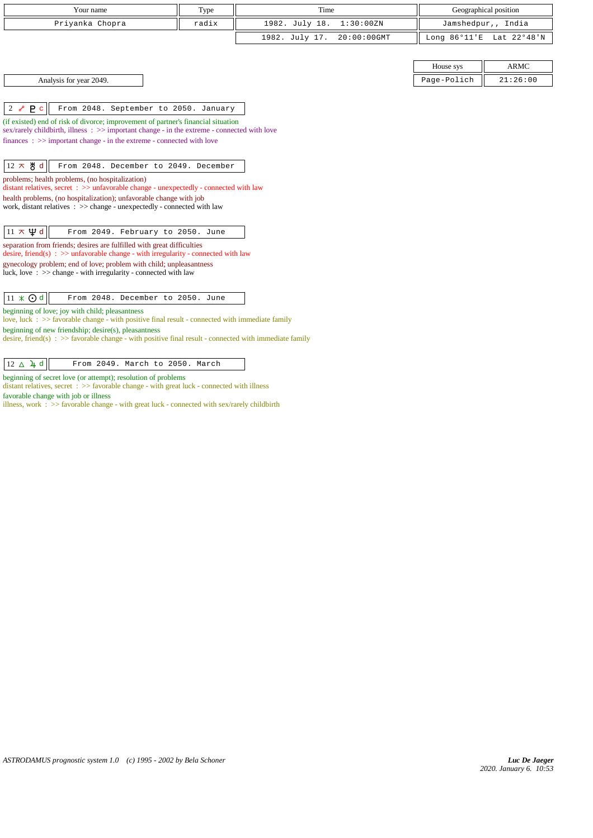|                                                                                                           | Your name                                                                                                                                                              | Type  | Time           |             | Geographical position  |             |
|-----------------------------------------------------------------------------------------------------------|------------------------------------------------------------------------------------------------------------------------------------------------------------------------|-------|----------------|-------------|------------------------|-------------|
|                                                                                                           | Priyanka Chopra                                                                                                                                                        | radix | 1982. July 18. | 1:30:00ZN   | Jamshedpur,, India     |             |
|                                                                                                           |                                                                                                                                                                        |       | 1982. July 17. | 20:00:00GMT | Long $86^{\circ}11$ 'E | Lat 22°48'N |
|                                                                                                           |                                                                                                                                                                        |       |                |             |                        |             |
|                                                                                                           |                                                                                                                                                                        |       |                |             | House sys              | <b>ARMC</b> |
|                                                                                                           | Analysis for year 2049.                                                                                                                                                |       |                |             | Page-Polich            | 21:26:00    |
|                                                                                                           |                                                                                                                                                                        |       |                |             |                        |             |
| P <sub>c</sub><br>$2\delta$                                                                               | From 2048. September to 2050. January                                                                                                                                  |       |                |             |                        |             |
|                                                                                                           | (if existed) end of risk of divorce; improvement of partner's financial situation                                                                                      |       |                |             |                        |             |
|                                                                                                           | sex/rarely childbirth, illness: >> important change - in the extreme - connected with love<br>$finances : \gg important change - in the extreme - connected with love$ |       |                |             |                        |             |
|                                                                                                           |                                                                                                                                                                        |       |                |             |                        |             |
| $12 \times$ 5 d                                                                                           | From 2048. December to 2049. December                                                                                                                                  |       |                |             |                        |             |
|                                                                                                           | problems; health problems, (no hospitalization)                                                                                                                        |       |                |             |                        |             |
|                                                                                                           | distant relatives, secret : >> unfavorable change - unexpectedly - connected with law                                                                                  |       |                |             |                        |             |
|                                                                                                           | health problems, (no hospitalization); unfavorable change with job<br>work, distant relatives : >> change - unexpectedly - connected with law                          |       |                |             |                        |             |
|                                                                                                           |                                                                                                                                                                        |       |                |             |                        |             |
| $11 \times \Psi d$                                                                                        | From 2049. February to 2050. June                                                                                                                                      |       |                |             |                        |             |
|                                                                                                           | separation from friends; desires are fulfilled with great difficulties<br>desire, friend(s) : $\gg$ unfavorable change - with irregularity - connected with law        |       |                |             |                        |             |
|                                                                                                           | gynecology problem; end of love; problem with child; unpleasantness                                                                                                    |       |                |             |                        |             |
|                                                                                                           | luck, love: $\gg$ change - with irregularity - connected with law                                                                                                      |       |                |             |                        |             |
|                                                                                                           |                                                                                                                                                                        |       |                |             |                        |             |
| $11 \times 0d$                                                                                            | From 2048. December to 2050. June                                                                                                                                      |       |                |             |                        |             |
|                                                                                                           | beginning of love; joy with child; pleasantness<br>love, luck $\Rightarrow$ Savorable change - with positive final result - connected with immediate family            |       |                |             |                        |             |
| beginning of new friendship; $desire(s)$ , pleasantness                                                   |                                                                                                                                                                        |       |                |             |                        |             |
| desire, friend(s) : $\gg$ favorable change - with positive final result - connected with immediate family |                                                                                                                                                                        |       |                |             |                        |             |
|                                                                                                           |                                                                                                                                                                        |       |                |             |                        |             |
| $12 \triangle 4d$                                                                                         | From 2049. March to 2050. March                                                                                                                                        |       |                |             |                        |             |

beginning of secret love (or attempt); resolution of problems

distant relatives, secret : >> favorable change - with great luck - connected with illness favorable change with job or illness

illness, work :  $>$  favorable change - with great luck - connected with sex/rarely childbirth